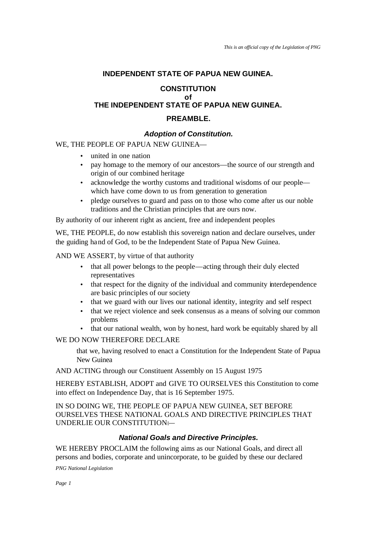# **INDEPENDENT STATE OF PAPUA NEW GUINEA.**

# **CONSTITUTION of THE INDEPENDENT STATE OF PAPUA NEW GUINEA.**

# **PREAMBLE.**

# *Adoption of Constitution.*

WE, THE PEOPLE OF PAPUA NEW GUINEA—

- united in one nation
- pay homage to the memory of our ancestors—the source of our strength and origin of our combined heritage
- acknowledge the worthy customs and traditional wisdoms of our people which have come down to us from generation to generation
- pledge ourselves to guard and pass on to those who come after us our noble traditions and the Christian principles that are ours now.

By authority of our inherent right as ancient, free and independent peoples

WE, THE PEOPLE, do now establish this sovereign nation and declare ourselves, under the guiding hand of God, to be the Independent State of Papua New Guinea.

AND WE ASSERT, by virtue of that authority

- that all power belongs to the people—acting through their duly elected representatives
- that respect for the dignity of the individual and community interdependence are basic principles of our society
- that we guard with our lives our national identity, integrity and self respect
- that we reject violence and seek consensus as a means of solving our common problems
- that our national wealth, won by honest, hard work be equitably shared by all

#### WE DO NOW THEREFORE DECLARE

that we, having resolved to enact a Constitution for the Independent State of Papua New Guinea

AND ACTING through our Constituent Assembly on 15 August 1975

HEREBY ESTABLISH, ADOPT and GIVE TO OURSELVES this Constitution to come into effect on Independence Day, that is 16 September 1975.

IN SO DOING WE, THE PEOPLE OF PAPUA NEW GUINEA, SET BEFORE OURSELVES THESE NATIONAL GOALS AND DIRECTIVE PRINCIPLES THAT UNDERLIE OUR CONSTITUTION:—

#### *National Goals and Directive Principles.*

WE HEREBY PROCLAIM the following aims as our National Goals, and direct all persons and bodies, corporate and unincorporate, to be guided by these our declared

*PNG National Legislation*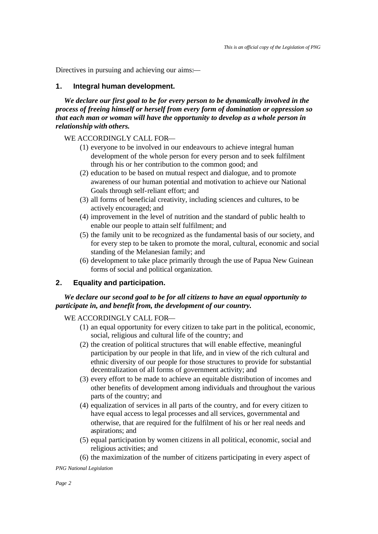Directives in pursuing and achieving our aims:—

#### **1. Integral human development.**

*We declare our first goal to be for every person to be dynamically involved in the process of freeing himself or herself from every form of domination or oppression so that each man or woman will have the opportunity to develop as a whole person in relationship with others.*

#### WE ACCORDINGLY CALL FOR—

- (1) everyone to be involved in our endeavours to achieve integral human development of the whole person for every person and to seek fulfilment through his or her contribution to the common good; and
- (2) education to be based on mutual respect and dialogue, and to promote awareness of our human potential and motivation to achieve our National Goals through self-reliant effort; and
- (3) all forms of beneficial creativity, including sciences and cultures, to be actively encouraged; and
- (4) improvement in the level of nutrition and the standard of public health to enable our people to attain self fulfilment; and
- (5) the family unit to be recognized as the fundamental basis of our society, and for every step to be taken to promote the moral, cultural, economic and social standing of the Melanesian family; and
- (6) development to take place primarily through the use of Papua New Guinean forms of social and political organization.

# **2. Equality and participation.**

# *We declare our second goal to be for all citizens to have an equal opportunity to participate in, and benefit from, the development of our country.*

#### WE ACCORDINGLY CALL FOR—

- (1) an equal opportunity for every citizen to take part in the political, economic, social, religious and cultural life of the country; and
- (2) the creation of political structures that will enable effective, meaningful participation by our people in that life, and in view of the rich cultural and ethnic diversity of our people for those structures to provide for substantial decentralization of all forms of government activity; and
- (3) every effort to be made to achieve an equitable distribution of incomes and other benefits of development among individuals and throughout the various parts of the country; and
- (4) equalization of services in all parts of the country, and for every citizen to have equal access to legal processes and all services, governmental and otherwise, that are required for the fulfilment of his or her real needs and aspirations; and
- (5) equal participation by women citizens in all political, economic, social and religious activities; and
- (6) the maximization of the number of citizens participating in every aspect of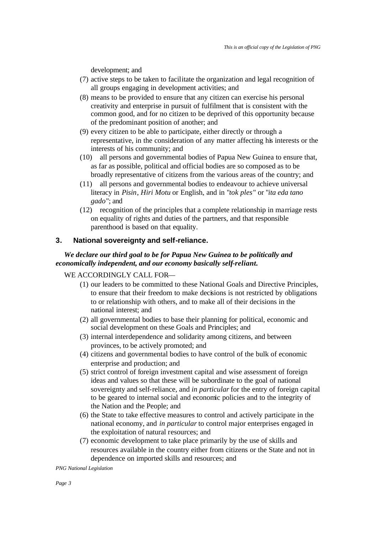development; and

- (7) active steps to be taken to facilitate the organization and legal recognition of all groups engaging in development activities; and
- (8) means to be provided to ensure that any citizen can exercise his personal creativity and enterprise in pursuit of fulfilment that is consistent with the common good, and for no citizen to be deprived of this opportunity because of the predominant position of another; and
- (9) every citizen to be able to participate, either directly or through a representative, in the consideration of any matter affecting his interests or the interests of his community; and
- (10) all persons and governmental bodies of Papua New Guinea to ensure that, as far as possible, political and official bodies are so composed as to be broadly representative of citizens from the various areas of the country; and
- (11) all persons and governmental bodies to endeavour to achieve universal literacy in *Pisin*, *Hiri Motu* or English, and in "*tok ples*" or "*ita eda tano gado*"; and
- (12) recognition of the principles that a complete relationship in marriage rests on equality of rights and duties of the partners, and that responsible parenthood is based on that equality.

# **3. National sovereignty and self-reliance.**

# *We declare our third goal to be for Papua New Guinea to be politically and economically independent, and our economy basically self-reliant.*

#### WE ACCORDINGLY CALL FOR—

- (1) our leaders to be committed to these National Goals and Directive Principles, to ensure that their freedom to make decisions is not restricted by obligations to or relationship with others, and to make all of their decisions in the national interest; and
- (2) all governmental bodies to base their planning for political, economic and social development on these Goals and Principles; and
- (3) internal interdependence and solidarity among citizens, and between provinces, to be actively promoted; and
- (4) citizens and governmental bodies to have control of the bulk of economic enterprise and production; and
- (5) strict control of foreign investment capital and wise assessment of foreign ideas and values so that these will be subordinate to the goal of national sovereignty and self-reliance, and *in particular* for the entry of foreign capital to be geared to internal social and economic policies and to the integrity of the Nation and the People; and
- (6) the State to take effective measures to control and actively participate in the national economy, and *in particular* to control major enterprises engaged in the exploitation of natural resources; and
- (7) economic development to take place primarily by the use of skills and resources available in the country either from citizens or the State and not in dependence on imported skills and resources; and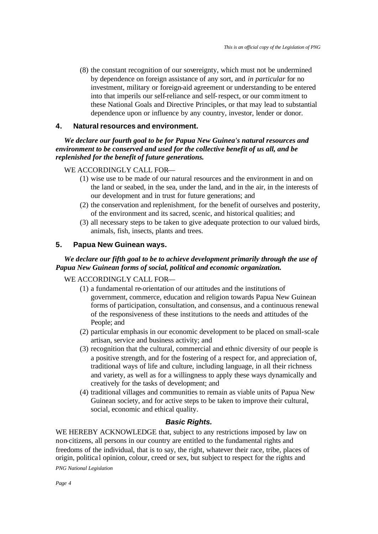(8) the constant recognition of our sovereignty, which must not be undermined by dependence on foreign assistance of any sort, and *in particular* for no investment, military or foreign-aid agreement or understanding to be entered into that imperils our self-reliance and self-respect, or our commitment to these National Goals and Directive Principles, or that may lead to substantial dependence upon or influence by any country, investor, lender or donor.

# **4. Natural resources and environment.**

*We declare our fourth goal to be for Papua New Guinea's natural resources and environment to be conserved and used for the collective benefit of us all, and be replenished for the benefit of future generations.*

# WE ACCORDINGLY CALL FOR—

- (1) wise use to be made of our natural resources and the environment in and on the land or seabed, in the sea, under the land, and in the air, in the interests of our development and in trust for future generations; and
- (2) the conservation and replenishment, for the benefit of ourselves and posterity, of the environment and its sacred, scenic, and historical qualities; and
- (3) all necessary steps to be taken to give adequate protection to our valued birds, animals, fish, insects, plants and trees.

# **5. Papua New Guinean ways.**

# *We declare our fifth goal to be to achieve development primarily through the use of Papua New Guinean forms of social, political and economic organization.*

#### WE ACCORDINGLY CALL FOR—

- (1) a fundamental re-orientation of our attitudes and the institutions of government, commerce, education and religion towards Papua New Guinean forms of participation, consultation, and consensus, and a continuous renewal of the responsiveness of these institutions to the needs and attitudes of the People; and
- (2) particular emphasis in our economic development to be placed on small-scale artisan, service and business activity; and
- (3) recognition that the cultural, commercial and ethnic diversity of our people is a positive strength, and for the fostering of a respect for, and appreciation of, traditional ways of life and culture, including language, in all their richness and variety, as well as for a willingness to apply these ways dynamically and creatively for the tasks of development; and
- (4) traditional villages and communities to remain as viable units of Papua New Guinean society, and for active steps to be taken to improve their cultural, social, economic and ethical quality.

#### *Basic Rights.*

WE HEREBY ACKNOWLEDGE that, subject to any restrictions imposed by law on non-citizens, all persons in our country are entitled to the fundamental rights and freedoms of the individual, that is to say, the right, whatever their race, tribe, places of origin, politica l opinion, colour, creed or sex, but subject to respect for the rights and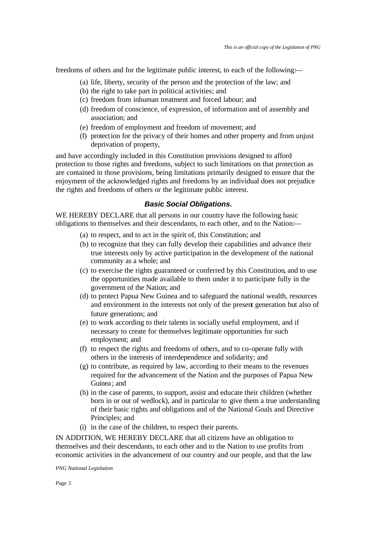freedoms of others and for the legitimate public interest, to each of the following:—

- (a) life, liberty, security of the person and the protection of the law; and
- (b) the right to take part in political activities; and
- (c) freedom from inhuman treatment and forced labour; and
- (d) freedom of conscience, of expression, of information and of assembly and association; and
- (e) freedom of employment and freedom of movement; and
- (f) protection for the privacy of their homes and other property and from unjust deprivation of property,

and have accordingly included in this Constitution provisions designed to afford protection to those rights and freedoms, subject to such limitations on that protection as are contained in those provisions, being limitations primarily designed to ensure that the enjoyment of the acknowledged rights and freedoms by an individual does not prejudice the rights and freedoms of others or the legitimate public interest.

# *Basic Social Obligations.*

WE HEREBY DECLARE that all persons in our country have the following basic obligations to themselves and their descendants, to each other, and to the Nation:—

- (a) to respect, and to act in the spirit of, this Constitution; and
- (b) to recognize that they can fully develop their capabilities and advance their true interests only by active participation in the development of the national community as a whole; and
- (c) to exercise the rights guaranteed or conferred by this Constitution, and to use the opportunities made available to them under it to participate fully in the government of the Nation; and
- (d) to protect Papua New Guinea and to safeguard the national wealth, resources and environment in the interests not only of the present generation but also of future generations; and
- (e) to work according to their talents in socially useful employment, and if necessary to create for themselves legitimate opportunities for such employment; and
- (f) to respect the rights and freedoms of others, and to co-operate fully with others in the interests of interdependence and solidarity; and
- (g) to contribute, as required by law, according to their means to the revenues required for the advancement of the Nation and the purposes of Papua New Guinea; and
- (h) in the case of parents, to support, assist and educate their children (whether born in or out of wedlock), and in particular to give them a true understanding of their basic rights and obligations and of the National Goals and Directive Principles; and
- (i) in the case of the children, to respect their parents.

IN ADDITION, WE HEREBY DECLARE that all citizens have an obligation to themselves and their descendants, to each other and to the Nation to use profits from economic activities in the advancement of our country and our people, and that the law

*PNG National Legislation*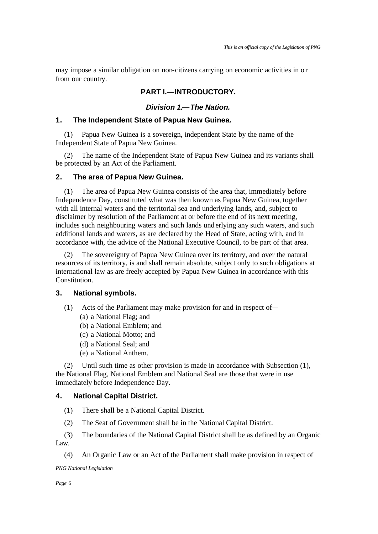may impose a similar obligation on non-citizens carrying on economic activities in or from our country.

# **PART I.—INTRODUCTORY.**

# *Division 1.—The Nation.*

#### **1. The Independent State of Papua New Guinea.**

(1) Papua New Guinea is a sovereign, independent State by the name of the Independent State of Papua New Guinea.

The name of the Independent State of Papua New Guinea and its variants shall be protected by an Act of the Parliament.

#### **2. The area of Papua New Guinea.**

(1) The area of Papua New Guinea consists of the area that, immediately before Independence Day, constituted what was then known as Papua New Guinea, together with all internal waters and the territorial sea and underlying lands, and, subject to disclaimer by resolution of the Parliament at or before the end of its next meeting, includes such neighbouring waters and such lands underlying any such waters, and such additional lands and waters, as are declared by the Head of State, acting with, and in accordance with, the advice of the National Executive Council, to be part of that area.

The sovereignty of Papua New Guinea over its territory, and over the natural resources of its territory, is and shall remain absolute, subject only to such obligations at international law as are freely accepted by Papua New Guinea in accordance with this Constitution.

#### **3. National symbols.**

- (1) Acts of the Parliament may make provision for and in respect of—
	- (a) a National Flag; and
	- (b) a National Emblem; and
	- (c) a National Motto; and
	- (d) a National Seal; and
	- (e) a National Anthem.

(2) Until such time as other provision is made in accordance with Subsection (1), the National Flag, National Emblem and National Seal are those that were in use immediately before Independence Day.

#### **4. National Capital District.**

- (1) There shall be a National Capital District.
- (2) The Seat of Government shall be in the National Capital District.
- (3) The boundaries of the National Capital District shall be as defined by an Organic Law.
	- (4) An Organic Law or an Act of the Parliament shall make provision in respect of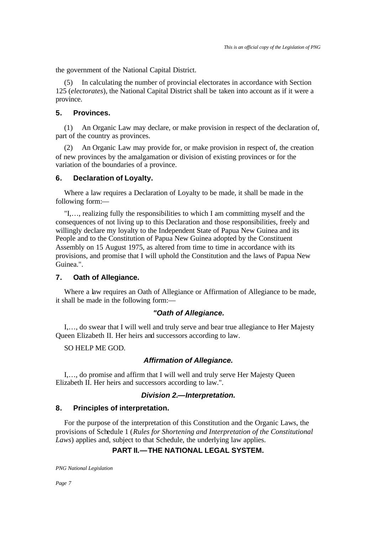the government of the National Capital District.

(5) In calculating the number of provincial electorates in accordance with Section 125 (*electorates*), the National Capital District shall be taken into account as if it were a province.

#### **5. Provinces.**

(1) An Organic Law may declare, or make provision in respect of the declaration of, part of the country as provinces.

(2) An Organic Law may provide for, or make provision in respect of, the creation of new provinces by the amalgamation or division of existing provinces or for the variation of the boundaries of a province.

#### **6. Declaration of Loyalty.**

Where a law requires a Declaration of Loyalty to be made, it shall be made in the following form:—

"I,…, realizing fully the responsibilities to which I am committing myself and the consequences of not living up to this Declaration and those responsibilities, freely and willingly declare my loyalty to the Independent State of Papua New Guinea and its People and to the Constitution of Papua New Guinea adopted by the Constituent Assembly on 15 August 1975, as altered from time to time in accordance with its provisions, and promise that I will uphold the Constitution and the laws of Papua New Guinea.".

#### **7. Oath of Allegiance.**

Where a law requires an Oath of Allegiance or Affirmation of Allegiance to be made, it shall be made in the following form:—

# *"Oath of Allegiance.*

I,…, do swear that I will well and truly serve and bear true allegiance to Her Majesty Queen Elizabeth II. Her heirs and successors according to law.

SO HELP ME GOD.

#### *Affirmation of Allegiance.*

I,…, do promise and affirm that I will well and truly serve Her Majesty Queen Elizabeth II. Her heirs and successors according to law.".

#### *Division 2.—Interpretation.*

#### **8. Principles of interpretation.**

For the purpose of the interpretation of this Constitution and the Organic Laws, the provisions of Schedule 1 (*Rules for Shortening and Interpretation of the Constitutional Laws*) applies and, subject to that Schedule, the underlying law applies.

# **PART II.—THE NATIONAL LEGAL SYSTEM.**

*PNG National Legislation*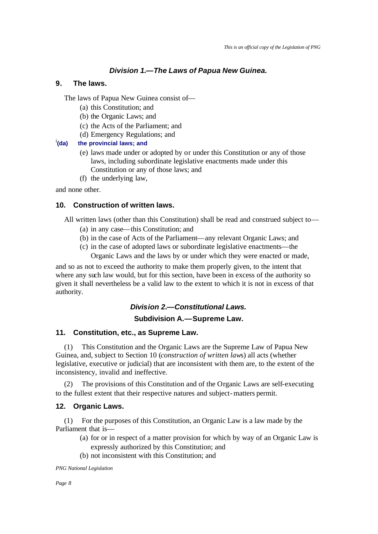# *Division 1.—The Laws of Papua New Guinea.*

# **9. The laws.**

The laws of Papua New Guinea consist of—

- (a) this Constitution; and
- (b) the Organic Laws; and
- (c) the Acts of the Parliament; and
- (d) Emergency Regulations; and

#### $i$ (da) **(da) the provincial laws; and**

- (e) laws made under or adopted by or under this Constitution or any of those laws, including subordinate legislative enactments made under this Constitution or any of those laws; and
- (f) the underlying law,

and none other.

# **10. Construction of written laws.**

All written laws (other than this Constitution) shall be read and construed subject to—

- (a) in any case—this Constitution; and
- (b) in the case of Acts of the Parliament—any relevant Organic Laws; and
- (c) in the case of adopted laws or subordinate legislative enactments—the Organic Laws and the laws by or under which they were enacted or made,

and so as not to exceed the authority to make them properly given, to the intent that where any such law would, but for this section, have been in excess of the authority so given it shall nevertheless be a valid law to the extent to which it is not in excess of that authority.

#### *Division 2.—Constitutional Laws.*

#### **Subdivision A.—Supreme Law.**

#### **11. Constitution, etc., as Supreme Law.**

(1) This Constitution and the Organic Laws are the Supreme Law of Papua New Guinea, and, subject to Section 10 (*construction of written law*s) all acts (whether legislative, executive or judicial) that are inconsistent with them are, to the extent of the inconsistency, invalid and ineffective.

The provisions of this Constitution and of the Organic Laws are self-executing to the fullest extent that their respective natures and subject-matters permit.

#### **12. Organic Laws.**

(1) For the purposes of this Constitution, an Organic Law is a law made by the Parliament that is—

- (a) for or in respect of a matter provision for which by way of an Organic Law is expressly authorized by this Constitution; and
- (b) not inconsistent with this Constitution; and

*PNG National Legislation*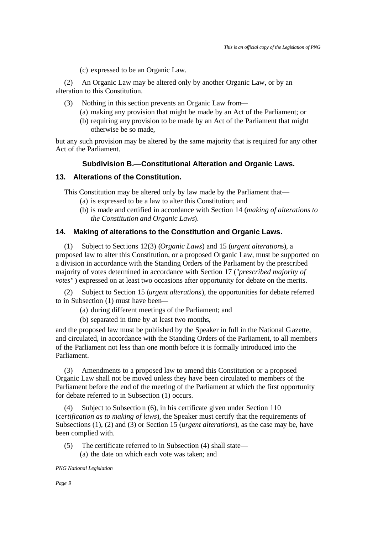(c) expressed to be an Organic Law.

(2) An Organic Law may be altered only by another Organic Law, or by an alteration to this Constitution.

- (3) Nothing in this section prevents an Organic Law from—
	- (a) making any provision that might be made by an Act of the Parliament; or
	- (b) requiring any provision to be made by an Act of the Parliament that might otherwise be so made,

but any such provision may be altered by the same majority that is required for any other Act of the Parliament.

# **Subdivision B.—Constitutional Alteration and Organic Laws.**

# **13. Alterations of the Constitution.**

This Constitution may be altered only by law made by the Parliament that—

- (a) is expressed to be a law to alter this Constitution; and
- (b) is made and certified in accordance with Section 14 (*making of alterations to the Constitution and Organic Laws*).

# **14. Making of alterations to the Constitution and Organic Laws.**

(1) Subject to Sections 12(3) (*Organic Laws*) and 15 (*urgent alteration*s), a proposed law to alter this Constitution, or a proposed Organic Law, must be supported on a division in accordance with the Standing Orders of the Parliament by the prescribed majority of votes determined in accordance with Section 17 (*"prescribed majority of votes"*) expressed on at least two occasions after opportunity for debate on the merits.

(2) Subject to Section 15 (*urgent alterations*), the opportunities for debate referred to in Subsection (1) must have been—

- (a) during different meetings of the Parliament; and
- (b) separated in time by at least two months,

and the proposed law must be published by the Speaker in full in the National Gazette, and circulated, in accordance with the Standing Orders of the Parliament, to all members of the Parliament not less than one month before it is formally introduced into the Parliament.

(3) Amendments to a proposed law to amend this Constitution or a proposed Organic Law shall not be moved unless they have been circulated to members of the Parliament before the end of the meeting of the Parliament at which the first opportunity for debate referred to in Subsection (1) occurs.

Subject to Subsectio n (6), in his certificate given under Section 110 (*certification as to making of laws*), the Speaker must certify that the requirements of Subsections (1), (2) and (3) or Section 15 (*urgent alterations*), as the case may be, have been complied with.

(5) The certificate referred to in Subsection (4) shall state— (a) the date on which each vote was taken; and

*PNG National Legislation*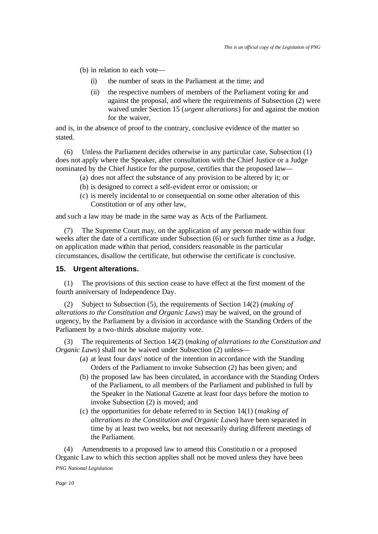(b) in relation to each vote—

- (i) the number of seats in the Parliament at the time; and
- (ii) the respective numbers of members of the Parliament voting for and against the proposal, and where the requirements of Subsection (2) were waived under Section 15 (*urgent alterations*) for and against the motion for the waiver,

and is, in the absence of proof to the contrary, conclusive evidence of the matter so stated.

(6) Unless the Parliament decides otherwise in any particular case, Subsection (1) does not apply where the Speaker, after consultation with the Chief Justice or a Judge nominated by the Chief Justice for the purpose, certifies that the proposed law—

- (a) does not affect the substance of any provision to be altered by it; or
- (b) is designed to correct a self-evident error or omission; or
- (c) is merely incidental to or consequential on some other alteration of this Constitution or of any other law,

and such a law may be made in the same way as Acts of the Parliament.

(7) The Supreme Court may, on the application of any person made within four weeks after the date of a certificate under Subsection (6) or such further time as a Judge, on application made within that period, considers reasonable in the particular circumstances, disallow the certificate, but otherwise the certificate is conclusive.

#### **15. Urgent alterations.**

(1) The provisions of this section cease to have effect at the first moment of the fourth anniversary of Independence Day.

(2) Subject to Subsection (5), the requirements of Section 14(2) (*making of alterations to the Constitution and Organic Laws*) may be waived, on the ground of urgency, by the Parliament by a division in accordance with the Standing Orders of the Parliament by a two-thirds absolute majority vote.

(3) The requirements of Section 14(2) (*making of alterations to the Constitution and Organic Laws*) shall not be waived under Subsection (2) unless—

- (a) at least four days' notice of the intention in accordance with the Standing Orders of the Parliament to invoke Subsection (2) has been given; and
- (b) the proposed law has been circulated, in accordance with the Standing Orders of the Parliament, to all members of the Parliament and published in full by the Speaker in the National Gazette at least four days before the motion to invoke Subsection (2) is moved; and
- (c) the opportunities for debate referred to in Section 14(1) (*making of alterations to the Constitution and Organic Laws*) have been separated in time by at least two weeks, but not necessarily during different meetings of the Parliament.

(4) Amendments to a proposed law to amend this Constitutio n or a proposed Organic Law to which this section applies shall not be moved unless they have been

*PNG National Legislation*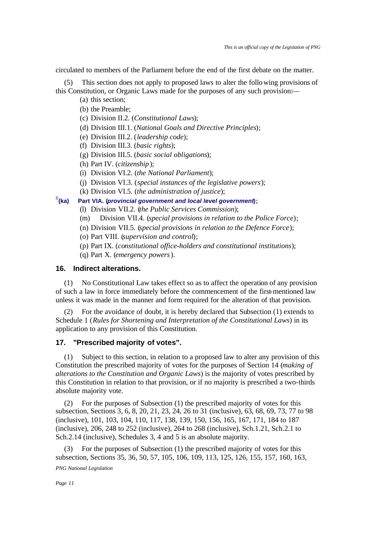circulated to members of the Parliament before the end of the first debate on the matter.

(5) This section does not apply to proposed laws to alter the following provisions of this Constitution, or Organic Laws made for the purposes of any such provision:—

- (a) this section;
- (b) the Preamble;
- (c) Division II.2. (*Constitutional Laws*);
- (d) Division III.1. (*National Goals and Directive Principles*);
- (e) Division III.2. (*leadership code*);
- (f) Division III.3. (*basic rights*);
- (g) Division III.5. (*basic social obligations*);
- (h) Part IV. (*citizenship*);
- (i) Division VI.2. (*the National Parliament*);
- (j) Division VI.3. (*special instances of the legislative powers*);
- (k) Division VI.5. (*the administration of justice*);

ii**(ka) Part VIA. (***provincial government and local level government***);**

- (l) Division VII.2. (*the Public Services Commission*);
- (m) Division VII.4. (*special provisions in relation to the Police Force*);
- (n) Division VII.5. (*special provisions in relation to the Defence Force*);
- (o) Part VIII. (*supervision and control*);
- (p) Part IX. (*constitutional office-holders and constitutional institutions*);
- (q) Part X. (*emergency powers*).

# **16. Indirect alterations.**

(1) No Constitutional Law takes effect so as to affect the operation of any provision of such a law in force immediately before the commencement of the first-mentioned law unless it was made in the manner and form required for the alteration of that provision.

(2) For the avoidance of doubt, it is hereby declared that Subsection (1) extends to Schedule 1 (*Rules for Shortening and Interpretation of the Constitutional Laws*) in its application to any provision of this Constitution.

#### **17. "Prescribed majority of votes".**

(1) Subject to this section, in relation to a proposed law to alter any provision of this Constitution the prescribed majority of votes for the purposes of Section 14 (*making of alterations to the Constitution and Organic Laws*) is the majority of votes prescribed by this Constitution in relation to that provision, or if no majority is prescribed a two-thirds absolute majority vote.

(2) For the purposes of Subsection (1) the prescribed majority of votes for this subsection, Sections 3, 6, 8, 20, 21, 23, 24, 26 to 31 (inclusive), 63, 68, 69, 73, 77 to 98 (inclusive), 101, 103, 104, 110, 117, 138, 139, 150, 156, 165, 167, 171, 184 to 187 (inclusive), 206, 248 to 252 (inclusive), 264 to 268 (inclusive), Sch.1.21, Sch.2.1 to Sch.2.14 (inclusive), Schedules 3, 4 and 5 is an absolute majority.

For the purposes of Subsection  $(1)$  the prescribed majority of votes for this subsection, Sections 35, 36, 50, 57, 105, 106, 109, 113, 125, 126, 155, 157, 160, 163,

*PNG National Legislation*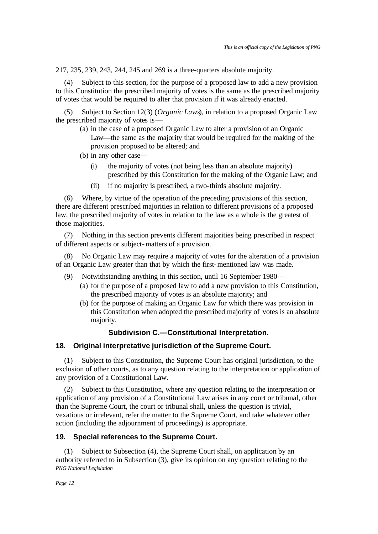217, 235, 239, 243, 244, 245 and 269 is a three-quarters absolute majority.

(4) Subject to this section, for the purpose of a proposed law to add a new provision to this Constitution the prescribed majority of votes is the same as the prescribed majority of votes that would be required to alter that provision if it was already enacted.

(5) Subject to Section 12(3) (*Organic Laws*), in relation to a proposed Organic Law the prescribed majority of votes is—

- (a) in the case of a proposed Organic Law to alter a provision of an Organic Law—the same as the majority that would be required for the making of the provision proposed to be altered; and
- (b) in any other case—
	- (i) the majority of votes (not being less than an absolute majority) prescribed by this Constitution for the making of the Organic Law; and
	- (ii) if no majority is prescribed, a two-thirds absolute majority.

(6) Where, by virtue of the operation of the preceding provisions of this section, there are different prescribed majorities in relation to different provisions of a proposed law, the prescribed majority of votes in relation to the law as a whole is the greatest of those majorities.

(7) Nothing in this section prevents different majorities being prescribed in respect of different aspects or subject-matters of a provision.

No Organic Law may require a majority of votes for the alteration of a provision of an Organic Law greater than that by which the first-mentioned law was made.

- (9) Notwithstanding anything in this section, until 16 September 1980—
	- (a) for the purpose of a proposed law to add a new provision to this Constitution, the prescribed majority of votes is an absolute majority; and
	- (b) for the purpose of making an Organic Law for which there was provision in this Constitution when adopted the prescribed majority of votes is an absolute majority.

# **Subdivision C.—Constitutional Interpretation.**

# **18. Original interpretative jurisdiction of the Supreme Court.**

(1) Subject to this Constitution, the Supreme Court has original jurisdiction, to the exclusion of other courts, as to any question relating to the interpretation or application of any provision of a Constitutional Law.

Subject to this Constitution, where any question relating to the interpretation or application of any provision of a Constitutional Law arises in any court or tribunal, other than the Supreme Court, the court or tribunal shall, unless the question is trivial, vexatious or irrelevant, refer the matter to the Supreme Court, and take whatever other action (including the adjournment of proceedings) is appropriate.

# **19. Special references to the Supreme Court.**

*PNG National Legislation* (1) Subject to Subsection (4), the Supreme Court shall, on application by an authority referred to in Subsection (3), give its opinion on any question relating to the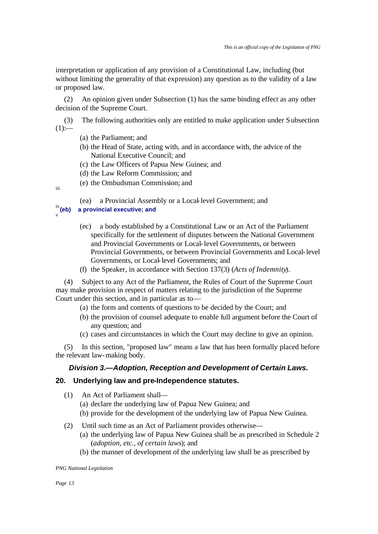interpretation or application of any provision of a Constitutional Law, including (but without limiting the generality of that expression) any question as to the validity of a law or proposed law.

(2) An opinion given under Subsection (1) has the same binding effect as any other decision of the Supreme Court.

(3) The following authorities only are entitled to make application under Subsection  $(1)$ :—

- (a) the Parliament; and
- (b) the Head of State, acting with, and in accordance with, the advice of the National Executive Council; and
- (c) the Law Officers of Papua New Guinea; and
- (d) the Law Reform Commission; and
- (e) the Ombudsman Commission; and

iii

(ea) a Provincial Assembly or a Local-level Government; and

#### a provincial executive; and  $\boldsymbol{v}^{\mathrm{iv}}$ (eb)

- (ec) a body established by a Constitutional Law or an Act of the Parliament specifically for the settlement of disputes between the National Government and Provincial Governments or Local-level Governments, or between Provincial Governments, or between Provincial Governments and Local-level Governments, or Local-level Governments; and
- (f) the Speaker, in accordance with Section 137(3) (*Acts of Indemnity*).

(4) Subject to any Act of the Parliament, the Rules of Court of the Supreme Court may make provision in respect of matters relating to the jurisdiction of the Supreme Court under this section, and in particular as to—

- (a) the form and contents of questions to be decided by the Court; and
- (b) the provision of counsel adequate to enable full argument before the Court of any question; and
- (c) cases and circumstances in which the Court may decline to give an opinion.

(5) In this section, "proposed law" means a law that has been formally placed before the relevant law-making body.

#### *Division 3.—Adoption, Reception and Development of Certain Laws.*

#### **20. Underlying law and pre-Independence statutes.**

- (1) An Act of Parliament shall—
	- (a) declare the underlying law of Papua New Guinea; and
	- (b) provide for the development of the underlying law of Papua New Guinea.
- (2) Until such time as an Act of Parliament provides otherwise—
	- (a) the underlying law of Papua New Guinea shall be as prescribed in Schedule 2 (*adoption, etc., of certain laws*); and
	- (b) the manner of development of the underlying law shall be as prescribed by

*PNG National Legislation*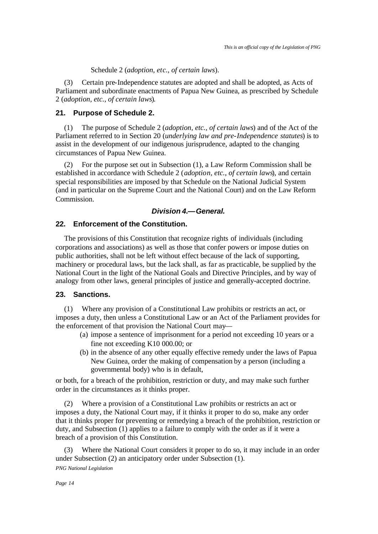#### Schedule 2 (*adoption, etc., of certain laws*).

(3) Certain pre-Independence statutes are adopted and shall be adopted, as Acts of Parliament and subordinate enactments of Papua New Guinea, as prescribed by Schedule 2 (*adoption, etc., of certain laws*).

# **21. Purpose of Schedule 2.**

(1) The purpose of Schedule 2 (*adoption, etc., of certain laws*) and of the Act of the Parliament referred to in Section 20 (*underlying law and pre-Independence statutes*) is to assist in the development of our indigenous jurisprudence, adapted to the changing circumstances of Papua New Guinea.

(2) For the purpose set out in Subsection (1), a Law Reform Commission shall be established in accordance with Schedule 2 (*adoption, etc., of certain laws*), and certain special responsibilities are imposed by that Schedule on the National Judicial System (and in particular on the Supreme Court and the National Court) and on the Law Reform Commission.

# *Division 4.—General.*

# **22. Enforcement of the Constitution.**

The provisions of this Constitution that recognize rights of individuals (including corporations and associations) as well as those that confer powers or impose duties on public authorities, shall not be left without effect because of the lack of supporting, machinery or procedural laws, but the lack shall, as far as practicable, be supplied by the National Court in the light of the National Goals and Directive Principles, and by way of analogy from other laws, general principles of justice and generally-accepted doctrine.

# **23. Sanctions.**

(1) Where any provision of a Constitutional Law prohibits or restricts an act, or imposes a duty, then unless a Constitutional Law or an Act of the Parliament provides for the enforcement of that provision the National Court may—

- (a) impose a sentence of imprisonment for a period not exceeding 10 years or a fine not exceeding K10 000.00; or
- (b) in the absence of any other equally effective remedy under the laws of Papua New Guinea, order the making of compensation by a person (including a governmental body) who is in default,

or both, for a breach of the prohibition, restriction or duty, and may make such further order in the circumstances as it thinks proper.

(2) Where a provision of a Constitutional Law prohibits or restricts an act or imposes a duty, the National Court may, if it thinks it proper to do so, make any order that it thinks proper for preventing or remedying a breach of the prohibition, restriction or duty, and Subsection (1) applies to a failure to comply with the order as if it were a breach of a provision of this Constitution.

Where the National Court considers it proper to do so, it may include in an order under Subsection (2) an anticipatory order under Subsection (1).

*PNG National Legislation*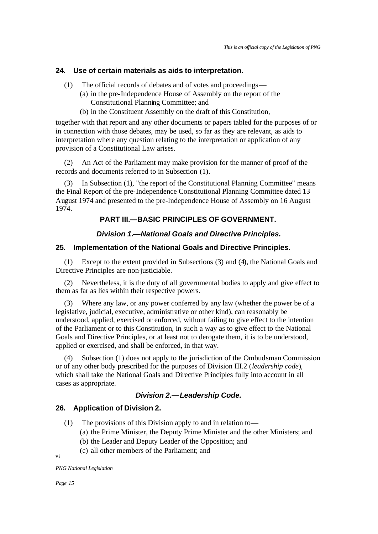#### **24. Use of certain materials as aids to interpretation.**

- (1) The official records of debates and of votes and proceedings—
	- (a) in the pre-Independence House of Assembly on the report of the Constitutional Planning Committee; and
	- (b) in the Constituent Assembly on the draft of this Constitution,

together with that report and any other documents or papers tabled for the purposes of or in connection with those debates, may be used, so far as they are relevant, as aids to interpretation where any question relating to the interpretation or application of any provision of a Constitutional Law arises.

(2) An Act of the Parliament may make provision for the manner of proof of the records and documents referred to in Subsection (1).

In Subsection (1), "the report of the Constitutional Planning Committee" means the Final Report of the pre-Independence Constitutional Planning Committee dated 13 August 1974 and presented to the pre-Independence House of Assembly on 16 August 1974.

# **PART III.—BASIC PRINCIPLES OF GOVERNMENT.**

# *Division 1.—National Goals and Directive Principles.*

#### **25. Implementation of the National Goals and Directive Principles.**

(1) Except to the extent provided in Subsections (3) and (4), the National Goals and Directive Principles are non-justiciable.

(2) Nevertheless, it is the duty of all governmental bodies to apply and give effect to them as far as lies within their respective powers.

(3) Where any law, or any power conferred by any law (whether the power be of a legislative, judicial, executive, administrative or other kind), can reasonably be understood, applied, exercised or enforced, without failing to give effect to the intention of the Parliament or to this Constitution, in such a way as to give effect to the National Goals and Directive Principles, or at least not to derogate them, it is to be understood, applied or exercised, and shall be enforced, in that way.

(4) Subsection (1) does not apply to the jurisdiction of the Ombudsman Commission or of any other body prescribed for the purposes of Division III.2 (*leadership code*), which shall take the National Goals and Directive Principles fully into account in all cases as appropriate.

# *Division 2.—Leadership Code.*

#### **26. Application of Division 2.**

- (1) The provisions of this Division apply to and in relation to—
	- (a) the Prime Minister, the Deputy Prime Minister and the other Ministers; and
	- (b) the Leader and Deputy Leader of the Opposition; and
	- (c) all other members of the Parliament; and

vi

*PNG National Legislation*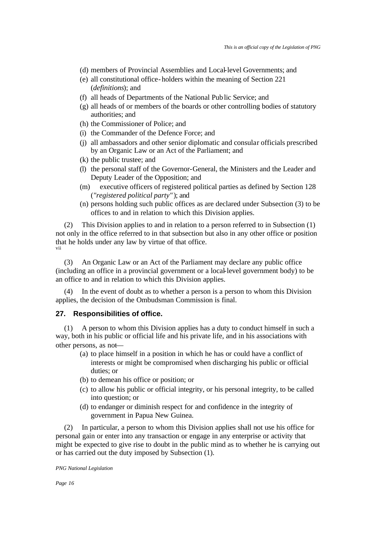- (d) members of Provincial Assemblies and Local-level Governments; and
- (e) all constitutional office-holders within the meaning of Section 221 (*definitions*); and
- (f) all heads of Departments of the National Pub lic Service; and
- (g) all heads of or members of the boards or other controlling bodies of statutory authorities; and
- (h) the Commissioner of Police; and
- (i) the Commander of the Defence Force; and
- (j) all ambassadors and other senior diplomatic and consular officials prescribed by an Organic Law or an Act of the Parliament; and
- (k) the public trustee; and
- (l) the personal staff of the Governor-General, the Ministers and the Leader and Deputy Leader of the Opposition; and
- (m) executive officers of registered political parties as defined by Section 128 (*"registered political party"* ); and
- (n) persons holding such public offices as are declared under Subsection (3) to be offices to and in relation to which this Division applies.

(2) This Division applies to and in relation to a person referred to in Subsection (1) not only in the office referred to in that subsection but also in any other office or position that he holds under any law by virtue of that office. vii

(3) An Organic Law or an Act of the Parliament may declare any public office (including an office in a provincial government or a local-level government body) to be an office to and in relation to which this Division applies.

In the event of doubt as to whether a person is a person to whom this Division applies, the decision of the Ombudsman Commission is final.

#### **27. Responsibilities of office.**

(1) A person to whom this Division applies has a duty to conduct himself in such a way, both in his public or official life and his private life, and in his associations with other persons, as not—

- (a) to place himself in a position in which he has or could have a conflict of interests or might be compromised when discharging his public or official duties; or
- (b) to demean his office or position; or
- (c) to allow his public or official integrity, or his personal integrity, to be called into question; or
- (d) to endanger or diminish respect for and confidence in the integrity of government in Papua New Guinea.

(2) In particular, a person to whom this Division applies shall not use his office for personal gain or enter into any transaction or engage in any enterprise or activity that might be expected to give rise to doubt in the public mind as to whether he is carrying out or has carried out the duty imposed by Subsection (1).

*PNG National Legislation*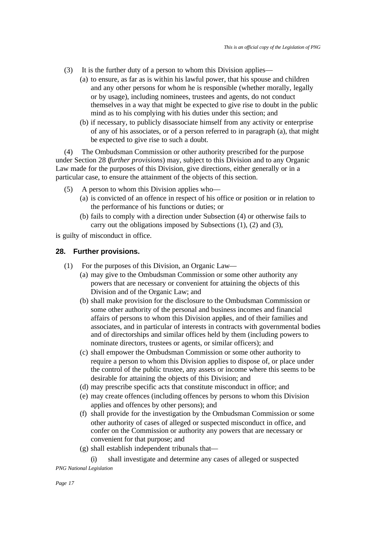- (3) It is the further duty of a person to whom this Division applies—
	- (a) to ensure, as far as is within his lawful power, that his spouse and children and any other persons for whom he is responsible (whether morally, legally or by usage), including nominees, trustees and agents, do not conduct themselves in a way that might be expected to give rise to doubt in the public mind as to his complying with his duties under this section; and
	- (b) if necessary, to publicly disassociate himself from any activity or enterprise of any of his associates, or of a person referred to in paragraph (a), that might be expected to give rise to such a doubt.

(4) The Ombudsman Commission or other authority prescribed for the purpose under Section 28 (*further provisions*) may, subject to this Division and to any Organic Law made for the purposes of this Division, give directions, either generally or in a particular case, to ensure the attainment of the objects of this section.

- (5) A person to whom this Division applies who—
	- (a) is convicted of an offence in respect of his office or position or in relation to the performance of his functions or duties; or
	- (b) fails to comply with a direction under Subsection (4) or otherwise fails to carry out the obligations imposed by Subsections (1), (2) and (3),

is guilty of misconduct in office.

#### **28. Further provisions.**

- (1) For the purposes of this Division, an Organic Law—
	- (a) may give to the Ombudsman Commission or some other authority any powers that are necessary or convenient for attaining the objects of this Division and of the Organic Law; and
	- (b) shall make provision for the disclosure to the Ombudsman Commission or some other authority of the personal and business incomes and financial affairs of persons to whom this Division applies, and of their families and associates, and in particular of interests in contracts with governmental bodies and of directorships and similar offices held by them (including powers to nominate directors, trustees or agents, or similar officers); and
	- (c) shall empower the Ombudsman Commission or some other authority to require a person to whom this Division applies to dispose of, or place under the control of the public trustee, any assets or income where this seems to be desirable for attaining the objects of this Division; and
	- (d) may prescribe specific acts that constitute misconduct in office; and
	- (e) may create offences (including offences by persons to whom this Division applies and offences by other persons); and
	- (f) shall provide for the investigation by the Ombudsman Commission or some other authority of cases of alleged or suspected misconduct in office, and confer on the Commission or authority any powers that are necessary or convenient for that purpose; and
	- (g) shall establish independent tribunals that—

*PNG National Legislation* (i) shall investigate and determine any cases of alleged or suspected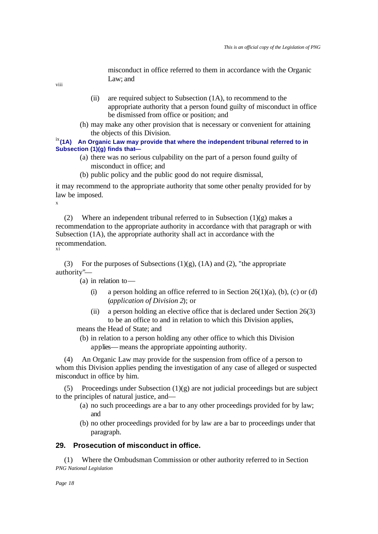misconduct in office referred to them in accordance with the Organic Law; and

viii

- (ii) are required subject to Subsection (1A), to recommend to the appropriate authority that a person found guilty of misconduct in office be dismissed from office or position; and
- (h) may make any other provision that is necessary or convenient for attaining the objects of this Division.

#### ix**(1A) An Organic Law may provide that where the independent tribunal referred to in Subsection (1)(g) finds that—**

- (a) there was no serious culpability on the part of a person found guilty of misconduct in office; and
- (b) public policy and the public good do not require dismissal,

it may recommend to the appropriate authority that some other penalty provided for by law be imposed.

x

(2) Where an independent tribunal referred to in Subsection  $(1)(g)$  makes a recommendation to the appropriate authority in accordance with that paragraph or with Subsection (1A), the appropriate authority shall act in accordance with the recommendation.

xi

(3) For the purposes of Subsections  $(1)(g)$ ,  $(1A)$  and  $(2)$ , "the appropriate authority"—

(a) in relation to—

- (i) a person holding an office referred to in Section 26(1)(a), (b), (c) or (d) (*application of Division 2*); or
- (ii) a person holding an elective office that is declared under Section 26(3) to be an office to and in relation to which this Division applies,

means the Head of State; and

(b) in relation to a person holding any other office to which this Division applies—means the appropriate appointing authority.

(4) An Organic Law may provide for the suspension from office of a person to whom this Division applies pending the investigation of any case of alleged or suspected misconduct in office by him.

(5) Proceedings under Subsection  $(1)(g)$  are not judicial proceedings but are subject to the principles of natural justice, and—

- (a) no such proceedings are a bar to any other proceedings provided for by law; and
- (b) no other proceedings provided for by law are a bar to proceedings under that paragraph.

# **29. Prosecution of misconduct in office.**

*PNG National Legislation* (1) Where the Ombudsman Commission or other authority referred to in Section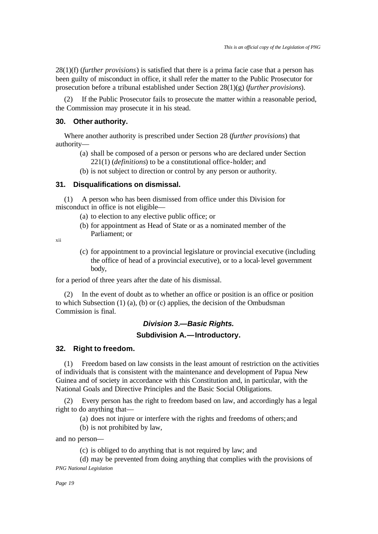28(1)(f) (*further provisions*) is satisfied that there is a prima facie case that a person has been guilty of misconduct in office, it shall refer the matter to the Public Prosecutor for prosecution before a tribunal established under Section 28(1)(g) (*further provisions*).

If the Public Prosecutor fails to prosecute the matter within a reasonable period, the Commission may prosecute it in his stead.

# **30. Other authority.**

Where another authority is prescribed under Section 28 (*further provisions*) that authority—

- (a) shall be composed of a person or persons who are declared under Section 221(1) (*definitions*) to be a constitutional office-holder; and
- (b) is not subject to direction or control by any person or authority.

# **31. Disqualifications on dismissal.**

(1) A person who has been dismissed from office under this Division for misconduct in office is not eligible—

- (a) to election to any elective public office; or
- (b) for appointment as Head of State or as a nominated member of the Parliament; or

xii

(c) for appointment to a provincial legislature or provincial executive (including the office of head of a provincial executive), or to a local-level government body,

for a period of three years after the date of his dismissal.

(2) In the event of doubt as to whether an office or position is an office or position to which Subsection (1) (a), (b) or (c) applies, the decision of the Ombudsman Commission is final.

# *Division 3.—Basic Rights.* **Subdivision A.—Introductory.**

# **32. Right to freedom.**

(1) Freedom based on law consists in the least amount of restriction on the activities of individuals that is consistent with the maintenance and development of Papua New Guinea and of society in accordance with this Constitution and, in particular, with the National Goals and Directive Principles and the Basic Social Obligations.

(2) Every person has the right to freedom based on law, and accordingly has a legal right to do anything that—

(a) does not injure or interfere with the rights and freedoms of others; and

(b) is not prohibited by law,

and no person—

(c) is obliged to do anything that is not required by law; and

*PNG National Legislation* (d) may be prevented from doing anything that complies with the provisions of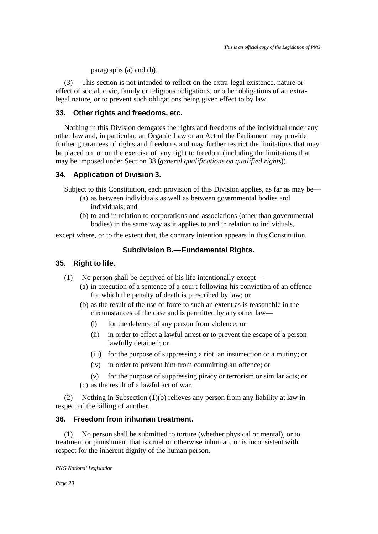#### paragraphs (a) and (b).

(3) This section is not intended to reflect on the extra-legal existence, nature or effect of social, civic, family or religious obligations, or other obligations of an extralegal nature, or to prevent such obligations being given effect to by law.

#### **33. Other rights and freedoms, etc.**

Nothing in this Division derogates the rights and freedoms of the individual under any other law and, in particular, an Organic Law or an Act of the Parliament may provide further guarantees of rights and freedoms and may further restrict the limitations that may be placed on, or on the exercise of, any right to freedom (including the limitations that may be imposed under Section 38 (*general qualifications on qualified rights*)).

# **34. Application of Division 3.**

Subject to this Constitution, each provision of this Division applies, as far as may be—

- (a) as between individuals as well as between governmental bodies and individuals; and
- (b) to and in relation to corporations and associations (other than governmental bodies) in the same way as it applies to and in relation to individuals,

except where, or to the extent that, the contrary intention appears in this Constitution.

# **Subdivision B.—Fundamental Rights.**

# **35. Right to life.**

- (1) No person shall be deprived of his life intentionally except—
	- (a) in execution of a sentence of a court following his conviction of an offence for which the penalty of death is prescribed by law; or
	- (b) as the result of the use of force to such an extent as is reasonable in the circumstances of the case and is permitted by any other law—
		- (i) for the defence of any person from violence; or
		- (ii) in order to effect a lawful arrest or to prevent the escape of a person lawfully detained; or
		- (iii) for the purpose of suppressing a riot, an insurrection or a mutiny; or
		- (iv) in order to prevent him from committing an offence; or
	- (v) for the purpose of suppressing piracy or terrorism or similar acts; or (c) as the result of a lawful act of war.

(2) Nothing in Subsection (1)(b) relieves any person from any liability at law in respect of the killing of another.

#### **36. Freedom from inhuman treatment.**

(1) No person shall be submitted to torture (whether physical or mental), or to treatment or punishment that is cruel or otherwise inhuman, or is inconsistent with respect for the inherent dignity of the human person.

*PNG National Legislation*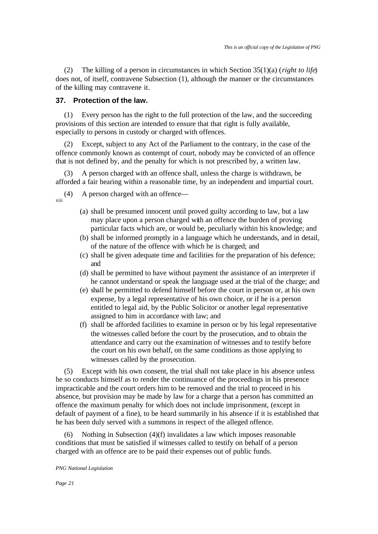(2) The killing of a person in circumstances in which Section 35(1)(a) (*right to life*) does not, of itself, contravene Subsection (1), although the manner or the circumstances of the killing may contravene it.

# **37. Protection of the law.**

(1) Every person has the right to the full protection of the law, and the succeeding provisions of this section are intended to ensure that that right is fully available, especially to persons in custody or charged with offences.

(2) Except, subject to any Act of the Parliament to the contrary, in the case of the offence commonly known as contempt of court, nobody may be convicted of an offence that is not defined by, and the penalty for which is not prescribed by, a written law.

(3) A person charged with an offence shall, unless the charge is withdrawn, be afforded a fair hearing within a reasonable time, by an independent and impartial court.

A person charged with an offence—  $\chi$ iii<sup>(4)</sup>

- 
- (a) shall be presumed innocent until proved guilty according to law, but a law may place upon a person charged with an offence the burden of proving particular facts which are, or would be, peculiarly within his knowledge; and
- (b) shall be informed promptly in a language which he understands, and in detail, of the nature of the offence with which he is charged; and
- (c) shall be given adequate time and facilities for the preparation of his defence; and
- (d) shall be permitted to have without payment the assistance of an interpreter if he cannot understand or speak the language used at the trial of the charge; and
- (e) shall be permitted to defend himself before the court in person or, at his own expense, by a legal representative of his own choice, or if he is a person entitled to legal aid, by the Public Solicitor or another legal representative assigned to him in accordance with law; and
- (f) shall be afforded facilities to examine in person or by his legal representative the witnesses called before the court by the prosecution, and to obtain the attendance and carry out the examination of witnesses and to testify before the court on his own behalf, on the same conditions as those applying to witnesses called by the prosecution.

(5) Except with his own consent, the trial shall not take place in his absence unless he so conducts himself as to render the continuance of the proceedings in his presence impracticable and the court orders him to be removed and the trial to proceed in his absence, but provision may be made by law for a charge that a person has committed an offence the maximum penalty for which does not include imprisonment, (except in default of payment of a fine), to be heard summarily in his absence if it is established that he has been duly served with a summons in respect of the alleged offence.

(6) Nothing in Subsection (4)(f) invalidates a law which imposes reasonable conditions that must be satisfied if witnesses called to testify on behalf of a person charged with an offence are to be paid their expenses out of public funds.

#### *PNG National Legislation*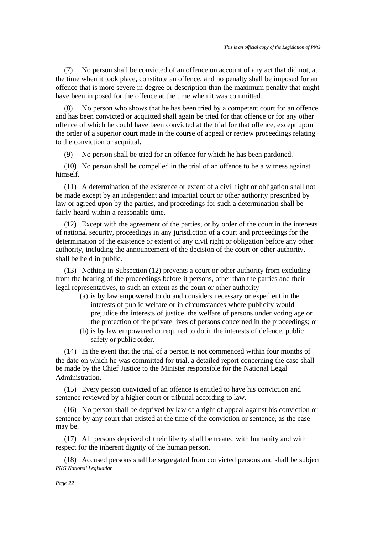(7) No person shall be convicted of an offence on account of any act that did not, at the time when it took place, constitute an offence, and no penalty shall be imposed for an offence that is more severe in degree or description than the maximum penalty that might have been imposed for the offence at the time when it was committed.

No person who shows that he has been tried by a competent court for an offence and has been convicted or acquitted shall again be tried for that offence or for any other offence of which he could have been convicted at the trial for that offence, except upon the order of a superior court made in the course of appeal or review proceedings relating to the conviction or acquittal.

(9) No person shall be tried for an offence for which he has been pardoned.

(10) No person shall be compelled in the trial of an offence to be a witness against himself.

(11) A determination of the existence or extent of a civil right or obligation shall not be made except by an independent and impartial court or other authority prescribed by law or agreed upon by the parties, and proceedings for such a determination shall be fairly heard within a reasonable time.

(12) Except with the agreement of the parties, or by order of the court in the interests of national security, proceedings in any jurisdiction of a court and proceedings for the determination of the existence or extent of any civil right or obligation before any other authority, including the announcement of the decision of the court or other authority, shall be held in public.

(13) Nothing in Subsection (12) prevents a court or other authority from excluding from the hearing of the proceedings before it persons, other than the parties and their legal representatives, to such an extent as the court or other authority—

- (a) is by law empowered to do and considers necessary or expedient in the interests of public welfare or in circumstances where publicity would prejudice the interests of justice, the welfare of persons under voting age or the protection of the private lives of persons concerned in the proceedings; or
- (b) is by law empowered or required to do in the interests of defence, public safety or public order.

(14) In the event that the trial of a person is not commenced within four months of the date on which he was committed for trial, a detailed report concerning the case shall be made by the Chief Justice to the Minister responsible for the National Legal Administration.

(15) Every person convicted of an offence is entitled to have his conviction and sentence reviewed by a higher court or tribunal according to law.

(16) No person shall be deprived by law of a right of appeal against his conviction or sentence by any court that existed at the time of the conviction or sentence, as the case may be.

(17) All persons deprived of their liberty shall be treated with humanity and with respect for the inherent dignity of the human person.

*PNG National Legislation* (18) Accused persons shall be segregated from convicted persons and shall be subject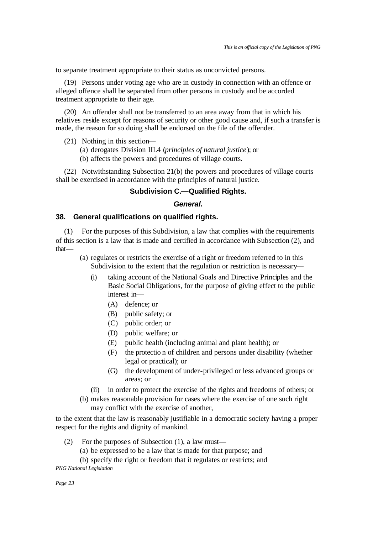to separate treatment appropriate to their status as unconvicted persons.

(19) Persons under voting age who are in custody in connection with an offence or alleged offence shall be separated from other persons in custody and be accorded treatment appropriate to their age.

(20) An offender shall not be transferred to an area away from that in which his relatives reside except for reasons of security or other good cause and, if such a transfer is made, the reason for so doing shall be endorsed on the file of the offender.

- (21) Nothing in this section—
	- (a) derogates Division III.4 (*principles of natural justice*); or
	- (b) affects the powers and procedures of village courts.

(22) Notwithstanding Subsection 21(b) the powers and procedures of village courts shall be exercised in accordance with the principles of natural justice.

# **Subdivision C.—Qualified Rights.**

# *General.*

# **38. General qualifications on qualified rights.**

(1) For the purposes of this Subdivision, a law that complies with the requirements of this section is a law that is made and certified in accordance with Subsection (2), and that—

- (a) regulates or restricts the exercise of a right or freedom referred to in this Subdivision to the extent that the regulation or restriction is necessary—
	- (i) taking account of the National Goals and Directive Principles and the Basic Social Obligations, for the purpose of giving effect to the public interest in—
		- (A) defence; or
		- (B) public safety; or
		- (C) public order; or
		- (D) public welfare; or
		- (E) public health (including animal and plant health); or
		- (F) the protectio n of children and persons under disability (whether legal or practical); or
		- (G) the development of under-privileged or less advanced groups or areas; or
	- (ii) in order to protect the exercise of the rights and freedoms of others; or
- (b) makes reasonable provision for cases where the exercise of one such right may conflict with the exercise of another,

to the extent that the law is reasonably justifiable in a democratic society having a proper respect for the rights and dignity of mankind.

- (2) For the purpose s of Subsection (1), a law must—
	- (a) be expressed to be a law that is made for that purpose; and
	- (b) specify the right or freedom that it regulates or restricts; and

*PNG National Legislation*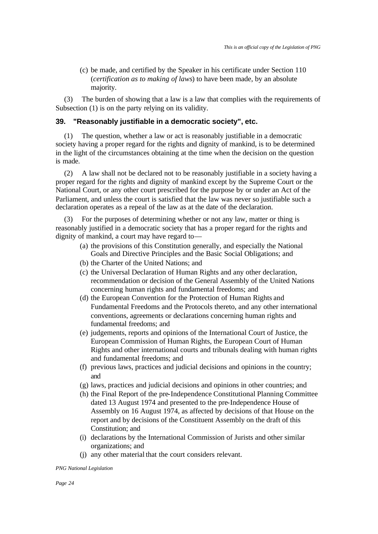(c) be made, and certified by the Speaker in his certificate under Section 110 (*certification as to making of laws*) to have been made, by an absolute majority.

(3) The burden of showing that a law is a law that complies with the requirements of Subsection (1) is on the party relying on its validity.

# **39. "Reasonably justifiable in a democratic society", etc.**

(1) The question, whether a law or act is reasonably justifiable in a democratic society having a proper regard for the rights and dignity of mankind, is to be determined in the light of the circumstances obtaining at the time when the decision on the question is made.

(2) A law shall not be declared not to be reasonably justifiable in a society having a proper regard for the rights and dignity of mankind except by the Supreme Court or the National Court, or any other court prescribed for the purpose by or under an Act of the Parliament, and unless the court is satisfied that the law was never so justifiable such a declaration operates as a repeal of the law as at the date of the declaration.

(3) For the purposes of determining whether or not any law, matter or thing is reasonably justified in a democratic society that has a proper regard for the rights and dignity of mankind, a court may have regard to—

- (a) the provisions of this Constitution generally, and especially the National Goals and Directive Principles and the Basic Social Obligations; and
- (b) the Charter of the United Nations; and
- (c) the Universal Declaration of Human Rights and any other declaration, recommendation or decision of the General Assembly of the United Nations concerning human rights and fundamental freedoms; and
- (d) the European Convention for the Protection of Human Rights and Fundamental Freedoms and the Protocols thereto, and any other international conventions, agreements or declarations concerning human rights and fundamental freedoms; and
- (e) judgements, reports and opinions of the International Court of Justice, the European Commission of Human Rights, the European Court of Human Rights and other international courts and tribunals dealing with human rights and fundamental freedoms; and
- (f) previous laws, practices and judicial decisions and opinions in the country; and
- (g) laws, practices and judicial decisions and opinions in other countries; and
- (h) the Final Report of the pre-Independence Constitutional Planning Committee dated 13 August 1974 and presented to the pre-Independence House of Assembly on 16 August 1974, as affected by decisions of that House on the report and by decisions of the Constituent Assembly on the draft of this Constitution; and
- (i) declarations by the International Commission of Jurists and other similar organizations; and
- (j) any other material that the court considers relevant.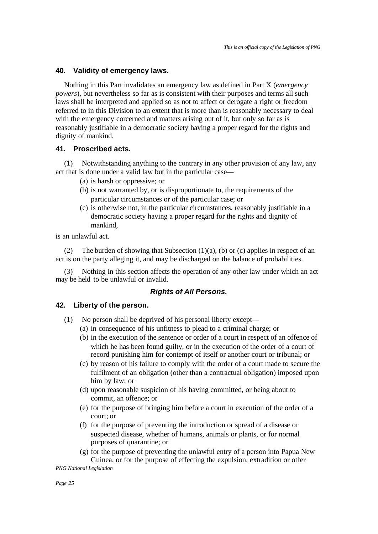#### **40. Validity of emergency laws.**

Nothing in this Part invalidates an emergency law as defined in Part X (*emergency powers*), but nevertheless so far as is consistent with their purposes and terms all such laws shall be interpreted and applied so as not to affect or derogate a right or freedom referred to in this Division to an extent that is more than is reasonably necessary to deal with the emergency concerned and matters arising out of it, but only so far as is reasonably justifiable in a democratic society having a proper regard for the rights and dignity of mankind.

# **41. Proscribed acts.**

(1) Notwithstanding anything to the contrary in any other provision of any law, any act that is done under a valid law but in the particular case—

- (a) is harsh or oppressive; or
- (b) is not warranted by, or is disproportionate to, the requirements of the particular circumstances or of the particular case; or
- (c) is otherwise not, in the particular circumstances, reasonably justifiable in a democratic society having a proper regard for the rights and dignity of mankind,

is an unlawful act.

(2) The burden of showing that Subsection  $(1)(a)$ , (b) or (c) applies in respect of an act is on the party alleging it, and may be discharged on the balance of probabilities.

(3) Nothing in this section affects the operation of any other law under which an act may be held to be unlawful or invalid.

#### *Rights of All Persons.*

#### **42. Liberty of the person.**

- (1) No person shall be deprived of his personal liberty except—
	- (a) in consequence of his unfitness to plead to a criminal charge; or
	- (b) in the execution of the sentence or order of a court in respect of an offence of which he has been found guilty, or in the execution of the order of a court of record punishing him for contempt of itself or another court or tribunal; or
	- (c) by reason of his failure to comply with the order of a court made to secure the fulfilment of an obligation (other than a contractual obligation) imposed upon him by law; or
	- (d) upon reasonable suspicion of his having committed, or being about to commit, an offence; or
	- (e) for the purpose of bringing him before a court in execution of the order of a court; or
	- (f) for the purpose of preventing the introduction or spread of a disease or suspected disease, whether of humans, animals or plants, or for normal purposes of quarantine; or
	- (g) for the purpose of preventing the unlawful entry of a person into Papua New Guinea, or for the purpose of effecting the expulsion, extradition or other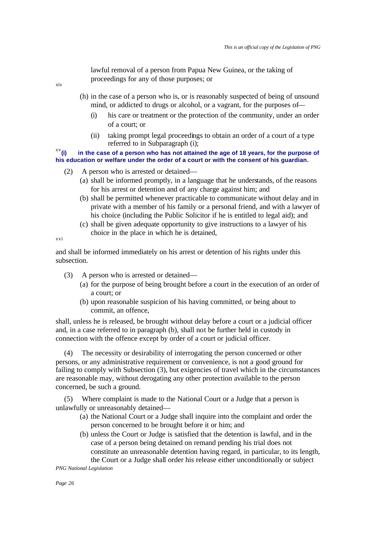lawful removal of a person from Papua New Guinea, or the taking of proceedings for any of those purposes; or

xiv

- (h) in the case of a person who is, or is reasonably suspected of being of unsound mind, or addicted to drugs or alcohol, or a vagrant, for the purposes of—
	- (i) his care or treatment or the protection of the community, under an order of a court; or
	- (ii) taking prompt legal proceedings to obtain an order of a court of a type referred to in Subparagraph (i);

xv**(i) in the case of a person who has not attained the age of 18 years, for the purpose of his education or welfare under the order of a court or with the consent of his guardian.**

- (2) A person who is arrested or detained—
	- (a) shall be informed promptly, in a language that he understands, of the reasons for his arrest or detention and of any charge against him; and
	- (b) shall be permitted whenever practicable to communicate without delay and in private with a member of his family or a personal friend, and with a lawyer of his choice (including the Public Solicitor if he is entitled to legal aid); and
	- (c) shall be given adequate opportunity to give instructions to a lawyer of his choice in the place in which he is detained,

xvi

and shall be informed immediately on his arrest or detention of his rights under this subsection.

- (3) A person who is arrested or detained—
	- (a) for the purpose of being brought before a court in the execution of an order of a court; or
	- (b) upon reasonable suspicion of his having committed, or being about to commit, an offence,

shall, unless he is released, be brought without delay before a court or a judicial officer and, in a case referred to in paragraph (b), shall not be further held in custody in connection with the offence except by order of a court or judicial officer.

(4) The necessity or desirability of interrogating the person concerned or other persons, or any administrative requirement or convenience, is not a good ground for failing to comply with Subsection (3), but exigencies of travel which in the circumstances are reasonable may, without derogating any other protection available to the person concerned, be such a ground.

(5) Where complaint is made to the National Court or a Judge that a person is unlawfully or unreasonably detained—

- (a) the National Court or a Judge shall inquire into the complaint and order the person concerned to be brought before it or him; and
- (b) unless the Court or Judge is satisfied that the detention is lawful, and in the case of a person being detained on remand pending his trial does not constitute an unreasonable detention having regard, in particular, to its length, the Court or a Judge shall order his release either unconditionally or subject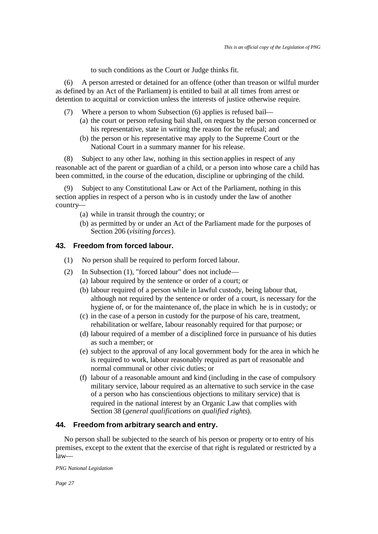to such conditions as the Court or Judge thinks fit.

(6) A person arrested or detained for an offence (other than treason or wilful murder as defined by an Act of the Parliament) is entitled to bail at all times from arrest or detention to acquittal or conviction unless the interests of justice otherwise require.

- (7) Where a person to whom Subsection (6) applies is refused bail—
	- (a) the court or person refusing bail shall, on request by the person concerned or his representative, state in writing the reason for the refusal; and
	- (b) the person or his representative may apply to the Supreme Court or the National Court in a summary manner for his release.

(8) Subject to any other law, nothing in this section applies in respect of any reasonable act of the parent or guardian of a child, or a person into whose care a child has been committed, in the course of the education, discipline or upbringing of the child.

Subject to any Constitutional Law or Act of the Parliament, nothing in this section applies in respect of a person who is in custody under the law of another country—

- (a) while in transit through the country; or
- (b) as permitted by or under an Act of the Parliament made for the purposes of Section 206 (*visiting forces*).

# **43. Freedom from forced labour.**

- (1) No person shall be required to perform forced labour.
- (2) In Subsection (1), "forced labour" does not include—
	- (a) labour required by the sentence or order of a court; or
	- (b) labour required of a person while in lawful custody, being labour that, although not required by the sentence or order of a court, is necessary for the hygiene of, or for the maintenance of, the place in which he is in custody; or
	- (c) in the case of a person in custody for the purpose of his care, treatment, rehabilitation or welfare, labour reasonably required for that purpose; or
	- (d) labour required of a member of a disciplined force in pursuance of his duties as such a member; or
	- (e) subject to the approval of any local government body for the area in which he is required to work, labour reasonably required as part of reasonable and normal communal or other civic duties; or
	- (f) labour of a reasonable amount and kind (including in the case of compulsory military service, labour required as an alternative to such service in the case of a person who has conscientious objections to military service) that is required in the national interest by an Organic Law that complies with Section 38 (*general qualifications on qualified rights*).

# **44. Freedom from arbitrary search and entry.**

No person shall be subjected to the search of his person or property or to entry of his premises, except to the extent that the exercise of that right is regulated or restricted by a law—

*PNG National Legislation*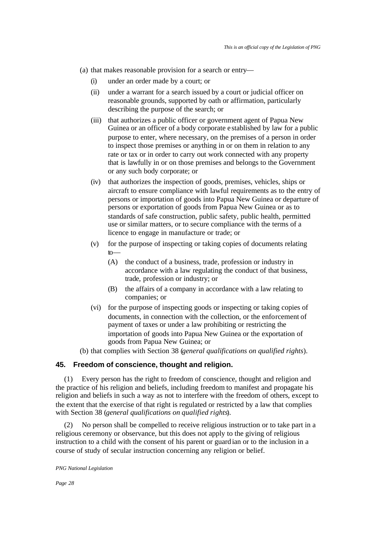(a) that makes reasonable provision for a search or entry—

- (i) under an order made by a court; or
- (ii) under a warrant for a search issued by a court or judicial officer on reasonable grounds, supported by oath or affirmation, particularly describing the purpose of the search; or
- (iii) that authorizes a public officer or government agent of Papua New Guinea or an officer of a body corporate e stablished by law for a public purpose to enter, where necessary, on the premises of a person in order to inspect those premises or anything in or on them in relation to any rate or tax or in order to carry out work connected with any property that is lawfully in or on those premises and belongs to the Government or any such body corporate; or
- (iv) that authorizes the inspection of goods, premises, vehicles, ships or aircraft to ensure compliance with lawful requirements as to the entry of persons or importation of goods into Papua New Guinea or departure of persons or exportation of goods from Papua New Guinea or as to standards of safe construction, public safety, public health, permitted use or similar matters, or to secure compliance with the terms of a licence to engage in manufacture or trade; or
- (v) for the purpose of inspecting or taking copies of documents relating  $to$ —
	- (A) the conduct of a business, trade, profession or industry in accordance with a law regulating the conduct of that business, trade, profession or industry; or
	- (B) the affairs of a company in accordance with a law relating to companies; or
- (vi) for the purpose of inspecting goods or inspecting or taking copies of documents, in connection with the collection, or the enforcement of payment of taxes or under a law prohibiting or restricting the importation of goods into Papua New Guinea or the exportation of goods from Papua New Guinea; or
- (b) that complies with Section 38 (*general qualifications on qualified rights*).

# **45. Freedom of conscience, thought and religion.**

(1) Every person has the right to freedom of conscience, thought and religion and the practice of his religion and beliefs, including freedom to manifest and propagate his religion and beliefs in such a way as not to interfere with the freedom of others, except to the extent that the exercise of that right is regulated or restricted by a law that complies with Section 38 (*general qualifications on qualified rights*).

No person shall be compelled to receive religious instruction or to take part in a religious ceremony or observance, but this does not apply to the giving of religious instruction to a child with the consent of his parent or guardian or to the inclusion in a course of study of secular instruction concerning any religion or belief.

*PNG National Legislation*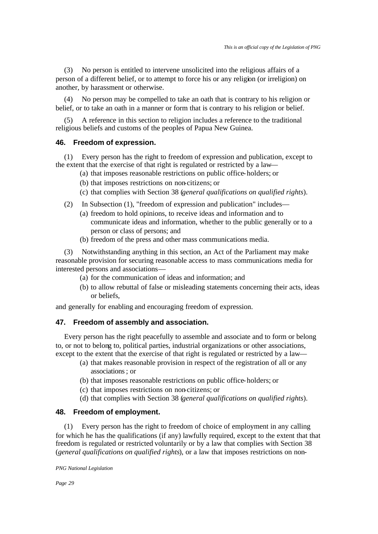(3) No person is entitled to intervene unsolicited into the religious affairs of a person of a different belief, or to attempt to force his or any religion (or irreligion) on another, by harassment or otherwise.

(4) No person may be compelled to take an oath that is contrary to his religion or belief, or to take an oath in a manner or form that is contrary to his religion or belief.

(5) A reference in this section to religion includes a reference to the traditional religious beliefs and customs of the peoples of Papua New Guinea.

# **46. Freedom of expression.**

(1) Every person has the right to freedom of expression and publication, except to the extent that the exercise of that right is regulated or restricted by a law—

- (a) that imposes reasonable restrictions on public office-holders; or
	- (b) that imposes restrictions on non-citizens; or
	- (c) that complies with Section 38 (*general qualifications on qualified rights*).
- (2) In Subsection (1), "freedom of expression and publication" includes—
	- (a) freedom to hold opinions, to receive ideas and information and to communicate ideas and information, whether to the public generally or to a person or class of persons; and
	- (b) freedom of the press and other mass communications media.

(3) Notwithstanding anything in this section, an Act of the Parliament may make reasonable provision for securing reasonable access to mass communications media for interested persons and associations—

- (a) for the communication of ideas and information; and
- (b) to allow rebuttal of false or misleading statements concerning their acts, ideas or beliefs,

and generally for enabling and encouraging freedom of expression.

# **47. Freedom of assembly and association.**

Every person has the right peacefully to assemble and associate and to form or belong to, or not to belong to, political parties, industrial organizations or other associations, except to the extent that the exercise of that right is regulated or restricted by a law—

- (a) that makes reasonable provision in respect of the registration of all or any associations; or
- (b) that imposes reasonable restrictions on public office-holders; or
- (c) that imposes restrictions on non-citizens; or
- (d) that complies with Section 38 (*general qualifications on qualified rights*).

# **48. Freedom of employment.**

(1) Every person has the right to freedom of choice of employment in any calling for which he has the qualifications (if any) lawfully required, except to the extent that that freedom is regulated or restricted voluntarily or by a law that complies with Section 38 (*general qualifications on qualified rights*), or a law that imposes restrictions on non-

*PNG National Legislation*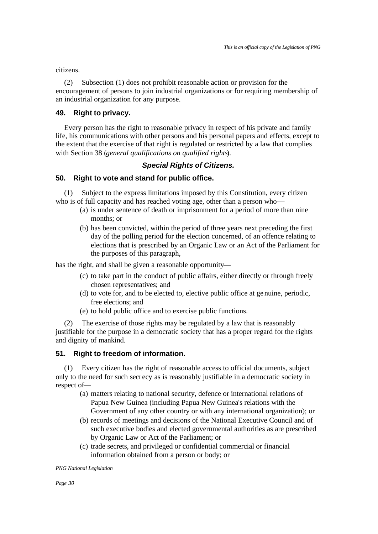citizens.

(2) Subsection (1) does not prohibit reasonable action or provision for the encouragement of persons to join industrial organizations or for requiring membership of an industrial organization for any purpose.

# **49. Right to privacy.**

Every person has the right to reasonable privacy in respect of his private and family life, his communications with other persons and his personal papers and effects, except to the extent that the exercise of that right is regulated or restricted by a law that complies with Section 38 (*general qualifications on qualified rights*).

# *Special Rights of Citizens.*

# **50. Right to vote and stand for public office.**

(1) Subject to the express limitations imposed by this Constitution, every citizen who is of full capacity and has reached voting age, other than a person who—

- (a) is under sentence of death or imprisonment for a period of more than nine months; or
- (b) has been convicted, within the period of three years next preceding the first day of the polling period for the election concerned, of an offence relating to elections that is prescribed by an Organic Law or an Act of the Parliament for the purposes of this paragraph,

has the right, and shall be given a reasonable opportunity—

- (c) to take part in the conduct of public affairs, either directly or through freely chosen representatives; and
- (d) to vote for, and to be elected to, elective public office at genuine, periodic, free elections; and
- (e) to hold public office and to exercise public functions.

(2) The exercise of those rights may be regulated by a law that is reasonably justifiable for the purpose in a democratic society that has a proper regard for the rights and dignity of mankind.

#### **51. Right to freedom of information.**

Every citizen has the right of reasonable access to official documents, subject only to the need for such secrecy as is reasonably justifiable in a democratic society in respect of—

- (a) matters relating to national security, defence or international relations of Papua New Guinea (including Papua New Guinea's relations with the Government of any other country or with any international organization); or
- (b) records of meetings and decisions of the National Executive Council and of such executive bodies and elected governmental authorities as are prescribed by Organic Law or Act of the Parliament; or
- (c) trade secrets, and privileged or confidential commercial or financial information obtained from a person or body; or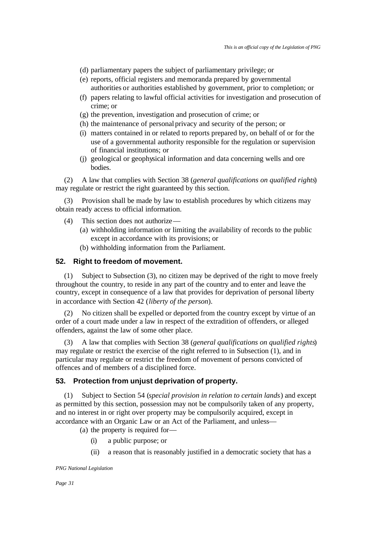- (d) parliamentary papers the subject of parliamentary privilege; or
- (e) reports, official registers and memoranda prepared by governmental authorities or authorities established by government, prior to completion; or
- (f) papers relating to lawful official activities for investigation and prosecution of crime; or
- (g) the prevention, investigation and prosecution of crime; or
- (h) the maintenance of personal privacy and security of the person; or
- (i) matters contained in or related to reports prepared by, on behalf of or for the use of a governmental authority responsible for the regulation or supervision of financial institutions; or
- (j) geological or geophysical information and data concerning wells and ore bodies.

(2) A law that complies with Section 38 (*general qualifications on qualified rights*) may regulate or restrict the right guaranteed by this section.

(3) Provision shall be made by law to establish procedures by which citizens may obtain ready access to official information.

- (4) This section does not authorize—
	- (a) withholding information or limiting the availability of records to the public except in accordance with its provisions; or
	- (b) withholding information from the Parliament.

#### **52. Right to freedom of movement.**

(1) Subject to Subsection (3), no citizen may be deprived of the right to move freely throughout the country, to reside in any part of the country and to enter and leave the country, except in consequence of a law that provides for deprivation of personal liberty in accordance with Section 42 (*liberty of the person*).

(2) No citizen shall be expelled or deported from the country except by virtue of an order of a court made under a law in respect of the extradition of offenders, or alleged offenders, against the law of some other place.

(3) A law that complies with Section 38 (*general qualifications on qualified rights*) may regulate or restrict the exercise of the right referred to in Subsection (1), and in particular may regulate or restrict the freedom of movement of persons convicted of offences and of members of a disciplined force.

#### **53. Protection from unjust deprivation of property.**

(1) Subject to Section 54 (*special provision in relation to certain lands*) and except as permitted by this section, possession may not be compulsorily taken of any property, and no interest in or right over property may be compulsorily acquired, except in accordance with an Organic Law or an Act of the Parliament, and unless—

- (a) the property is required for—
	- (i) a public purpose; or
	- (ii) a reason that is reasonably justified in a democratic society that has a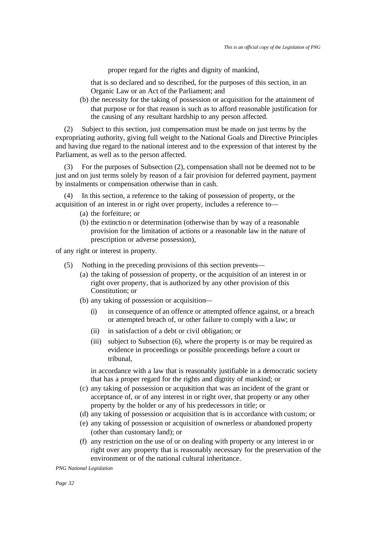proper regard for the rights and dignity of mankind,

that is so declared and so described, for the purposes of this section, in an Organic Law or an Act of the Parliament; and

(b) the necessity for the taking of possession or acquisition for the attainment of that purpose or for that reason is such as to afford reasonable justification for the causing of any resultant hardship to any person affected.

(2) Subject to this section, just compensation must be made on just terms by the expropriating authority, giving full weight to the National Goals and Directive Principles and having due regard to the national interest and to the expression of that interest by the Parliament, as well as to the person affected.

For the purposes of Subsection (2), compensation shall not be deemed not to be just and on just terms solely by reason of a fair provision for deferred payment, payment by instalments or compensation otherwise than in cash.

(4) In this section, a reference to the taking of possession of property, or the acquisition of an interest in or right over property, includes a reference to—

- (a) the forfeiture; or
- (b) the extinctio n or determination (otherwise than by way of a reasonable provision for the limitation of actions or a reasonable law in the nature of prescription or adverse possession),

of any right or interest in property.

- (5) Nothing in the preceding provisions of this section prevents—
	- (a) the taking of possession of property, or the acquisition of an interest in or right over property, that is authorized by any other provision of this Constitution; or
	- (b) any taking of possession or acquisition—
		- (i) in consequence of an offence or attempted offence against, or a breach or attempted breach of, or other failure to comply with a law; or
		- (ii) in satisfaction of a debt or civil obligation; or
		- (iii) subject to Subsection (6), where the property is or may be required as evidence in proceedings or possible proceedings before a court or tribunal,

in accordance with a law that is reasonably justifiable in a democratic society that has a proper regard for the rights and dignity of mankind; or

- (c) any taking of possession or acquisition that was an incident of the grant or acceptance of, or of any interest in or right over, that property or any other property by the holder or any of his predecessors in title; or
- (d) any taking of possession or acquisition that is in accordance with custom; or
- (e) any taking of possession or acquisition of ownerless or abandoned property (other than customary land); or
- (f) any restriction on the use of or on dealing with property or any interest in or right over any property that is reasonably necessary for the preservation of the environment or of the national cultural inheritance.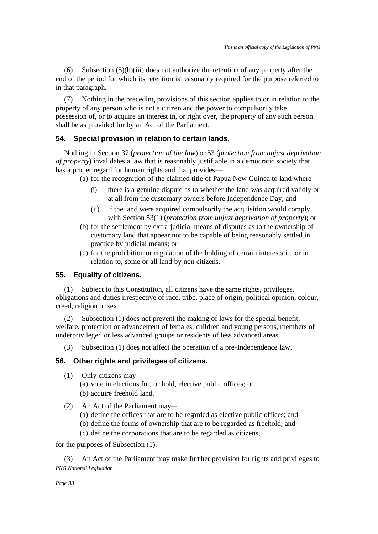(6) Subsection (5)(b)(iii) does not authorize the retention of any property after the end of the period for which its retention is reasonably required for the purpose referred to in that paragraph.

(7) Nothing in the preceding provisions of this section applies to or in relation to the property of any person who is not a citizen and the power to compulsorily take possession of, or to acquire an interest in, or right over, the property of any such person shall be as provided for by an Act of the Parliament.

# **54. Special provision in relation to certain lands.**

Nothing in Section 37 (*protection of the law*) or 53 (*protection from unjust deprivation of property*) invalidates a law that is reasonably justifiable in a democratic society that has a proper regard for human rights and that provides—

(a) for the recognition of the claimed title of Papua New Guinea to land where—

- (i) there is a genuine dispute as to whether the land was acquired validly or at all from the customary owners before Independence Day; and
- (ii) if the land were acquired compulsorily the acquisition would comply with Section 53(1) (*protection from unjust deprivation of property*); or
- (b) for the settlement by extra-judicial means of disputes as to the ownership of customary land that appear not to be capable of being reasonably settled in practice by judicial means; or
- (c) for the prohibition or regulation of the holding of certain interests in, or in relation to, some or all land by non-citizens.

# **55. Equality of citizens.**

(1) Subject to this Constitution, all citizens have the same rights, privileges, obligations and duties irrespective of race, tribe, place of origin, political opinion, colour, creed, religion or sex.

(2) Subsection (1) does not prevent the making of laws for the special benefit, welfare, protection or advancement of females, children and young persons, members of underprivileged or less advanced groups or residents of less advanced areas.

(3) Subsection (1) does not affect the operation of a pre-Independence law.

# **56. Other rights and privileges of citizens.**

- (1) Only citizens may—
	- (a) vote in elections for, or hold, elective public offices; or
	- (b) acquire freehold land.
- (2) An Act of the Parliament may—
	- (a) define the offices that are to be regarded as elective public offices; and
	- (b) define the forms of ownership that are to be regarded as freehold; and
	- (c) define the corporations that are to be regarded as citizens,

for the purposes of Subsection (1).

*PNG National Legislation* (3) An Act of the Parliament may make further provision for rights and privileges to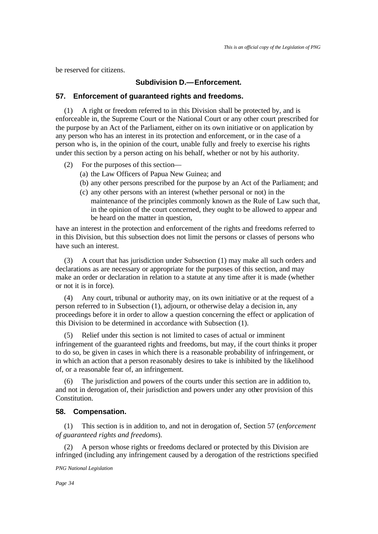be reserved for citizens.

# **Subdivision D.—Enforcement.**

#### **57. Enforcement of guaranteed rights and freedoms.**

(1) A right or freedom referred to in this Division shall be protected by, and is enforceable in, the Supreme Court or the National Court or any other court prescribed for the purpose by an Act of the Parliament, either on its own initiative or on application by any person who has an interest in its protection and enforcement, or in the case of a person who is, in the opinion of the court, unable fully and freely to exercise his rights under this section by a person acting on his behalf, whether or not by his authority.

- (2) For the purposes of this section—
	- (a) the Law Officers of Papua New Guinea; and
	- (b) any other persons prescribed for the purpose by an Act of the Parliament; and
	- (c) any other persons with an interest (whether personal or not) in the maintenance of the principles commonly known as the Rule of Law such that, in the opinion of the court concerned, they ought to be allowed to appear and be heard on the matter in question,

have an interest in the protection and enforcement of the rights and freedoms referred to in this Division, but this subsection does not limit the persons or classes of persons who have such an interest.

(3) A court that has jurisdiction under Subsection (1) may make all such orders and declarations as are necessary or appropriate for the purposes of this section, and may make an order or declaration in relation to a statute at any time after it is made (whether or not it is in force).

(4) Any court, tribunal or authority may, on its own initiative or at the request of a person referred to in Subsection (1), adjourn, or otherwise delay a decision in, any proceedings before it in order to allow a question concerning the effect or application of this Division to be determined in accordance with Subsection (1).

(5) Relief under this section is not limited to cases of actual or imminent infringement of the guaranteed rights and freedoms, but may, if the court thinks it proper to do so, be given in cases in which there is a reasonable probability of infringement, or in which an action that a person reasonably desires to take is inhibited by the likelihood of, or a reasonable fear of, an infringement.

The jurisdiction and powers of the courts under this section are in addition to, and not in derogation of, their jurisdiction and powers under any other provision of this Constitution.

#### **58. Compensation.**

(1) This section is in addition to, and not in derogation of, Section 57 (*enforcement of guaranteed rights and freedoms*).

A person whose rights or freedoms declared or protected by this Division are infringed (including any infringement caused by a derogation of the restrictions specified

*PNG National Legislation*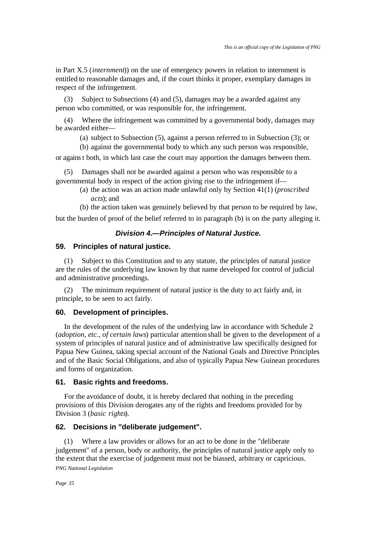in Part X.5 (*internment*)) on the use of emergency powers in relation to internment is entitled to reasonable damages and, if the court thinks it proper, exemplary damages in respect of the infringement.

(3) Subject to Subsections (4) and (5), damages may be a awarded against any person who committed, or was responsible for, the infringement.

(4) Where the infringement was committed by a governmental body, damages may be awarded either—

(a) subject to Subsection (5), against a person referred to in Subsection (3); or

(b) against the governmental body to which any such person was responsible,

or against both, in which last case the court may apportion the damages between them.

(5) Damages shall not be awarded against a person who was responsible to a governmental body in respect of the action giving rise to the infringement if—

- (a) the action was an action made unlawful only by Section 41(1) (*proscribed acts*); and
- (b) the action taken was genuinely believed by that person to be required by law,

but the burden of proof of the belief referred to in paragraph (b) is on the party alleging it.

#### *Division 4.—Principles of Natural Justice.*

# **59. Principles of natural justice.**

(1) Subject to this Constitution and to any statute, the principles of natural justice are the rules of the underlying law known by that name developed for control of judicial and administrative proceedings.

(2) The minimum requirement of natural justice is the duty to act fairly and, in principle, to be seen to act fairly.

#### **60. Development of principles.**

In the development of the rules of the underlying law in accordance with Schedule 2 (*adoption, etc., of certain laws*) particular attention shall be given to the development of a system of principles of natural justice and of administrative law specifically designed for Papua New Guinea, taking special account of the National Goals and Directive Principles and of the Basic Social Obligations, and also of typically Papua New Guinean procedures and forms of organization.

#### **61. Basic rights and freedoms.**

For the avoidance of doubt, it is hereby declared that nothing in the preceding provisions of this Division derogates any of the rights and freedoms provided for by Division 3 (*basic rights*).

# **62. Decisions in "deliberate judgement".**

*PNG National Legislation* (1) Where a law provides or allows for an act to be done in the "deliberate judgement" of a person, body or authority, the principles of natural justice apply only to the extent that the exercise of judgement must not be biassed, arbitrary or capricious.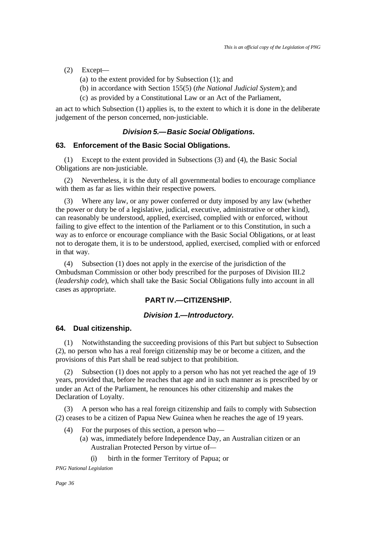- (2) Except—
	- (a) to the extent provided for by Subsection (1); and
	- (b) in accordance with Section 155(5) (*the National Judicial System*); and
	- (c) as provided by a Constitutional Law or an Act of the Parliament,

an act to which Subsection (1) applies is, to the extent to which it is done in the deliberate judgement of the person concerned, non-justiciable.

#### *Division 5.—Basic Social Obligations.*

#### **63. Enforcement of the Basic Social Obligations.**

(1) Except to the extent provided in Subsections (3) and (4), the Basic Social Obligations are non-justiciable.

(2) Nevertheless, it is the duty of all governmental bodies to encourage compliance with them as far as lies within their respective powers.

(3) Where any law, or any power conferred or duty imposed by any law (whether the power or duty be of a legislative, judicial, executive, administrative or other kind), can reasonably be understood, applied, exercised, complied with or enforced, without failing to give effect to the intention of the Parliament or to this Constitution, in such a way as to enforce or encourage compliance with the Basic Social Obligations, or at least not to derogate them, it is to be understood, applied, exercised, complied with or enforced in that way.

(4) Subsection (1) does not apply in the exercise of the jurisdiction of the Ombudsman Commission or other body prescribed for the purposes of Division III.2 (*leadership code*), which shall take the Basic Social Obligations fully into account in all cases as appropriate.

# **PART IV.—CITIZENSHIP.**

# *Division 1.—Introductory.*

#### **64. Dual citizenship.**

(1) Notwithstanding the succeeding provisions of this Part but subject to Subsection (2), no person who has a real foreign citizenship may be or become a citizen, and the provisions of this Part shall be read subject to that prohibition.

(2) Subsection (1) does not apply to a person who has not yet reached the age of 19 years, provided that, before he reaches that age and in such manner as is prescribed by or under an Act of the Parliament, he renounces his other citizenship and makes the Declaration of Loyalty.

(3) A person who has a real foreign citizenship and fails to comply with Subsection (2) ceases to be a citizen of Papua New Guinea when he reaches the age of 19 years.

- (4) For the purposes of this section, a person who—
	- (a) was, immediately before Independence Day, an Australian citizen or an Australian Protected Person by virtue of—
		- (i) birth in the former Territory of Papua; or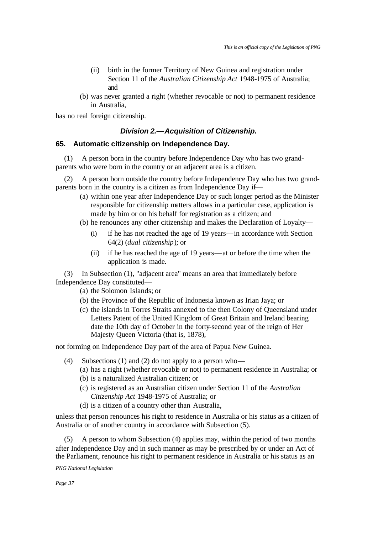- (ii) birth in the former Territory of New Guinea and registration under Section 11 of the *Australian Citizenship Act* 1948-1975 of Australia; and
- (b) was never granted a right (whether revocable or not) to permanent residence in Australia,

has no real foreign citizenship.

#### *Division 2.—Acquisition of Citizenship.*

#### **65. Automatic citizenship on Independence Day.**

(1) A person born in the country before Independence Day who has two grandparents who were born in the country or an adjacent area is a citizen.

(2) A person born outside the country before Independence Day who has two grandparents born in the country is a citizen as from Independence Day if—

- (a) within one year after Independence Day or such longer period as the Minister responsible for citizenship matters allows in a particular case, application is made by him or on his behalf for registration as a citizen; and
- (b) he renounces any other citizenship and makes the Declaration of Loyalty—
	- (i) if he has not reached the age of 19 years—in accordance with Section 64(2) (*dual citizenship*); or
	- (ii) if he has reached the age of 19 years—at or before the time when the application is made.

(3) In Subsection (1), "adjacent area" means an area that immediately before Independence Day constituted—

- (a) the Solomon Islands; or
- (b) the Province of the Republic of Indonesia known as Irian Jaya; or
- (c) the islands in Torres Straits annexed to the then Colony of Queensland under Letters Patent of the United Kingdom of Great Britain and Ireland bearing date the 10th day of October in the forty-second year of the reign of Her Majesty Queen Victoria (that is, 1878),

not forming on Independence Day part of the area of Papua New Guinea.

- (4) Subsections (1) and (2) do not apply to a person who—
	- (a) has a right (whether revocable or not) to permanent residence in Australia; or
	- (b) is a naturalized Australian citizen; or
	- (c) is registered as an Australian citizen under Section 11 of the *Australian Citizenship Act* 1948-1975 of Australia; or
	- (d) is a citizen of a country other than Australia,

unless that person renounces his right to residence in Australia or his status as a citizen of Australia or of another country in accordance with Subsection (5).

(5) A person to whom Subsection (4) applies may, within the period of two months after Independence Day and in such manner as may be prescribed by or under an Act of the Parliament, renounce his right to permanent residence in Australia or his status as an

*PNG National Legislation*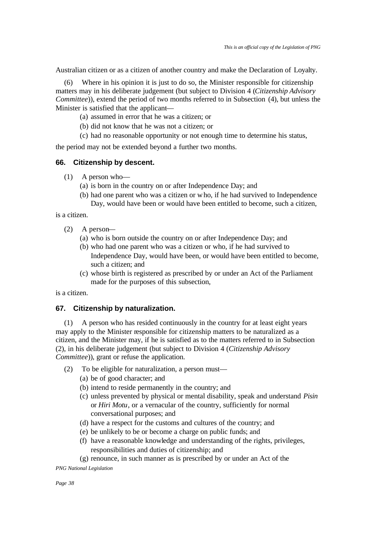Australian citizen or as a citizen of another country and make the Declaration of Loyalty.

(6) Where in his opinion it is just to do so, the Minister responsible for citizenship matters may in his deliberate judgement (but subject to Division 4 (*Citizenship Advisory Committee*)), extend the period of two months referred to in Subsection (4), but unless the Minister is satisfied that the applicant—

- (a) assumed in error that he was a citizen; or
- (b) did not know that he was not a citizen; or
- (c) had no reasonable opportunity or not enough time to determine his status,

the period may not be extended beyond a further two months.

#### **66. Citizenship by descent.**

- (1) A person who—
	- (a) is born in the country on or after Independence Day; and
	- (b) had one parent who was a citizen or who, if he had survived to Independence Day, would have been or would have been entitled to become, such a citizen,

is a citizen.

- (2) A person—
	- (a) who is born outside the country on or after Independence Day; and
	- (b) who had one parent who was a citizen or who, if he had survived to Independence Day, would have been, or would have been entitled to become, such a citizen; and
	- (c) whose birth is registered as prescribed by or under an Act of the Parliament made for the purposes of this subsection,

is a citizen.

# **67. Citizenship by naturalization.**

(1) A person who has resided continuously in the country for at least eight years may apply to the Minister responsible for citizenship matters to be naturalized as a citizen, and the Minister may, if he is satisfied as to the matters referred to in Subsection (2), in his deliberate judgement (but subject to Division 4 (*Citizenship Advisory Committee*)), grant or refuse the application.

- (2) To be eligible for naturalization, a person must—
	- (a) be of good character; and
	- (b) intend to reside permanently in the country; and
	- (c) unless prevented by physical or mental disability, speak and understand *Pisin* or *Hiri Motu*, or a vernacular of the country, sufficiently for normal conversational purposes; and
	- (d) have a respect for the customs and cultures of the country; and
	- (e) be unlikely to be or become a charge on public funds; and
	- (f) have a reasonable knowledge and understanding of the rights, privileges, responsibilities and duties of citizenship; and
	- (g) renounce, in such manner as is prescribed by or under an Act of the

*PNG National Legislation*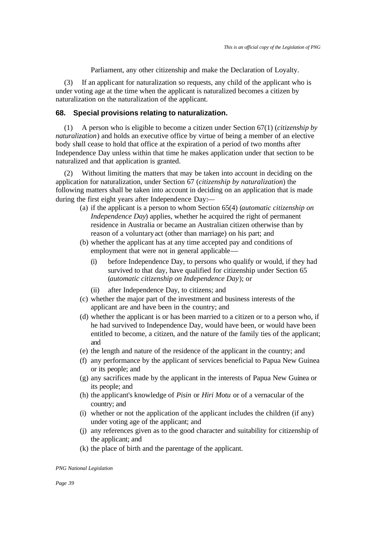Parliament, any other citizenship and make the Declaration of Loyalty.

(3) If an applicant for naturalization so requests, any child of the applicant who is under voting age at the time when the applicant is naturalized becomes a citizen by naturalization on the naturalization of the applicant.

#### **68. Special provisions relating to naturalization.**

(1) A person who is eligible to become a citizen under Section 67(1) (*citizenship by naturalization*) and holds an executive office by virtue of being a member of an elective body shall cease to hold that office at the expiration of a period of two months after Independence Day unless within that time he makes application under that section to be naturalized and that application is granted.

(2) Without limiting the matters that may be taken into account in deciding on the application for naturalization, under Section 67 (*citizenship by naturalization*) the following matters shall be taken into account in deciding on an application that is made during the first eight years after Independence Day:—

- (a) if the applicant is a person to whom Section 65(4) (*automatic citizenship on Independence Day*) applies, whether he acquired the right of permanent residence in Australia or became an Australian citizen otherwise than by reason of a voluntary act (other than marriage) on his part; and
- (b) whether the applicant has at any time accepted pay and conditions of employment that were not in general applicable—
	- (i) before Independence Day, to persons who qualify or would, if they had survived to that day, have qualified for citizenship under Section 65 (*automatic citizenship on Independence Day*); or
	- (ii) after Independence Day, to citizens; and
- (c) whether the major part of the investment and business interests of the applicant are and have been in the country; and
- (d) whether the applicant is or has been married to a citizen or to a person who, if he had survived to Independence Day, would have been, or would have been entitled to become, a citizen, and the nature of the family ties of the applicant; and
- (e) the length and nature of the residence of the applicant in the country; and
- (f) any performance by the applicant of services beneficial to Papua New Guinea or its people; and
- (g) any sacrifices made by the applicant in the interests of Papua New Guinea or its people; and
- (h) the applicant's knowledge of *Pisin* or *Hiri Motu* or of a vernacular of the country; and
- (i) whether or not the application of the applicant includes the children (if any) under voting age of the applicant; and
- (j) any references given as to the good character and suitability for citizenship of the applicant; and
- (k) the place of birth and the parentage of the applicant.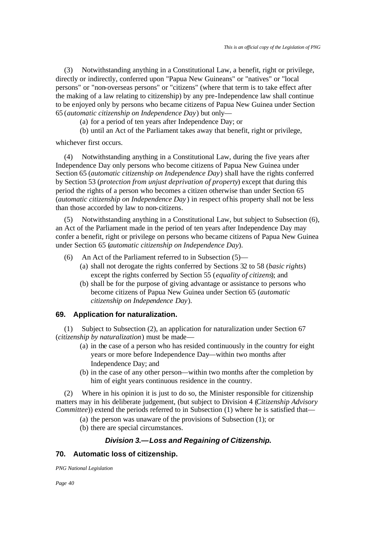(3) Notwithstanding anything in a Constitutional Law, a benefit, right or privilege, directly or indirectly, conferred upon "Papua New Guineans" or "natives" or "local persons" or "non-overseas persons" or "citizens" (where that term is to take effect after the making of a law relating to citizenship) by any pre-Independence law shall continue to be enjoyed only by persons who became citizens of Papua New Guinea under Section 65 (*automatic citizenship on Independence Day*) but only—

(a) for a period of ten years after Independence Day; or

(b) until an Act of the Parliament takes away that benefit, right or privilege,

whichever first occurs.

(4) Notwithstanding anything in a Constitutional Law, during the five years after Independence Day only persons who become citizens of Papua New Guinea under Section 65 (*automatic citizenship on Independence Day*) shall have the rights conferred by Section 53 (*protection from unjust deprivation of property*) except that during this period the rights of a person who becomes a citizen otherwise than under Section 65 (*automatic citizenship on Independence Day* ) in respect of his property shall not be less than those accorded by law to non-citizens.

(5) Notwithstanding anything in a Constitutional Law, but subject to Subsection (6), an Act of the Parliament made in the period of ten years after Independence Day may confer a benefit, right or privilege on persons who became citizens of Papua New Guinea under Section 65 (*automatic citizenship on Independence Day*).

- (6) An Act of the Parliament referred to in Subsection (5)—
	- (a) shall not derogate the rights conferred by Sections 32 to 58 (*basic rights*) except the rights conferred by Section 55 (*equality of citizens*); and
	- (b) shall be for the purpose of giving advantage or assistance to persons who become citizens of Papua New Guinea under Section 65 (*automatic citizenship on Independence Day*).

#### **69. Application for naturalization.**

(1) Subject to Subsection (2), an application for naturalization under Section 67 (*citizenship by naturalization*) must be made—

- (a) in the case of a person who has resided continuously in the country for eight years or more before Independence Day—within two months after Independence Day; and
- (b) in the case of any other person—within two months after the completion by him of eight years continuous residence in the country.

(2) Where in his opinion it is just to do so, the Minister responsible for citizenship matters may in his deliberate judgement, (but subject to Division 4 (*Citizenship Advisory Committee*)) extend the periods referred to in Subsection (1) where he is satisfied that—

- (a) the person was unaware of the provisions of Subsection (1); or
- (b) there are special circumstances.

# *Division 3.—Loss and Regaining of Citizenship.*

# **70. Automatic loss of citizenship.**

*PNG National Legislation*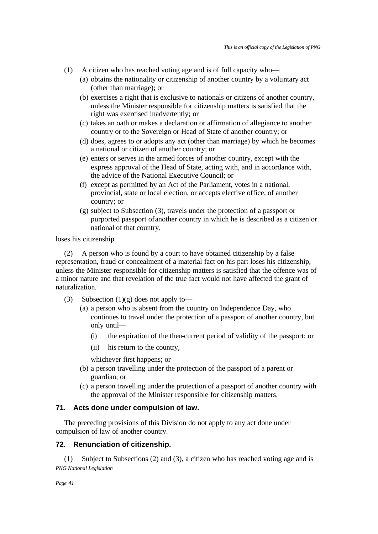- (1) A citizen who has reached voting age and is of full capacity who—
	- (a) obtains the nationality or citizenship of another country by a voluntary act (other than marriage); or
	- (b) exercises a right that is exclusive to nationals or citizens of another country, unless the Minister responsible for citizenship matters is satisfied that the right was exercised inadvertently; or
	- (c) takes an oath or makes a declaration or affirmation of allegiance to another country or to the Sovereign or Head of State of another country; or
	- (d) does, agrees to or adopts any act (other than marriage) by which he becomes a national or citizen of another country; or
	- (e) enters or serves in the armed forces of another country, except with the express approval of the Head of State, acting with, and in accordance with, the advice of the National Executive Council; or
	- (f) except as permitted by an Act of the Parliament, votes in a national, provincial, state or local election, or accepts elective office, of another country; or
	- (g) subject to Subsection (3), travels under the protection of a passport or purported passport of another country in which he is described as a citizen or national of that country,

loses his citizenship.

(2) A person who is found by a court to have obtained citizenship by a false representation, fraud or concealment of a material fact on his part loses his citizenship, unless the Minister responsible for citizenship matters is satisfied that the offence was of a minor nature and that revelation of the true fact would not have affected the grant of naturalization.

- (3) Subsection  $(1)(g)$  does not apply to-
	- (a) a person who is absent from the country on Independence Day, who continues to travel under the protection of a passport of another country, but only until—
		- (i) the expiration of the then-current period of validity of the passport; or
		- (ii) his return to the country,

whichever first happens; or

- (b) a person travelling under the protection of the passport of a parent or guardian; or
- (c) a person travelling under the protection of a passport of another country with the approval of the Minister responsible for citizenship matters.

#### **71. Acts done under compulsion of law.**

The preceding provisions of this Division do not apply to any act done under compulsion of law of another country.

#### **72. Renunciation of citizenship.**

*PNG National Legislation* (1) Subject to Subsections (2) and (3), a citizen who has reached voting age and is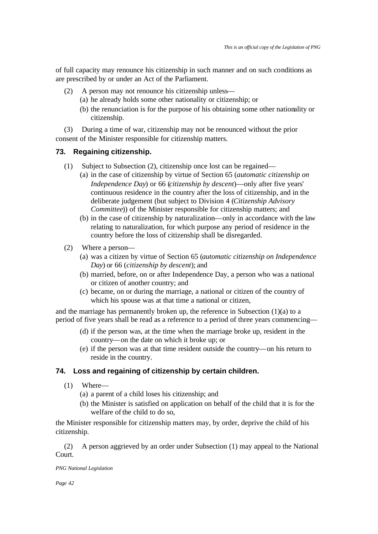of full capacity may renounce his citizenship in such manner and on such conditions as are prescribed by or under an Act of the Parliament.

- (2) A person may not renounce his citizenship unless—
	- (a) he already holds some other nationality or citizenship; or
	- (b) the renunciation is for the purpose of his obtaining some other nationality or citizenship.

(3) During a time of war, citizenship may not be renounced without the prior consent of the Minister responsible for citizenship matters.

#### **73. Regaining citizenship.**

- (1) Subject to Subsection (2), citizenship once lost can be regained—
	- (a) in the case of citizenship by virtue of Section 65 (*automatic citizenship on Independence Day*) or 66 (*citizenship by descent*)—only after five years' continuous residence in the country after the loss of citizenship, and in the deliberate judgement (but subject to Division 4 (*Citizenship Advisory Committee*)) of the Minister responsible for citizenship matters; and
	- (b) in the case of citizenship by naturalization—only in accordance with the law relating to naturalization, for which purpose any period of residence in the country before the loss of citizenship shall be disregarded.
- (2) Where a person—
	- (a) was a citizen by virtue of Section 65 (*automatic citizenship on Independence Day*) or 66 (*citizenship by descent*); and
	- (b) married, before, on or after Independence Day, a person who was a national or citizen of another country; and
	- (c) became, on or during the marriage, a national or citizen of the country of which his spouse was at that time a national or citizen,

and the marriage has permanently broken up, the reference in Subsection  $(1)(a)$  to a period of five years shall be read as a reference to a period of three years commencing—

- (d) if the person was, at the time when the marriage broke up, resident in the country—on the date on which it broke up; or
- (e) if the person was at that time resident outside the country—on his return to reside in the country.

## **74. Loss and regaining of citizenship by certain children.**

- (1) Where—
	- (a) a parent of a child loses his citizenship; and
	- (b) the Minister is satisfied on application on behalf of the child that it is for the welfare of the child to do so,

the Minister responsible for citizenship matters may, by order, deprive the child of his citizenship.

(2) A person aggrieved by an order under Subsection (1) may appeal to the National Court.

*PNG National Legislation*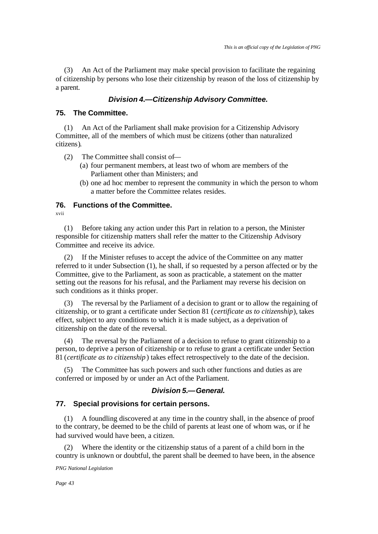(3) An Act of the Parliament may make special provision to facilitate the regaining of citizenship by persons who lose their citizenship by reason of the loss of citizenship by a parent.

# *Division 4.—Citizenship Advisory Committee.*

## **75. The Committee.**

(1) An Act of the Parliament shall make provision for a Citizenship Advisory Committee, all of the members of which must be citizens (other than naturalized citizens).

- (2) The Committee shall consist of—
	- (a) four permanent members, at least two of whom are members of the Parliament other than Ministers; and
	- (b) one ad hoc member to represent the community in which the person to whom a matter before the Committee relates resides.

# **76. Functions of the Committee.**

xvii

(1) Before taking any action under this Part in relation to a person, the Minister responsible for citizenship matters shall refer the matter to the Citizenship Advisory Committee and receive its advice.

(2) If the Minister refuses to accept the advice of the Committee on any matter referred to it under Subsection (1), he shall, if so requested by a person affected or by the Committee, give to the Parliament, as soon as practicable, a statement on the matter setting out the reasons for his refusal, and the Parliament may reverse his decision on such conditions as it thinks proper.

(3) The reversal by the Parliament of a decision to grant or to allow the regaining of citizenship, or to grant a certificate under Section 81 (*certificate as to citizenship*), takes effect, subject to any conditions to which it is made subject, as a deprivation of citizenship on the date of the reversal.

(4) The reversal by the Parliament of a decision to refuse to grant citizenship to a person, to deprive a person of citizenship or to refuse to grant a certificate under Section 81 (*certificate as to citizenship*) takes effect retrospectively to the date of the decision.

(5) The Committee has such powers and such other functions and duties as are conferred or imposed by or under an Act of the Parliament.

# *Division 5.—General.*

# **77. Special provisions for certain persons.**

(1) A foundling discovered at any time in the country shall, in the absence of proof to the contrary, be deemed to be the child of parents at least one of whom was, or if he had survived would have been, a citizen.

(2) Where the identity or the citizenship status of a parent of a child born in the country is unknown or doubtful, the parent shall be deemed to have been, in the absence

*PNG National Legislation*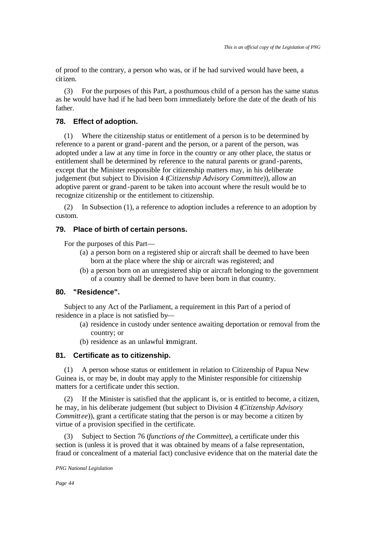of proof to the contrary, a person who was, or if he had survived would have been, a citizen.

(3) For the purposes of this Part, a posthumous child of a person has the same status as he would have had if he had been born immediately before the date of the death of his father.

# **78. Effect of adoption.**

(1) Where the citizenship status or entitlement of a person is to be determined by reference to a parent or grand-parent and the person, or a parent of the person, was adopted under a law at any time in force in the country or any other place, the status or entitlement shall be determined by reference to the natural parents or grand-parents, except that the Minister responsible for citizenship matters may, in his deliberate judgement (but subject to Division 4 (*Citizenship Advisory Committee*)), allow an adoptive parent or grand-parent to be taken into account where the result would be to recognize citizenship or the entitlement to citizenship.

(2) In Subsection (1), a reference to adoption includes a reference to an adoption by custom.

# **79. Place of birth of certain persons.**

For the purposes of this Part—

- (a) a person born on a registered ship or aircraft shall be deemed to have been born at the place where the ship or aircraft was registered; and
- (b) a person born on an unregistered ship or aircraft belonging to the government of a country shall be deemed to have been born in that country.

#### **80. "Residence".**

Subject to any Act of the Parliament, a requirement in this Part of a period of residence in a place is not satisfied by—

- (a) residence in custody under sentence awaiting deportation or removal from the country; or
- (b) residence as an unlawful immigrant.

#### **81. Certificate as to citizenship.**

(1) A person whose status or entitlement in relation to Citizenship of Papua New Guinea is, or may be, in doubt may apply to the Minister responsible for citizenship matters for a certificate under this section.

(2) If the Minister is satisfied that the applicant is, or is entitled to become, a citizen, he may, in his deliberate judgement (but subject to Division 4 (*Citizenship Advisory Committee*)), grant a certificate stating that the person is or may become a citizen by virtue of a provision specified in the certificate.

(3) Subject to Section 76 (*functions of the Committee*), a certificate under this section is (unless it is proved that it was obtained by means of a false representation, fraud or concealment of a material fact) conclusive evidence that on the material date the

*PNG National Legislation*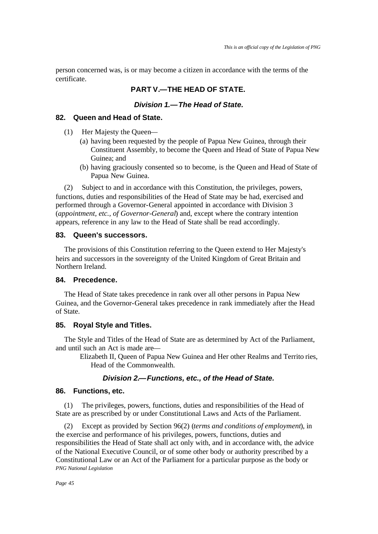person concerned was, is or may become a citizen in accordance with the terms of the certificate.

# **PART V.—THE HEAD OF STATE.**

# *Division 1.—The Head of State.*

## **82. Queen and Head of State.**

- (1) Her Majesty the Queen—
	- (a) having been requested by the people of Papua New Guinea, through their Constituent Assembly, to become the Queen and Head of State of Papua New Guinea; and
	- (b) having graciously consented so to become, is the Queen and Head of State of Papua New Guinea.

(2) Subject to and in accordance with this Constitution, the privileges, powers, functions, duties and responsibilities of the Head of State may be had, exercised and performed through a Governor-General appointed in accordance with Division 3 (*appointment, etc., of Governor-General*) and, except where the contrary intention appears, reference in any law to the Head of State shall be read accordingly.

## **83. Queen's successors.**

The provisions of this Constitution referring to the Queen extend to Her Majesty's heirs and successors in the sovereignty of the United Kingdom of Great Britain and Northern Ireland.

# **84. Precedence.**

The Head of State takes precedence in rank over all other persons in Papua New Guinea, and the Governor-General takes precedence in rank immediately after the Head of State.

# **85. Royal Style and Titles.**

The Style and Titles of the Head of State are as determined by Act of the Parliament, and until such an Act is made are—

Elizabeth II, Queen of Papua New Guinea and Her other Realms and Territo ries, Head of the Commonwealth.

# *Division 2.—Functions, etc., of the Head of State.*

# **86. Functions, etc.**

(1) The privileges, powers, functions, duties and responsibilities of the Head of State are as prescribed by or under Constitutional Laws and Acts of the Parliament.

*PNG National Legislation* (2) Except as provided by Section 96(2) (*terms and conditions of employment*), in the exercise and performance of his privileges, powers, functions, duties and responsibilities the Head of State shall act only with, and in accordance with, the advice of the National Executive Council, or of some other body or authority prescribed by a Constitutional Law or an Act of the Parliament for a particular purpose as the body or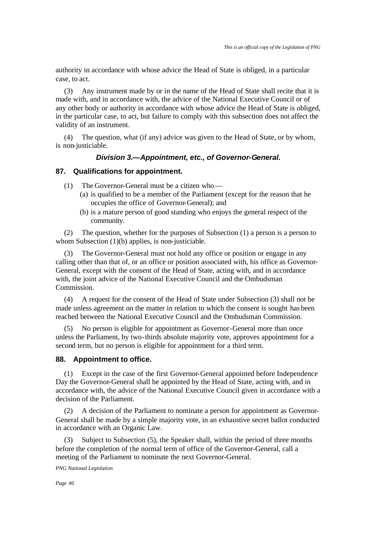authority in accordance with whose advice the Head of State is obliged, in a particular case, to act.

(3) Any instrument made by or in the name of the Head of State shall recite that it is made with, and in accordance with, the advice of the National Executive Council or of any other body or authority in accordance with whose advice the Head of State is obliged, in the particular case, to act, but failure to comply with this subsection does not affect the validity of an instrument.

(4) The question, what (if any) advice was given to the Head of State, or by whom, is non-justiciable.

## *Division 3.—Appointment, etc., of Governor-General.*

#### **87. Qualifications for appointment.**

(1) The Governor-General must be a citizen who—

- (a) is qualified to be a member of the Parliament (except for the reason that he occupies the office of Governor-General); and
- (b) is a mature person of good standing who enjoys the general respect of the community.

(2) The question, whether for the purposes of Subsection (1) a person is a person to whom Subsection (1)(b) applies, is non-justiciable.

(3) The Governor-General must not hold any office or position or engage in any calling other than that of, or an office or position associated with, his office as Governor-General, except with the consent of the Head of State, acting with, and in accordance with, the joint advice of the National Executive Council and the Ombudsman Commission.

(4) A request for the consent of the Head of State under Subsection (3) shall not be made unless agreement on the matter in relation to which the consent is sought has been reached between the National Executive Council and the Ombudsman Commission.

(5) No person is eligible for appointment as Governor-General more than once unless the Parliament, by two-thirds absolute majority vote, approves appointment for a second term, but no person is eligible for appointment for a third term.

#### **88. Appointment to office.**

(1) Except in the case of the first Governor-General appointed before Independence Day the Governor-General shall be appointed by the Head of State, acting with, and in accordance with, the advice of the National Executive Council given in accordance with a decision of the Parliament.

A decision of the Parliament to nominate a person for appointment as Governor-General shall be made by a simple majority vote, in an exhaustive secret ballot conducted in accordance with an Organic Law.

(3) Subject to Subsection (5), the Speaker shall, within the period of three months before the completion of the normal term of office of the Governor-General, call a meeting of the Parliament to nominate the next Governor-General.

*PNG National Legislation*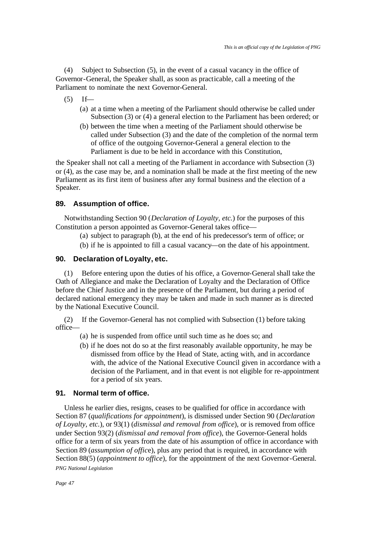(4) Subject to Subsection (5), in the event of a casual vacancy in the office of Governor-General, the Speaker shall, as soon as practicable, call a meeting of the Parliament to nominate the next Governor-General.

- $(5)$  If—
	- (a) at a time when a meeting of the Parliament should otherwise be called under Subsection (3) or (4) a general election to the Parliament has been ordered; or
	- (b) between the time when a meeting of the Parliament should otherwise be called under Subsection (3) and the date of the completion of the normal term of office of the outgoing Governor-General a general election to the Parliament is due to be held in accordance with this Constitution,

the Speaker shall not call a meeting of the Parliament in accordance with Subsection (3) or (4), as the case may be, and a nomination shall be made at the first meeting of the new Parliament as its first item of business after any formal business and the election of a Speaker.

## **89. Assumption of office.**

Notwithstanding Section 90 (*Declaration of Loyalty, etc.*) for the purposes of this Constitution a person appointed as Governor-General takes office—

- (a) subject to paragraph (b), at the end of his predecessor's term of office; or
- (b) if he is appointed to fill a casual vacancy—on the date of his appointment.

## **90. Declaration of Loyalty, etc.**

(1) Before entering upon the duties of his office, a Governor-General shall take the Oath of Allegiance and make the Declaration of Loyalty and the Declaration of Office before the Chief Justice and in the presence of the Parliament, but during a period of declared national emergency they may be taken and made in such manner as is directed by the National Executive Council.

(2) If the Governor-General has not complied with Subsection (1) before taking office—

- (a) he is suspended from office until such time as he does so; and
- (b) if he does not do so at the first reasonably available opportunity, he may be dismissed from office by the Head of State, acting with, and in accordance with, the advice of the National Executive Council given in accordance with a decision of the Parliament, and in that event is not eligible for re-appointment for a period of six years.

#### **91. Normal term of office.**

*PNG National Legislation* Unless he earlier dies, resigns, ceases to be qualified for office in accordance with Section 87 (*qualifications for appointment*), is dismissed under Section 90 (*Declaration of Loyalty, etc.*), or 93(1) (*dismissal and removal from office*), or is removed from office under Section 93(2) (*dismissal and removal from office*), the Governor-General holds office for a term of six years from the date of his assumption of office in accordance with Section 89 (*assumption of offic*e), plus any period that is required, in accordance with Section 88(5) (*appointment to office*), for the appointment of the next Governor-General.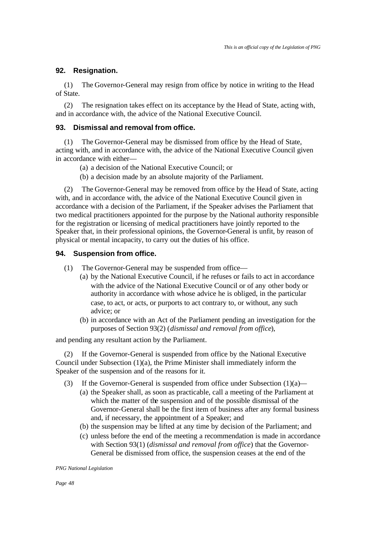## **92. Resignation.**

(1) The Governor-General may resign from office by notice in writing to the Head of State.

(2) The resignation takes effect on its acceptance by the Head of State, acting with, and in accordance with, the advice of the National Executive Council.

#### **93. Dismissal and removal from office.**

(1) The Governor-General may be dismissed from office by the Head of State, acting with, and in accordance with, the advice of the National Executive Council given in accordance with either—

- (a) a decision of the National Executive Council; or
- (b) a decision made by an absolute majority of the Parliament.

(2) The Governor-General may be removed from office by the Head of State, acting with, and in accordance with, the advice of the National Executive Council given in accordance with a decision of the Parliament, if the Speaker advises the Parliament that two medical practitioners appointed for the purpose by the National authority responsible for the registration or licensing of medical practitioners have jointly reported to the Speaker that, in their professional opinions, the Governor-General is unfit, by reason of physical or mental incapacity, to carry out the duties of his office.

## **94. Suspension from office.**

- (1) The Governor-General may be suspended from office—
	- (a) by the National Executive Council, if he refuses or fails to act in accordance with the advice of the National Executive Council or of any other body or authority in accordance with whose advice he is obliged, in the particular case, to act, or acts, or purports to act contrary to, or without, any such advice; or
	- (b) in accordance with an Act of the Parliament pending an investigation for the purposes of Section 93(2) (*dismissal and removal from office*),

and pending any resultant action by the Parliament.

(2) If the Governor-General is suspended from office by the National Executive Council under Subsection (1)(a), the Prime Minister shall immediately inform the Speaker of the suspension and of the reasons for it.

- (3) If the Governor-General is suspended from office under Subsection  $(1)(a)$ 
	- (a) the Speaker shall, as soon as practicable, call a meeting of the Parliament at which the matter of the suspension and of the possible dismissal of the Governor-General shall be the first item of business after any formal business and, if necessary, the appointment of a Speaker; and
	- (b) the suspension may be lifted at any time by decision of the Parliament; and
	- (c) unless before the end of the meeting a recommendation is made in accordance with Section 93(1) (*dismissal and removal from office*) that the Governor-General be dismissed from office, the suspension ceases at the end of the

*PNG National Legislation*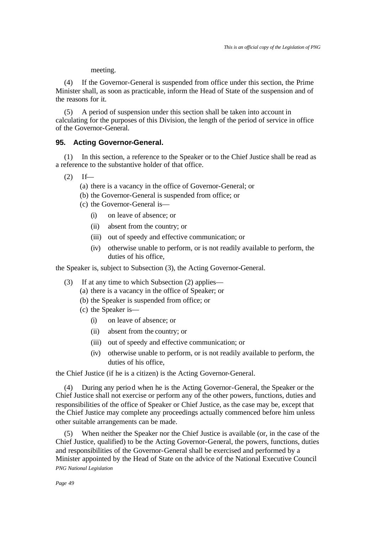#### meeting.

(4) If the Governor-General is suspended from office under this section, the Prime Minister shall, as soon as practicable, inform the Head of State of the suspension and of the reasons for it.

(5) A period of suspension under this section shall be taken into account in calculating for the purposes of this Division, the length of the period of service in office of the Governor-General.

#### **95. Acting Governor-General.**

(1) In this section, a reference to the Speaker or to the Chief Justice shall be read as a reference to the substantive holder of that office.

 $(2)$  If—

- (a) there is a vacancy in the office of Governor-General; or
- (b) the Governor-General is suspended from office; or
- (c) the Governor-General is—
	- (i) on leave of absence; or
	- (ii) absent from the country; or
	- (iii) out of speedy and effective communication; or
	- (iv) otherwise unable to perform, or is not readily available to perform, the duties of his office,

the Speaker is, subject to Subsection (3), the Acting Governor-General.

- (3) If at any time to which Subsection (2) applies—
	- (a) there is a vacancy in the office of Speaker; or
	- (b) the Speaker is suspended from office; or
	- (c) the Speaker is—
		- (i) on leave of absence; or
		- (ii) absent from the country; or
		- (iii) out of speedy and effective communication; or
		- (iv) otherwise unable to perform, or is not readily available to perform, the duties of his office,

the Chief Justice (if he is a citizen) is the Acting Governor-General.

(4) During any period when he is the Acting Governor-General, the Speaker or the Chief Justice shall not exercise or perform any of the other powers, functions, duties and responsibilities of the office of Speaker or Chief Justice, as the case may be, except that the Chief Justice may complete any proceedings actually commenced before him unless other suitable arrangements can be made.

*PNG National Legislation* When neither the Speaker nor the Chief Justice is available (or, in the case of the Chief Justice, qualified) to be the Acting Governor-General, the powers, functions, duties and responsibilities of the Governor-General shall be exercised and performed by a Minister appointed by the Head of State on the advice of the National Executive Council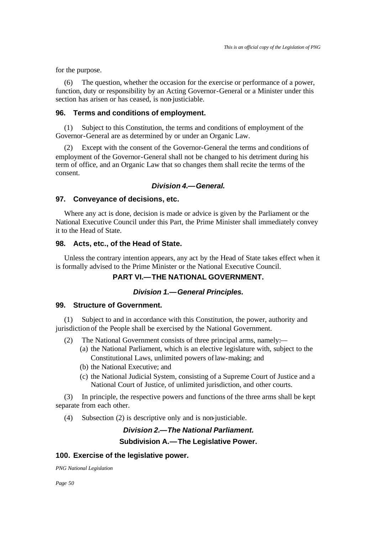for the purpose.

(6) The question, whether the occasion for the exercise or performance of a power, function, duty or responsibility by an Acting Governor-General or a Minister under this section has arisen or has ceased, is non-justiciable.

#### **96. Terms and conditions of employment.**

(1) Subject to this Constitution, the terms and conditions of employment of the Governor-General are as determined by or under an Organic Law.

(2) Except with the consent of the Governor-General the terms and conditions of employment of the Governor-General shall not be changed to his detriment during his term of office, and an Organic Law that so changes them shall recite the terms of the consent.

#### *Division 4.—General.*

#### **97. Conveyance of decisions, etc.**

Where any act is done, decision is made or advice is given by the Parliament or the National Executive Council under this Part, the Prime Minister shall immediately convey it to the Head of State.

#### **98. Acts, etc., of the Head of State.**

Unless the contrary intention appears, any act by the Head of State takes effect when it is formally advised to the Prime Minister or the National Executive Council.

## **PART VI.—THE NATIONAL GOVERNMENT.**

#### *Division 1.—General Principles.*

#### **99. Structure of Government.**

(1) Subject to and in accordance with this Constitution, the power, authority and jurisdiction of the People shall be exercised by the National Government.

- (2) The National Government consists of three principal arms, namely:—
	- (a) the National Parliament, which is an elective legislature with, subject to the Constitutional Laws, unlimited powers of law-making; and
	- (b) the National Executive; and
	- (c) the National Judicial System, consisting of a Supreme Court of Justice and a National Court of Justice, of unlimited jurisdiction, and other courts.

(3) In principle, the respective powers and functions of the three arms shall be kept separate from each other.

(4) Subsection (2) is descriptive only and is non-justiciable.

# *Division 2.—The National Parliament.* **Subdivision A.—The Legislative Power.**

#### **100. Exercise of the legislative power.**

*PNG National Legislation*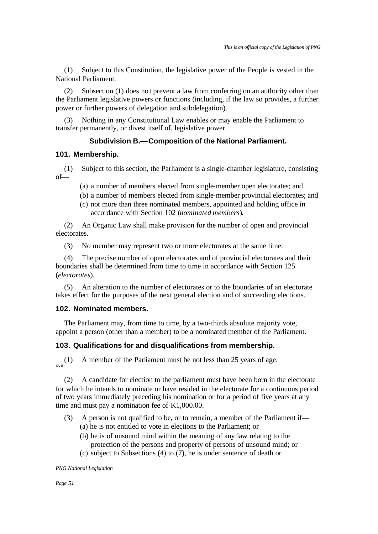(1) Subject to this Constitution, the legislative power of the People is vested in the National Parliament.

(2) Subsection (1) does not prevent a law from conferring on an authority other than the Parliament legislative powers or functions (including, if the law so provides, a further power or further powers of delegation and subdelegation).

(3) Nothing in any Constitutional Law enables or may enable the Parliament to transfer permanently, or divest itself of, legislative power.

## **Subdivision B.—Composition of the National Parliament.**

#### **101. Membership.**

(1) Subject to this section, the Parliament is a single-chamber legislature, consisting of—

- (a) a number of members elected from single-member open electorates; and
- (b) a number of members elected from single-member provincial electorates; and
- (c) not more than three nominated members, appointed and holding office in accordance with Section 102 (*nominated members*).

(2) An Organic Law shall make provision for the number of open and provincial electorates.

(3) No member may represent two or more electorates at the same time.

The precise number of open electorates and of provincial electorates and their boundaries shall be determined from time to time in accordance with Section 125 (*electorates*).

(5) An alteration to the number of electorates or to the boundaries of an electorate takes effect for the purposes of the next general election and of succeeding elections.

# **102. Nominated members.**

The Parliament may, from time to time, by a two-thirds absolute majority vote, appoint a person (other than a member) to be a nominated member of the Parliament.

#### **103. Qualifications for and disqualifications from membership.**

A member of the Parliament must be not less than 25 years of age.  $\sum_{x\in\mathbb{N}}(1)$ 

(2) A candidate for election to the parliament must have been born in the electorate for which he intends to nominate or have resided in the electorate for a continuous period of two years immediately preceding his nomination or for a period of five years at any time and must pay a nomination fee of K1,000.00.

- (3) A person is not qualified to be, or to remain, a member of the Parliament if— (a) he is not entitled to vote in elections to the Parliament; or
	- (b) he is of unsound mind within the meaning of any law relating to the protection of the persons and property of persons of unsound mind; or
	- (c) subject to Subsections (4) to (7), he is under sentence of death or

*PNG National Legislation*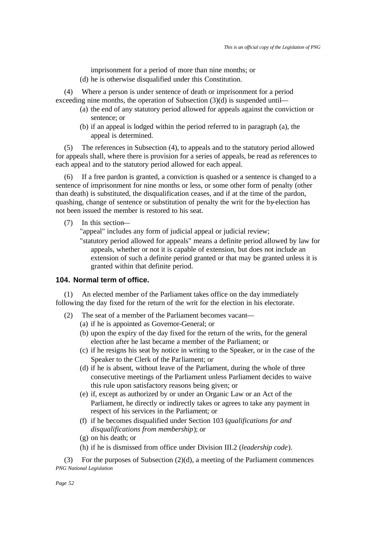imprisonment for a period of more than nine months; or (d) he is otherwise disqualified under this Constitution.

(4) Where a person is under sentence of death or imprisonment for a period exceeding nine months, the operation of Subsection (3)(d) is suspended until—

- (a) the end of any statutory period allowed for appeals against the conviction or sentence; or
- (b) if an appeal is lodged within the period referred to in paragraph (a), the appeal is determined.

(5) The references in Subsection (4), to appeals and to the statutory period allowed for appeals shall, where there is provision for a series of appeals, be read as references to each appeal and to the statutory period allowed for each appeal.

(6) If a free pardon is granted, a conviction is quashed or a sentence is changed to a sentence of imprisonment for nine months or less, or some other form of penalty (other than death) is substituted, the disqualification ceases, and if at the time of the pardon, quashing, change of sentence or substitution of penalty the writ for the by-election has not been issued the member is restored to his seat.

(7) In this section—

"appeal" includes any form of judicial appeal or judicial review; "statutory period allowed for appeals" means a definite period allowed by law for appeals, whether or not it is capable of extension, but does not include an extension of such a definite period granted or that may be granted unless it is granted within that definite period.

#### **104. Normal term of office.**

(1) An elected member of the Parliament takes office on the day immediately following the day fixed for the return of the writ for the election in his electorate.

- (2) The seat of a member of the Parliament becomes vacant—
	- (a) if he is appointed as Governor-General; or
	- (b) upon the expiry of the day fixed for the return of the writs, for the general election after he last became a member of the Parliament; or
	- (c) if he resigns his seat by notice in writing to the Speaker, or in the case of the Speaker to the Clerk of the Parliament; or
	- (d) if he is absent, without leave of the Parliament, during the whole of three consecutive meetings of the Parliament unless Parliament decides to waive this rule upon satisfactory reasons being given; or
	- (e) if, except as authorized by or under an Organic Law or an Act of the Parliament, he directly or indirectly takes or agrees to take any payment in respect of his services in the Parliament; or
	- (f) if he becomes disqualified under Section 103 (*qualifications for and disqualifications from membership*); or
	- (g) on his death; or
	- (h) if he is dismissed from office under Division III.2 (*leadership code*).

*PNG National Legislation* (3) For the purposes of Subsection  $(2)(d)$ , a meeting of the Parliament commences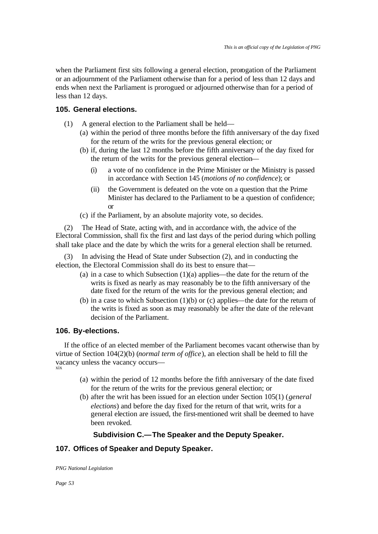when the Parliament first sits following a general election, prorogation of the Parliament or an adjournment of the Parliament otherwise than for a period of less than 12 days and ends when next the Parliament is prorogued or adjourned otherwise than for a period of less than 12 days.

## **105. General elections.**

- (1) A general election to the Parliament shall be held—
	- (a) within the period of three months before the fifth anniversary of the day fixed for the return of the writs for the previous general election; or
	- (b) if, during the last 12 months before the fifth anniversary of the day fixed for the return of the writs for the previous general election—
		- (i) a vote of no confidence in the Prime Minister or the Ministry is passed in accordance with Section 145 (*motions of no confidence*); or
		- (ii) the Government is defeated on the vote on a question that the Prime Minister has declared to the Parliament to be a question of confidence; or

(c) if the Parliament, by an absolute majority vote, so decides.

(2) The Head of State, acting with, and in accordance with, the advice of the Electoral Commission, shall fix the first and last days of the period during which polling shall take place and the date by which the writs for a general election shall be returned.

(3) In advising the Head of State under Subsection (2), and in conducting the election, the Electoral Commission shall do its best to ensure that—

- (a) in a case to which Subsection  $(1)(a)$  applies—the date for the return of the writs is fixed as nearly as may reasonably be to the fifth anniversary of the date fixed for the return of the writs for the previous general election; and
- (b) in a case to which Subsection  $(1)(b)$  or (c) applies—the date for the return of the writs is fixed as soon as may reasonably be after the date of the relevant decision of the Parliament.

#### **106. By-elections.**

If the office of an elected member of the Parliament becomes vacant otherwise than by virtue of Section 104(2)(b) (*normal term of office*), an election shall be held to fill the vacancy unless the vacancy occurs—

- (a) within the period of 12 months before the fifth anniversary of the date fixed for the return of the writs for the previous general election; or
- (b) after the writ has been issued for an election under Section 105(1) (*general elections*) and before the day fixed for the return of that writ, writs for a general election are issued, the first-mentioned writ shall be deemed to have been revoked.

# **Subdivision C.—The Speaker and the Deputy Speaker.**

# **107. Offices of Speaker and Deputy Speaker.**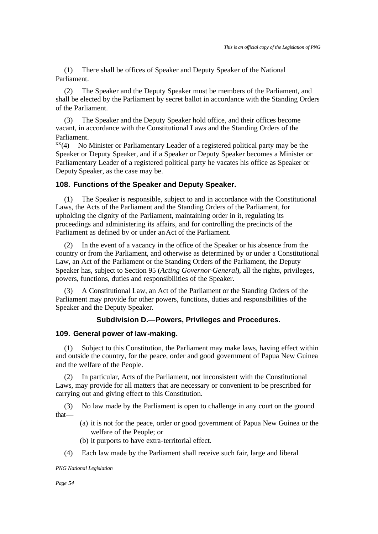(1) There shall be offices of Speaker and Deputy Speaker of the National Parliament.

(2) The Speaker and the Deputy Speaker must be members of the Parliament, and shall be elected by the Parliament by secret ballot in accordance with the Standing Orders of the Parliament.

(3) The Speaker and the Deputy Speaker hold office, and their offices become vacant, in accordance with the Constitutional Laws and the Standing Orders of the Parliament.

 $x(x)$  No Minister or Parliamentary Leader of a registered political party may be the Speaker or Deputy Speaker, and if a Speaker or Deputy Speaker becomes a Minister or Parliamentary Leader of a registered political party he vacates his office as Speaker or Deputy Speaker, as the case may be.

## **108. Functions of the Speaker and Deputy Speaker.**

(1) The Speaker is responsible, subject to and in accordance with the Constitutional Laws, the Acts of the Parliament and the Standing Orders of the Parliament, for upholding the dignity of the Parliament, maintaining order in it, regulating its proceedings and administering its affairs, and for controlling the precincts of the Parliament as defined by or under an Act of the Parliament.

(2) In the event of a vacancy in the office of the Speaker or his absence from the country or from the Parliament, and otherwise as determined by or under a Constitutional Law, an Act of the Parliament or the Standing Orders of the Parliament, the Deputy Speaker has, subject to Section 95 (*Acting Governor-General*), all the rights, privileges, powers, functions, duties and responsibilities of the Speaker.

(3) A Constitutional Law, an Act of the Parliament or the Standing Orders of the Parliament may provide for other powers, functions, duties and responsibilities of the Speaker and the Deputy Speaker.

# **Subdivision D.—Powers, Privileges and Procedures.**

#### **109. General power of law-making.**

(1) Subject to this Constitution, the Parliament may make laws, having effect within and outside the country, for the peace, order and good government of Papua New Guinea and the welfare of the People.

(2) In particular, Acts of the Parliament, not inconsistent with the Constitutional Laws, may provide for all matters that are necessary or convenient to be prescribed for carrying out and giving effect to this Constitution.

(3) No law made by the Parliament is open to challenge in any court on the ground that—

- (a) it is not for the peace, order or good government of Papua New Guinea or the welfare of the People; or
- (b) it purports to have extra-territorial effect.
- (4) Each law made by the Parliament shall receive such fair, large and liberal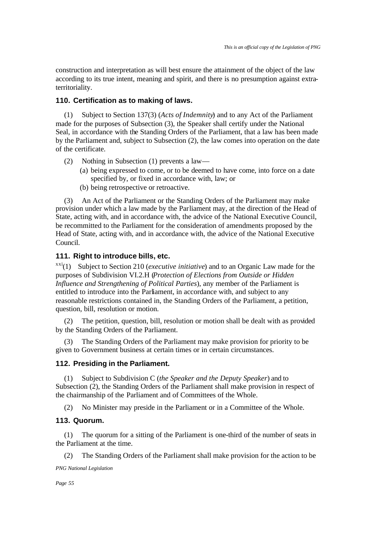construction and interpretation as will best ensure the attainment of the object of the law according to its true intent, meaning and spirit, and there is no presumption against extraterritoriality.

## **110. Certification as to making of laws.**

(1) Subject to Section 137(3) (*Acts of Indemnity*) and to any Act of the Parliament made for the purposes of Subsection (3), the Speaker shall certify under the National Seal, in accordance with the Standing Orders of the Parliament, that a law has been made by the Parliament and, subject to Subsection (2), the law comes into operation on the date of the certificate.

- (2) Nothing in Subsection (1) prevents a law—
	- (a) being expressed to come, or to be deemed to have come, into force on a date specified by, or fixed in accordance with, law; or
	- (b) being retrospective or retroactive.

(3) An Act of the Parliament or the Standing Orders of the Parliament may make provision under which a law made by the Parliament may, at the direction of the Head of State, acting with, and in accordance with, the advice of the National Executive Council, be recommitted to the Parliament for the consideration of amendments proposed by the Head of State, acting with, and in accordance with, the advice of the National Executive Council.

#### **111. Right to introduce bills, etc.**

xxi(1) Subject to Section 210 (*executive initiative*) and to an Organic Law made for the purposes of Subdivision VI.2.H (*Protection of Elections from Outside or Hidden Influence and Strengthening of Political Parties*), any member of the Parliament is entitled to introduce into the Parliament, in accordance with, and subject to any reasonable restrictions contained in, the Standing Orders of the Parliament, a petition, question, bill, resolution or motion.

(2) The petition, question, bill, resolution or motion shall be dealt with as provided by the Standing Orders of the Parliament.

The Standing Orders of the Parliament may make provision for priority to be given to Government business at certain times or in certain circumstances.

#### **112. Presiding in the Parliament.**

(1) Subject to Subdivision C (*the Speaker and the Deputy Speaker*) and to Subsection (2), the Standing Orders of the Parliament shall make provision in respect of the chairmanship of the Parliament and of Committees of the Whole.

(2) No Minister may preside in the Parliament or in a Committee of the Whole.

#### **113. Quorum.**

(1) The quorum for a sitting of the Parliament is one-third of the number of seats in the Parliament at the time.

(2) The Standing Orders of the Parliament shall make provision for the action to be

*PNG National Legislation*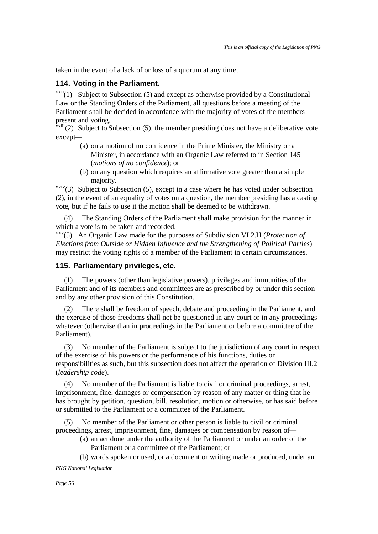taken in the event of a lack of or loss of a quorum at any time.

## **114. Voting in the Parliament.**

 $x^{\text{xii}}(1)$  Subject to Subsection (5) and except as otherwise provided by a Constitutional Law or the Standing Orders of the Parliament, all questions before a meeting of the Parliament shall be decided in accordance with the majority of votes of the members present and voting.

 $x^{\text{xiii}}(2)$  Subject to Subsection (5), the member presiding does not have a deliberative vote except—

- (a) on a motion of no confidence in the Prime Minister, the Ministry or a Minister, in accordance with an Organic Law referred to in Section 145 (*motions of no confidence*); or
- (b) on any question which requires an affirmative vote greater than a simple majority.

 $xxiv(3)$  Subject to Subsection (5), except in a case where he has voted under Subsection (2), in the event of an equality of votes on a question, the member presiding has a casting vote, but if he fails to use it the motion shall be deemed to be withdrawn.

(4) The Standing Orders of the Parliament shall make provision for the manner in which a vote is to be taken and recorded.

xxv(5) An Organic Law made for the purposes of Subdivision VI.2.H (*Protection of Elections from Outside or Hidden Influence and the Strengthening of Political Parties*) may restrict the voting rights of a member of the Parliament in certain circumstances.

#### **115. Parliamentary privileges, etc.**

(1) The powers (other than legislative powers), privileges and immunities of the Parliament and of its members and committees are as prescribed by or under this section and by any other provision of this Constitution.

There shall be freedom of speech, debate and proceeding in the Parliament, and the exercise of those freedoms shall not be questioned in any court or in any proceedings whatever (otherwise than in proceedings in the Parliament or before a committee of the Parliament).

(3) No member of the Parliament is subject to the jurisdiction of any court in respect of the exercise of his powers or the performance of his functions, duties or responsibilities as such, but this subsection does not affect the operation of Division III.2 (*leadership code*).

(4) No member of the Parliament is liable to civil or criminal proceedings, arrest, imprisonment, fine, damages or compensation by reason of any matter or thing that he has brought by petition, question, bill, resolution, motion or otherwise, or has said before or submitted to the Parliament or a committee of the Parliament.

(5) No member of the Parliament or other person is liable to civil or criminal proceedings, arrest, imprisonment, fine, damages or compensation by reason of—

- (a) an act done under the authority of the Parliament or under an order of the Parliament or a committee of the Parliament; or
- (b) words spoken or used, or a document or writing made or produced, under an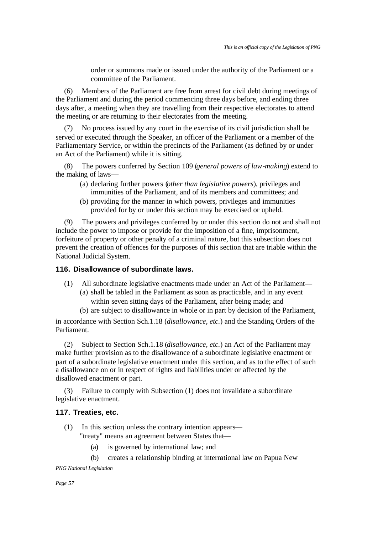order or summons made or issued under the authority of the Parliament or a committee of the Parliament.

(6) Members of the Parliament are free from arrest for civil debt during meetings of the Parliament and during the period commencing three days before, and ending three days after, a meeting when they are travelling from their respective electorates to attend the meeting or are returning to their electorates from the meeting.

(7) No process issued by any court in the exercise of its civil jurisdiction shall be served or executed through the Speaker, an officer of the Parliament or a member of the Parliamentary Service, or within the precincts of the Parliament (as defined by or under an Act of the Parliament) while it is sitting.

(8) The powers conferred by Section 109 (*general powers of law-making*) extend to the making of laws—

- (a) declaring further powers (*other than legislative powers*), privileges and immunities of the Parliament, and of its members and committees; and
- (b) providing for the manner in which powers, privileges and immunities provided for by or under this section may be exercised or upheld.

(9) The powers and privileges conferred by or under this section do not and shall not include the power to impose or provide for the imposition of a fine, imprisonment, forfeiture of property or other penalty of a criminal nature, but this subsection does not prevent the creation of offences for the purposes of this section that are triable within the National Judicial System.

#### **116. Disallowance of subordinate laws.**

- (1) All subordinate legislative enactments made under an Act of the Parliament—
	- (a) shall be tabled in the Parliament as soon as practicable, and in any event within seven sitting days of the Parliament, after being made; and
	- (b) are subject to disallowance in whole or in part by decision of the Parliament,

in accordance with Section Sch.1.18 (*disallowance, etc.*) and the Standing Orders of the Parliament.

(2) Subject to Section Sch.1.18 (*disallowance, etc.*) an Act of the Parliament may make further provision as to the disallowance of a subordinate legislative enactment or part of a subordinate legislative enactment under this section, and as to the effect of such a disallowance on or in respect of rights and liabilities under or affected by the disallowed enactment or part.

(3) Failure to comply with Subsection (1) does not invalidate a subordinate legislative enactment.

# **117. Treaties, etc.**

- (1) In this section, unless the contrary intention appears— "treaty" means an agreement between States that—
	- (a) is governed by international law; and
	- (b) creates a relationship binding at international law on Papua New

*PNG National Legislation*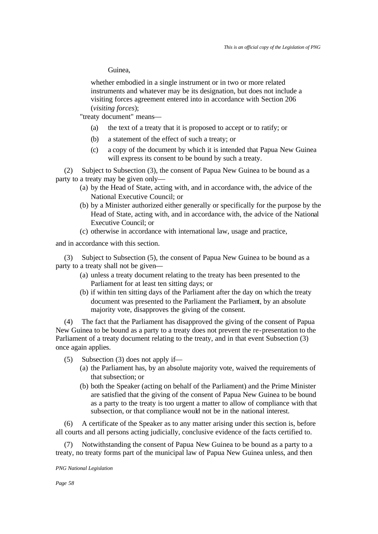Guinea,

whether embodied in a single instrument or in two or more related instruments and whatever may be its designation, but does not include a visiting forces agreement entered into in accordance with Section 206 (*visiting forces*);

"treaty document" means—

- (a) the text of a treaty that it is proposed to accept or to ratify; or
- (b) a statement of the effect of such a treaty; or
- (c) a copy of the document by which it is intended that Papua New Guinea will express its consent to be bound by such a treaty.

(2) Subject to Subsection (3), the consent of Papua New Guinea to be bound as a party to a treaty may be given only—

- (a) by the Head of State, acting with, and in accordance with, the advice of the National Executive Council; or
- (b) by a Minister authorized either generally or specifically for the purpose by the Head of State, acting with, and in accordance with, the advice of the National Executive Council; or
- (c) otherwise in accordance with international law, usage and practice,

and in accordance with this section.

(3) Subject to Subsection (5), the consent of Papua New Guinea to be bound as a party to a treaty shall not be given—

- (a) unless a treaty document relating to the treaty has been presented to the Parliament for at least ten sitting days; or
- (b) if within ten sitting days of the Parliament after the day on which the treaty document was presented to the Parliament the Parliament, by an absolute majority vote, disapproves the giving of the consent.

(4) The fact that the Parliament has disapproved the giving of the consent of Papua New Guinea to be bound as a party to a treaty does not prevent the re-presentation to the Parliament of a treaty document relating to the treaty, and in that event Subsection (3) once again applies.

- (5) Subsection (3) does not apply if—
	- (a) the Parliament has, by an absolute majority vote, waived the requirements of that subsection; or
	- (b) both the Speaker (acting on behalf of the Parliament) and the Prime Minister are satisfied that the giving of the consent of Papua New Guinea to be bound as a party to the treaty is too urgent a matter to allow of compliance with that subsection, or that compliance would not be in the national interest.

(6) A certificate of the Speaker as to any matter arising under this section is, before all courts and all persons acting judicially, conclusive evidence of the facts certified to.

Notwithstanding the consent of Papua New Guinea to be bound as a party to a treaty, no treaty forms part of the municipal law of Papua New Guinea unless, and then

*PNG National Legislation*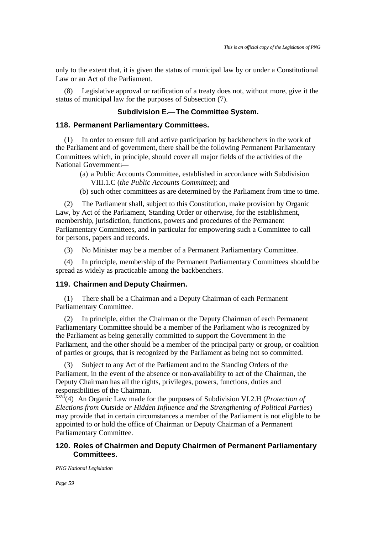only to the extent that, it is given the status of municipal law by or under a Constitutional Law or an Act of the Parliament.

(8) Legislative approval or ratification of a treaty does not, without more, give it the status of municipal law for the purposes of Subsection (7).

#### **Subdivision E.—The Committee System.**

#### **118. Permanent Parliamentary Committees.**

(1) In order to ensure full and active participation by backbenchers in the work of the Parliament and of government, there shall be the following Permanent Parliamentary Committees which, in principle, should cover all major fields of the activities of the National Government:—

(a) a Public Accounts Committee, established in accordance with Subdivision VIII.1.C (*the Public Accounts Committee*); and

(b) such other committees as are determined by the Parliament from time to time.

(2) The Parliament shall, subject to this Constitution, make provision by Organic Law, by Act of the Parliament, Standing Order or otherwise, for the establishment, membership, jurisdiction, functions, powers and procedures of the Permanent Parliamentary Committees, and in particular for empowering such a Committee to call for persons, papers and records.

(3) No Minister may be a member of a Permanent Parliamentary Committee.

(4) In principle, membership of the Permanent Parliamentary Committees should be spread as widely as practicable among the backbenchers.

#### **119. Chairmen and Deputy Chairmen.**

(1) There shall be a Chairman and a Deputy Chairman of each Permanent Parliamentary Committee.

(2) In principle, either the Chairman or the Deputy Chairman of each Permanent Parliamentary Committee should be a member of the Parliament who is recognized by the Parliament as being generally committed to support the Government in the Parliament, and the other should be a member of the principal party or group, or coalition of parties or groups, that is recognized by the Parliament as being not so committed.

Subject to any Act of the Parliament and to the Standing Orders of the Parliament, in the event of the absence or non-availability to act of the Chairman, the Deputy Chairman has all the rights, privileges, powers, functions, duties and responsibilities of the Chairman.

xxvi(4) An Organic Law made for the purposes of Subdivision VI.2.H (*Protection of Elections from Outside or Hidden Influence and the Strengthening of Political Parties*) may provide that in certain circumstances a member of the Parliament is not eligible to be appointed to or hold the office of Chairman or Deputy Chairman of a Permanent Parliamentary Committee.

## **120. Roles of Chairmen and Deputy Chairmen of Permanent Parliamentary Committees.**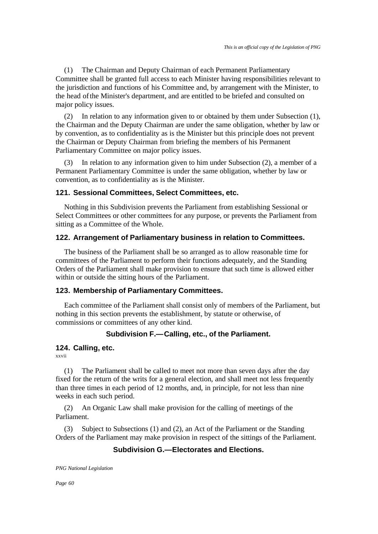(1) The Chairman and Deputy Chairman of each Permanent Parliamentary Committee shall be granted full access to each Minister having responsibilities relevant to the jurisdiction and functions of his Committee and, by arrangement with the Minister, to the head of the Minister's department, and are entitled to be briefed and consulted on major policy issues.

(2) In relation to any information given to or obtained by them under Subsection (1), the Chairman and the Deputy Chairman are under the same obligation, whether by law or by convention, as to confidentiality as is the Minister but this principle does not prevent the Chairman or Deputy Chairman from briefing the members of his Permanent Parliamentary Committee on major policy issues.

(3) In relation to any information given to him under Subsection (2), a member of a Permanent Parliamentary Committee is under the same obligation, whether by law or convention, as to confidentiality as is the Minister.

## **121. Sessional Committees, Select Committees, etc.**

Nothing in this Subdivision prevents the Parliament from establishing Sessional or Select Committees or other committees for any purpose, or prevents the Parliament from sitting as a Committee of the Whole.

## **122. Arrangement of Parliamentary business in relation to Committees.**

The business of the Parliament shall be so arranged as to allow reasonable time for committees of the Parliament to perform their functions adequately, and the Standing Orders of the Parliament shall make provision to ensure that such time is allowed either within or outside the sitting hours of the Parliament.

#### **123. Membership of Parliamentary Committees.**

Each committee of the Parliament shall consist only of members of the Parliament, but nothing in this section prevents the establishment, by statute or otherwise, of commissions or committees of any other kind.

# **Subdivision F.—Calling, etc., of the Parliament.**

#### **124. Calling, etc.**

xxvii

(1) The Parliament shall be called to meet not more than seven days after the day fixed for the return of the writs for a general election, and shall meet not less frequently than three times in each period of 12 months, and, in principle, for not less than nine weeks in each such period.

(2) An Organic Law shall make provision for the calling of meetings of the Parliament.

(3) Subject to Subsections (1) and (2), an Act of the Parliament or the Standing Orders of the Parliament may make provision in respect of the sittings of the Parliament.

# **Subdivision G.—Electorates and Elections.**

*PNG National Legislation*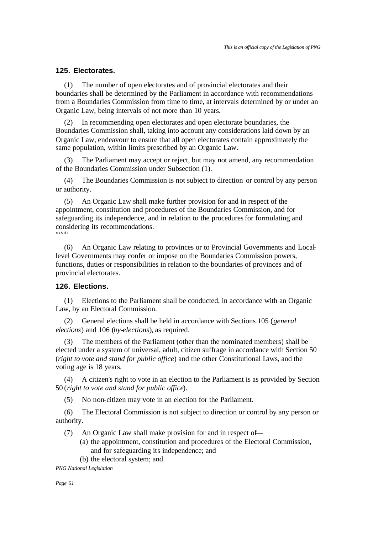## **125. Electorates.**

(1) The number of open electorates and of provincial electorates and their boundaries shall be determined by the Parliament in accordance with recommendations from a Boundaries Commission from time to time, at intervals determined by or under an Organic Law, being intervals of not more than 10 years.

In recommending open electorates and open electorate boundaries, the Boundaries Commission shall, taking into account any considerations laid down by an Organic Law, endeavour to ensure that all open electorates contain approximately the same population, within limits prescribed by an Organic Law.

(3) The Parliament may accept or reject, but may not amend, any recommendation of the Boundaries Commission under Subsection (1).

(4) The Boundaries Commission is not subject to direction or control by any person or authority.

(5) An Organic Law shall make further provision for and in respect of the appointment, constitution and procedures of the Boundaries Commission, and for safeguarding its independence, and in relation to the procedures for formulating and considering its recommendations. xxviii

(6) An Organic Law relating to provinces or to Provincial Governments and Locallevel Governments may confer or impose on the Boundaries Commission powers, functions, duties or responsibilities in relation to the boundaries of provinces and of provincial electorates.

# **126. Elections.**

(1) Elections to the Parliament shall be conducted, in accordance with an Organic Law, by an Electoral Commission.

(2) General elections shall be held in accordance with Sections 105 (*general elections*) and 106 (*by-elections*), as required.

(3) The members of the Parliament (other than the nominated members) shall be elected under a system of universal, adult, citizen suffrage in accordance with Section 50 (*right to vote and stand for public office*) and the other Constitutional Laws, and the voting age is 18 years.

(4) A citizen's right to vote in an election to the Parliament is as provided by Section 50 (*right to vote and stand for public office*).

(5) No non-citizen may vote in an election for the Parliament.

(6) The Electoral Commission is not subject to direction or control by any person or authority.

- (7) An Organic Law shall make provision for and in respect of—
	- (a) the appointment, constitution and procedures of the Electoral Commission, and for safeguarding its independence; and
		- (b) the electoral system; and

*PNG National Legislation*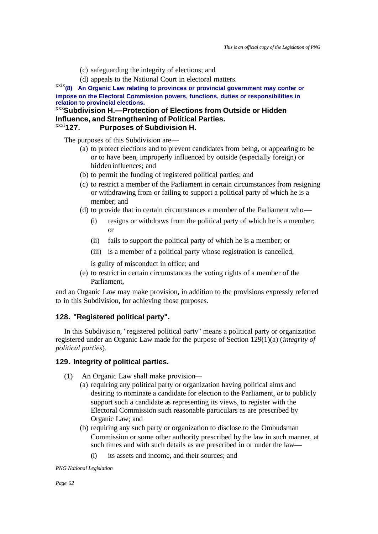- (c) safeguarding the integrity of elections; and
- (d) appeals to the National Court in electoral matters.

xxix**(8) An Organic Law relating to provinces or provincial government may confer or impose on the Electoral Commission powers, functions, duties or responsibilities in relation to provincial elections.**

## xxx**Subdivision H.—Protection of Elections from Outside or Hidden Influence, and Strengthening of Political Parties.** xxxi**127. Purposes of Subdivision H.**

The purposes of this Subdivision are—

- (a) to protect elections and to prevent candidates from being, or appearing to be or to have been, improperly influenced by outside (especially foreign) or hidden influences; and
- (b) to permit the funding of registered political parties; and
- (c) to restrict a member of the Parliament in certain circumstances from resigning or withdrawing from or failing to support a political party of which he is a member; and
- (d) to provide that in certain circumstances a member of the Parliament who—
	- (i) resigns or withdraws from the political party of which he is a member; or
	- (ii) fails to support the political party of which he is a member; or
	- (iii) is a member of a political party whose registration is cancelled,

is guilty of misconduct in office; and

(e) to restrict in certain circumstances the voting rights of a member of the Parliament,

and an Organic Law may make provision, in addition to the provisions expressly referred to in this Subdivision, for achieving those purposes.

#### **128. "Registered political party".**

In this Subdivision, "registered political party" means a political party or organization registered under an Organic Law made for the purpose of Section 129(1)(a) (*integrity of political parties*).

#### **129. Integrity of political parties.**

- (1) An Organic Law shall make provision—
	- (a) requiring any political party or organization having political aims and desiring to nominate a candidate for election to the Parliament, or to publicly support such a candidate as representing its views, to register with the Electoral Commission such reasonable particulars as are prescribed by Organic Law; and
		- (b) requiring any such party or organization to disclose to the Ombudsman Commission or some other authority prescribed by the law in such manner, at such times and with such details as are prescribed in or under the law—
			- (i) its assets and income, and their sources; and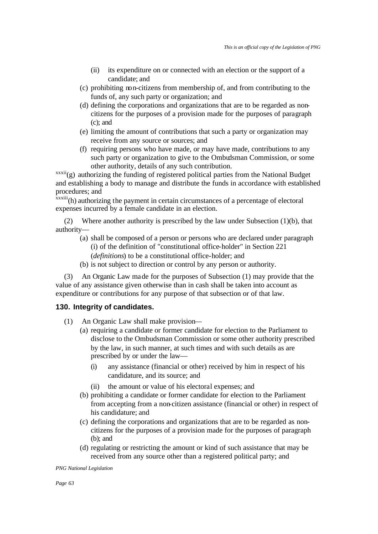- (ii) its expenditure on or connected with an election or the support of a candidate; and
- (c) prohibiting non-citizens from membership of, and from contributing to the funds of, any such party or organization; and
- (d) defining the corporations and organizations that are to be regarded as noncitizens for the purposes of a provision made for the purposes of paragraph (c); and
- (e) limiting the amount of contributions that such a party or organization may receive from any source or sources; and
- (f) requiring persons who have made, or may have made, contributions to any such party or organization to give to the Ombudsman Commission, or some other authority, details of any such contribution.

 $xxxii(g)$  authorizing the funding of registered political parties from the National Budget and establishing a body to manage and distribute the funds in accordance with established procedures; and

xxxiii(h) authorizing the payment in certain circumstances of a percentage of electoral expenses incurred by a female candidate in an election.

(2) Where another authority is prescribed by the law under Subsection (1)(b), that authority—

- (a) shall be composed of a person or persons who are declared under paragraph (i) of the definition of "constitutional office-holder" in Section 221
	- (*definitions*) to be a constitutional office-holder; and
- (b) is not subject to direction or control by any person or authority.

(3) An Organic Law made for the purposes of Subsection (1) may provide that the value of any assistance given otherwise than in cash shall be taken into account as expenditure or contributions for any purpose of that subsection or of that law.

#### **130. Integrity of candidates.**

- (1) An Organic Law shall make provision—
	- (a) requiring a candidate or former candidate for election to the Parliament to disclose to the Ombudsman Commission or some other authority prescribed by the law, in such manner, at such times and with such details as are prescribed by or under the law—
		- (i) any assistance (financial or other) received by him in respect of his candidature, and its source; and
		- (ii) the amount or value of his electoral expenses; and
	- (b) prohibiting a candidate or former candidate for election to the Parliament from accepting from a non-citizen assistance (financial or other) in respect of his candidature; and
	- (c) defining the corporations and organizations that are to be regarded as noncitizens for the purposes of a provision made for the purposes of paragraph (b); and
	- (d) regulating or restricting the amount or kind of such assistance that may be received from any source other than a registered political party; and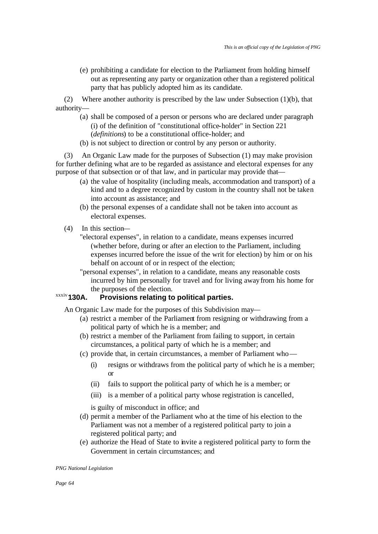(e) prohibiting a candidate for election to the Parliament from holding himself out as representing any party or organization other than a registered political party that has publicly adopted him as its candidate.

(2) Where another authority is prescribed by the law under Subsection (1)(b), that authority—

- (a) shall be composed of a person or persons who are declared under paragraph (i) of the definition of "constitutional office-holder" in Section 221 (*definitions*) to be a constitutional office-holder; and
- (b) is not subject to direction or control by any person or authority.

(3) An Organic Law made for the purposes of Subsection (1) may make provision for further defining what are to be regarded as assistance and electoral expenses for any purpose of that subsection or of that law, and in particular may provide that—

- (a) the value of hospitality (including meals, accommodation and transport) of a kind and to a degree recognized by custom in the country shall not be taken into account as assistance; and
- (b) the personal expenses of a candidate shall not be taken into account as electoral expenses.
- (4) In this section—
	- "electoral expenses", in relation to a candidate, means expenses incurred (whether before, during or after an election to the Parliament, including expenses incurred before the issue of the writ for election) by him or on his behalf on account of or in respect of the election;
	- "personal expenses", in relation to a candidate, means any reasonable costs incurred by him personally for travel and for living away from his home for the purposes of the election.

# xxxiv**130A. Provisions relating to political parties.**

An Organic Law made for the purposes of this Subdivision may—

- (a) restrict a member of the Parliament from resigning or withdrawing from a political party of which he is a member; and
- (b) restrict a member of the Parliament from failing to support, in certain circumstances, a political party of which he is a member; and
- (c) provide that, in certain circumstances, a member of Parliament who—
	- (i) resigns or withdraws from the political party of which he is a member; or
	- (ii) fails to support the political party of which he is a member; or
	- (iii) is a member of a political party whose registration is cancelled,

is guilty of misconduct in office; and

- (d) permit a member of the Parliament who at the time of his election to the Parliament was not a member of a registered political party to join a registered political party; and
- (e) authorize the Head of State to invite a registered political party to form the Government in certain circumstances; and

*PNG National Legislation*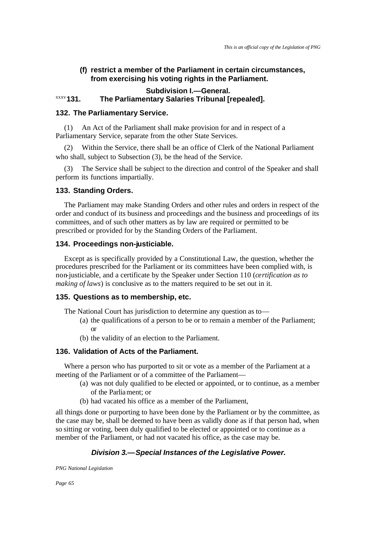# **(f) restrict a member of the Parliament in certain circumstances, from exercising his voting rights in the Parliament.**

# **Subdivision I.—General.** xxxv**131. The Parliamentary Salaries Tribunal [repealed].**

# **132. The Parliamentary Service.**

(1) An Act of the Parliament shall make provision for and in respect of a Parliamentary Service, separate from the other State Services.

(2) Within the Service, there shall be an office of Clerk of the National Parliament who shall, subject to Subsection (3), be the head of the Service.

The Service shall be subject to the direction and control of the Speaker and shall perform its functions impartially.

#### **133. Standing Orders.**

The Parliament may make Standing Orders and other rules and orders in respect of the order and conduct of its business and proceedings and the business and proceedings of its committees, and of such other matters as by law are required or permitted to be prescribed or provided for by the Standing Orders of the Parliament.

#### **134. Proceedings non-justiciable.**

Except as is specifically provided by a Constitutional Law, the question, whether the procedures prescribed for the Parliament or its committees have been complied with, is non-justiciable, and a certificate by the Speaker under Section 110 (*certification as to making of laws*) is conclusive as to the matters required to be set out in it.

# **135. Questions as to membership, etc.**

The National Court has jurisdiction to determine any question as to—

- (a) the qualifications of a person to be or to remain a member of the Parliament; or
- (b) the validity of an election to the Parliament.

# **136. Validation of Acts of the Parliament.**

Where a person who has purported to sit or vote as a member of the Parliament at a meeting of the Parliament or of a committee of the Parliament—

- (a) was not duly qualified to be elected or appointed, or to continue, as a member of the Parliament; or
- (b) had vacated his office as a member of the Parliament,

all things done or purporting to have been done by the Parliament or by the committee, as the case may be, shall be deemed to have been as validly done as if that person had, when so sitting or voting, been duly qualified to be elected or appointed or to continue as a member of the Parliament, or had not vacated his office, as the case may be.

# *Division 3.—Special Instances of the Legislative Power.*

*PNG National Legislation*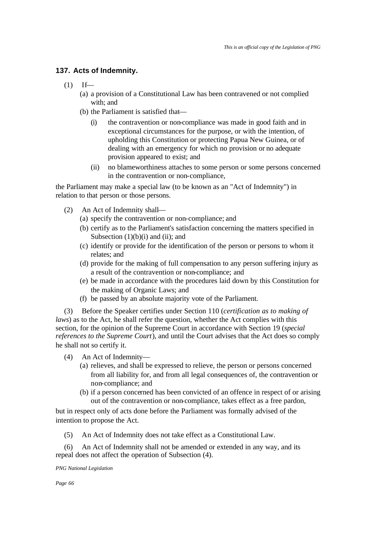## **137. Acts of Indemnity.**

- $(1)$  If—
	- (a) a provision of a Constitutional Law has been contravened or not complied with; and
	- (b) the Parliament is satisfied that—
		- (i) the contravention or non-compliance was made in good faith and in exceptional circumstances for the purpose, or with the intention, of upholding this Constitution or protecting Papua New Guinea, or of dealing with an emergency for which no provision or no adequate provision appeared to exist; and
		- (ii) no blameworthiness attaches to some person or some persons concerned in the contravention or non-compliance,

the Parliament may make a special law (to be known as an "Act of Indemnity") in relation to that person or those persons.

- (2) An Act of Indemnity shall—
	- (a) specify the contravention or non-compliance; and
	- (b) certify as to the Parliament's satisfaction concerning the matters specified in Subsection  $(1)(b)(i)$  and  $(ii)$ ; and
	- (c) identify or provide for the identification of the person or persons to whom it relates; and
	- (d) provide for the making of full compensation to any person suffering injury as a result of the contravention or non-compliance; and
	- (e) be made in accordance with the procedures laid down by this Constitution for the making of Organic Laws; and
	- (f) be passed by an absolute majority vote of the Parliament.

(3) Before the Speaker certifies under Section 110 (*certification as to making of laws*) as to the Act, he shall refer the question, whether the Act complies with this section, for the opinion of the Supreme Court in accordance with Section 19 (*special references to the Supreme Court*), and until the Court advises that the Act does so comply he shall not so certify it.

- (4) An Act of Indemnity—
	- (a) relieves, and shall be expressed to relieve, the person or persons concerned from all liability for, and from all legal consequences of, the contravention or non-compliance; and
	- (b) if a person concerned has been convicted of an offence in respect of or arising out of the contravention or non-compliance, takes effect as a free pardon,

but in respect only of acts done before the Parliament was formally advised of the intention to propose the Act.

(5) An Act of Indemnity does not take effect as a Constitutional Law.

(6) An Act of Indemnity shall not be amended or extended in any way, and its repeal does not affect the operation of Subsection (4).

*PNG National Legislation*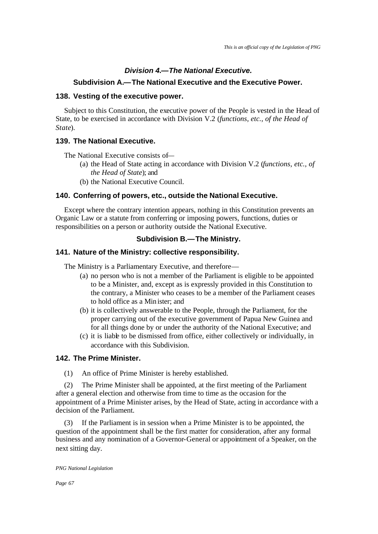# *Division 4.—The National Executive.*

## **Subdivision A.—The National Executive and the Executive Power.**

#### **138. Vesting of the executive power.**

Subject to this Constitution, the executive power of the People is vested in the Head of State, to be exercised in accordance with Division V.2 (*functions, etc., of the Head of State*).

#### **139. The National Executive.**

The National Executive consists of—

- (a) the Head of State acting in accordance with Division V.2 (*functions, etc., of the Head of State*); and
- (b) the National Executive Council.

#### **140. Conferring of powers, etc., outside the National Executive.**

Except where the contrary intention appears, nothing in this Constitution prevents an Organic Law or a statute from conferring or imposing powers, functions, duties or responsibilities on a person or authority outside the National Executive.

## **Subdivision B.—The Ministry.**

#### **141. Nature of the Ministry: collective responsibility.**

The Ministry is a Parliamentary Executive, and therefore—

- (a) no person who is not a member of the Parliament is eligible to be appointed to be a Minister, and, except as is expressly provided in this Constitution to the contrary, a Minister who ceases to be a member of the Parliament ceases to hold office as a Minister; and
- (b) it is collectively answerable to the People, through the Parliament, for the proper carrying out of the executive government of Papua New Guinea and for all things done by or under the authority of the National Executive; and
- (c) it is liable to be dismissed from office, either collectively or individually, in accordance with this Subdivision.

#### **142. The Prime Minister.**

(1) An office of Prime Minister is hereby established.

(2) The Prime Minister shall be appointed, at the first meeting of the Parliament after a general election and otherwise from time to time as the occasion for the appointment of a Prime Minister arises, by the Head of State, acting in accordance with a decision of the Parliament.

(3) If the Parliament is in session when a Prime Minister is to be appointed, the question of the appointment shall be the first matter for consideration, after any formal business and any nomination of a Governor-General or appointment of a Speaker, on the next sitting day.

#### *PNG National Legislation*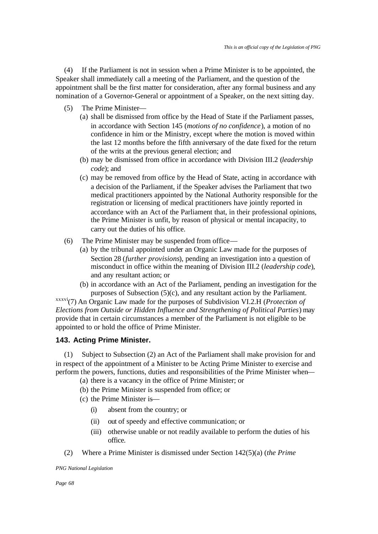(4) If the Parliament is not in session when a Prime Minister is to be appointed, the Speaker shall immediately call a meeting of the Parliament, and the question of the appointment shall be the first matter for consideration, after any formal business and any nomination of a Governor-General or appointment of a Speaker, on the next sitting day.

- (5) The Prime Minister—
	- (a) shall be dismissed from office by the Head of State if the Parliament passes, in accordance with Section 145 (*motions of no confidence*), a motion of no confidence in him or the Ministry, except where the motion is moved within the last 12 months before the fifth anniversary of the date fixed for the return of the writs at the previous general election; and
	- (b) may be dismissed from office in accordance with Division III.2 (*leadership code*); and
	- (c) may be removed from office by the Head of State, acting in accordance with a decision of the Parliament, if the Speaker advises the Parliament that two medical practitioners appointed by the National Authority responsible for the registration or licensing of medical practitioners have jointly reported in accordance with an Act of the Parliament that, in their professional opinions, the Prime Minister is unfit, by reason of physical or mental incapacity, to carry out the duties of his office.
- (6) The Prime Minister may be suspended from office—
	- (a) by the tribunal appointed under an Organic Law made for the purposes of Section 28 (*further provisions*), pending an investigation into a question of misconduct in office within the meaning of Division III.2 (*leadership code*), and any resultant action; or
	- (b) in accordance with an Act of the Parliament, pending an investigation for the purposes of Subsection (5)(c), and any resultant action by the Parliament.

xxxvi(7) An Organic Law made for the purposes of Subdivision VI.2.H (*Protection of Elections from Outside or Hidden Influence and Strengthening of Political Parties*) may provide that in certain circumstances a member of the Parliament is not eligible to be appointed to or hold the office of Prime Minister.

#### **143. Acting Prime Minister.**

(1) Subject to Subsection (2) an Act of the Parliament shall make provision for and in respect of the appointment of a Minister to be Acting Prime Minister to exercise and perform the powers, functions, duties and responsibilities of the Prime Minister when—

- (a) there is a vacancy in the office of Prime Minister; or
- (b) the Prime Minister is suspended from office; or
- (c) the Prime Minister is—
	- (i) absent from the country; or
	- (ii) out of speedy and effective communication; or
	- (iii) otherwise unable or not readily available to perform the duties of his office.
- (2) Where a Prime Minister is dismissed under Section 142(5)(a) (*the Prime*

*PNG National Legislation*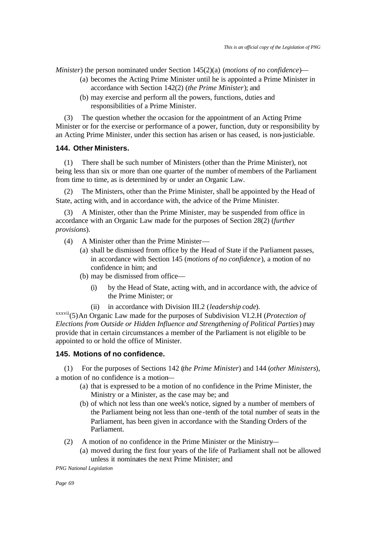*Minister*) the person nominated under Section 145(2)(a) (*motions of no confidence*)—

- (a) becomes the Acting Prime Minister until he is appointed a Prime Minister in accordance with Section 142(2) (*the Prime Minister*); and
- (b) may exercise and perform all the powers, functions, duties and responsibilities of a Prime Minister.

(3) The question whether the occasion for the appointment of an Acting Prime Minister or for the exercise or performance of a power, function, duty or responsibility by an Acting Prime Minister, under this section has arisen or has ceased, is non-justiciable.

#### **144. Other Ministers.**

(1) There shall be such number of Ministers (other than the Prime Minister), not being less than six or more than one quarter of the number of members of the Parliament from time to time, as is determined by or under an Organic Law.

(2) The Ministers, other than the Prime Minister, shall be appointed by the Head of State, acting with, and in accordance with, the advice of the Prime Minister.

(3) A Minister, other than the Prime Minister, may be suspended from office in accordance with an Organic Law made for the purposes of Section 28(2) (*further provisions*).

- (4) A Minister other than the Prime Minister—
	- (a) shall be dismissed from office by the Head of State if the Parliament passes, in accordance with Section 145 (*motions of no confidence*), a motion of no confidence in him; and
	- (b) may be dismissed from office—
		- (i) by the Head of State, acting with, and in accordance with, the advice of the Prime Minister; or
		- (ii) in accordance with Division III.2 (*leadership code*).

xxxvii(5)An Organic Law made for the purposes of Subdivision VI.2.H (*Protection of Elections from Outside or Hidden Influence and Strengthening of Political Parties*) may provide that in certain circumstances a member of the Parliament is not eligible to be appointed to or hold the office of Minister.

#### **145. Motions of no confidence.**

(1) For the purposes of Sections 142 (*the Prime Minister*) and 144 (*other Ministers*), a motion of no confidence is a motion—

- (a) that is expressed to be a motion of no confidence in the Prime Minister, the Ministry or a Minister, as the case may be; and
- (b) of which not less than one week's notice, signed by a number of members of the Parliament being not less than one -tenth of the total number of seats in the Parliament, has been given in accordance with the Standing Orders of the Parliament.
- (2) A motion of no confidence in the Prime Minister or the Ministry—
	- (a) moved during the first four years of the life of Parliament shall not be allowed unless it nominates the next Prime Minister; and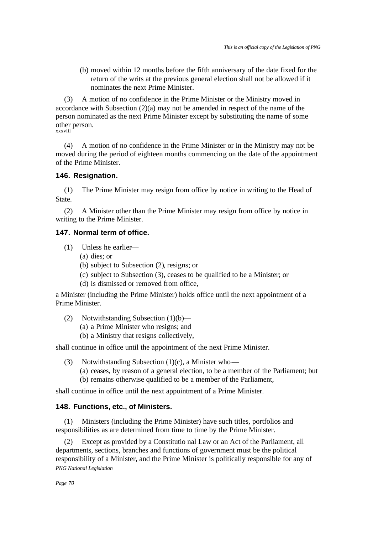(b) moved within 12 months before the fifth anniversary of the date fixed for the return of the writs at the previous general election shall not be allowed if it nominates the next Prime Minister.

(3) A motion of no confidence in the Prime Minister or the Ministry moved in accordance with Subsection  $(2)(a)$  may not be amended in respect of the name of the person nominated as the next Prime Minister except by substituting the name of some other person. xxxviii

(4) A motion of no confidence in the Prime Minister or in the Ministry may not be moved during the period of eighteen months commencing on the date of the appointment of the Prime Minister.

## **146. Resignation.**

(1) The Prime Minister may resign from office by notice in writing to the Head of State.

(2) A Minister other than the Prime Minister may resign from office by notice in writing to the Prime Minister.

## **147. Normal term of office.**

- (1) Unless he earlier—
	- (a) dies; or
	- (b) subject to Subsection (2), resigns; or
	- (c) subject to Subsection (3), ceases to be qualified to be a Minister; or
	- (d) is dismissed or removed from office,

a Minister (including the Prime Minister) holds office until the next appointment of a Prime Minister.

- (2) Notwithstanding Subsection (1)(b)—
	- (a) a Prime Minister who resigns; and
	- (b) a Ministry that resigns collectively,

shall continue in office until the appointment of the next Prime Minister.

- (3) Notwithstanding Subsection  $(1)(c)$ , a Minister who—
	- (a) ceases, by reason of a general election, to be a member of the Parliament; but (b) remains otherwise qualified to be a member of the Parliament,

shall continue in office until the next appointment of a Prime Minister.

# **148. Functions, etc., of Ministers.**

(1) Ministers (including the Prime Minister) have such titles, portfolios and responsibilities as are determined from time to time by the Prime Minister.

*PNG National Legislation* (2) Except as provided by a Constitutio nal Law or an Act of the Parliament, all departments, sections, branches and functions of government must be the political responsibility of a Minister, and the Prime Minister is politically responsible for any of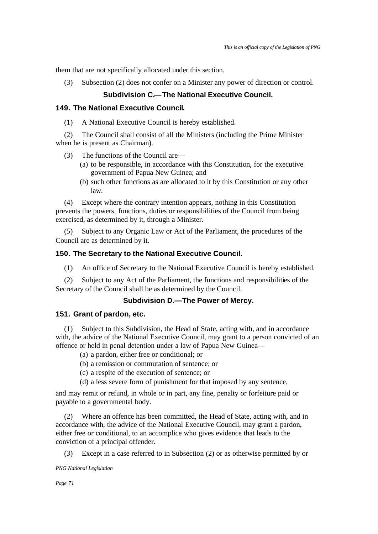them that are not specifically allocated under this section.

(3) Subsection (2) does not confer on a Minister any power of direction or control.

## **Subdivision C.—The National Executive Council.**

## **149. The National Executive Council.**

(1) A National Executive Council is hereby established.

(2) The Council shall consist of all the Ministers (including the Prime Minister when he is present as Chairman).

(3) The functions of the Council are—

- (a) to be responsible, in accordance with this Constitution, for the executive government of Papua New Guinea; and
- (b) such other functions as are allocated to it by this Constitution or any other law.

(4) Except where the contrary intention appears, nothing in this Constitution prevents the powers, functions, duties or responsibilities of the Council from being exercised, as determined by it, through a Minister.

(5) Subject to any Organic Law or Act of the Parliament, the procedures of the Council are as determined by it.

#### **150. The Secretary to the National Executive Council.**

(1) An office of Secretary to the National Executive Council is hereby established.

(2) Subject to any Act of the Parliament, the functions and responsibilities of the Secretary of the Council shall be as determined by the Council.

## **Subdivision D.—The Power of Mercy.**

#### **151. Grant of pardon, etc.**

(1) Subject to this Subdivision, the Head of State, acting with, and in accordance with, the advice of the National Executive Council, may grant to a person convicted of an offence or held in penal detention under a law of Papua New Guinea—

- (a) a pardon, either free or conditional; or
- (b) a remission or commutation of sentence; or
- (c) a respite of the execution of sentence; or
- (d) a less severe form of punishment for that imposed by any sentence,

and may remit or refund, in whole or in part, any fine, penalty or forfeiture paid or payable to a governmental body.

(2) Where an offence has been committed, the Head of State, acting with, and in accordance with, the advice of the National Executive Council, may grant a pardon, either free or conditional, to an accomplice who gives evidence that leads to the conviction of a principal offender.

(3) Except in a case referred to in Subsection (2) or as otherwise permitted by or

*PNG National Legislation*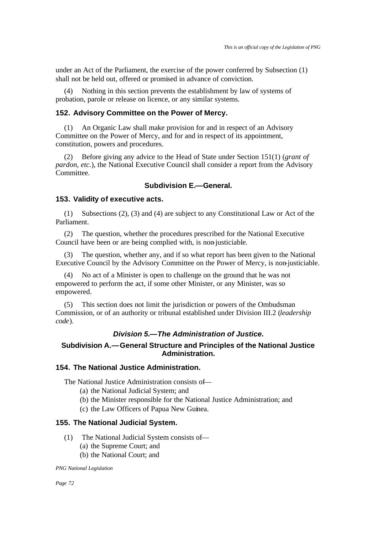under an Act of the Parliament, the exercise of the power conferred by Subsection (1) shall not be held out, offered or promised in advance of conviction.

(4) Nothing in this section prevents the establishment by law of systems of probation, parole or release on licence, or any similar systems.

#### **152. Advisory Committee on the Power of Mercy.**

(1) An Organic Law shall make provision for and in respect of an Advisory Committee on the Power of Mercy, and for and in respect of its appointment, constitution, powers and procedures.

(2) Before giving any advice to the Head of State under Section 151(1) (*grant of pardon, etc.*), the National Executive Council shall consider a report from the Advisory **Committee.** 

## **Subdivision E.—General.**

#### **153. Validity of executive acts.**

(1) Subsections (2), (3) and (4) are subject to any Constitutional Law or Act of the Parliament.

(2) The question, whether the procedures prescribed for the National Executive Council have been or are being complied with, is non-justiciable.

(3) The question, whether any, and if so what report has been given to the National Executive Council by the Advisory Committee on the Power of Mercy, is non-justiciable.

(4) No act of a Minister is open to challenge on the ground that he was not empowered to perform the act, if some other Minister, or any Minister, was so empowered.

(5) This section does not limit the jurisdiction or powers of the Ombudsman Commission, or of an authority or tribunal established under Division III.2 (*leadership code*).

# *Division 5.—The Administration of Justice.*

#### **Subdivision A.—General Structure and Principles of the National Justice Administration.**

# **154. The National Justice Administration.**

The National Justice Administration consists of—

- (a) the National Judicial System; and
- (b) the Minister responsible for the National Justice Administration; and
- (c) the Law Officers of Papua New Guinea.

#### **155. The National Judicial System.**

- (1) The National Judicial System consists of—
	- (a) the Supreme Court; and
	- (b) the National Court; and

*PNG National Legislation*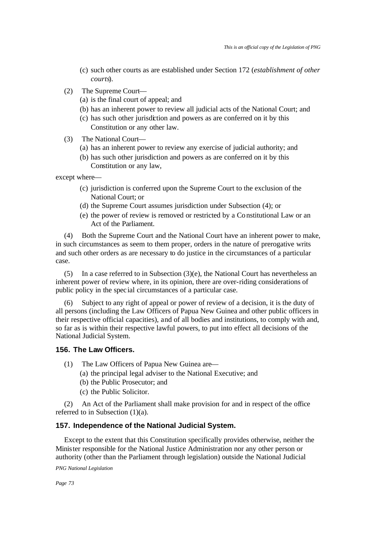- (c) such other courts as are established under Section 172 (*establishment of other courts*).
- (2) The Supreme Court—
	- (a) is the final court of appeal; and
	- (b) has an inherent power to review all judicial acts of the National Court; and
	- (c) has such other jurisdiction and powers as are conferred on it by this Constitution or any other law.
- (3) The National Court—
	- (a) has an inherent power to review any exercise of judicial authority; and
	- (b) has such other jurisdiction and powers as are conferred on it by this Constitution or any law,

except where—

- (c) jurisdiction is conferred upon the Supreme Court to the exclusion of the National Court; or
- (d) the Supreme Court assumes jurisdiction under Subsection (4); or
- (e) the power of review is removed or restricted by a Constitutional Law or an Act of the Parliament.

(4) Both the Supreme Court and the National Court have an inherent power to make, in such circumstances as seem to them proper, orders in the nature of prerogative writs and such other orders as are necessary to do justice in the circumstances of a particular case.

(5) In a case referred to in Subsection (3)(e), the National Court has nevertheless an inherent power of review where, in its opinion, there are over-riding considerations of public policy in the spec ial circumstances of a particular case.

(6) Subject to any right of appeal or power of review of a decision, it is the duty of all persons (including the Law Officers of Papua New Guinea and other public officers in their respective official capacities), and of all bodies and institutions, to comply with and, so far as is within their respective lawful powers, to put into effect all decisions of the National Judicial System.

### **156. The Law Officers.**

- (1) The Law Officers of Papua New Guinea are—
	- (a) the principal legal adviser to the National Executive; and
	- (b) the Public Prosecutor; and
	- (c) the Public Solicitor.

(2) An Act of the Parliament shall make provision for and in respect of the office referred to in Subsection (1)(a).

#### **157. Independence of the National Judicial System.**

Except to the extent that this Constitution specifically provides otherwise, neither the Minister responsible for the National Justice Administration nor any other person or authority (other than the Parliament through legislation) outside the National Judicial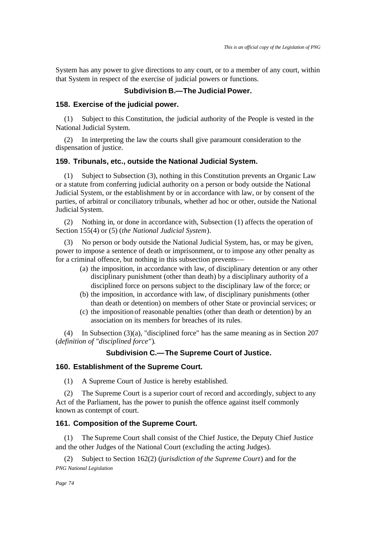System has any power to give directions to any court, or to a member of any court, within that System in respect of the exercise of judicial powers or functions.

# **Subdivision B.—The Judicial Power.**

### **158. Exercise of the judicial power.**

(1) Subject to this Constitution, the judicial authority of the People is vested in the National Judicial System.

(2) In interpreting the law the courts shall give paramount consideration to the dispensation of justice.

#### **159. Tribunals, etc., outside the National Judicial System.**

(1) Subject to Subsection (3), nothing in this Constitution prevents an Organic Law or a statute from conferring judicial authority on a person or body outside the National Judicial System, or the establishment by or in accordance with law, or by consent of the parties, of arbitral or conciliatory tribunals, whether ad hoc or other, outside the National Judicial System.

(2) Nothing in, or done in accordance with, Subsection (1) affects the operation of Section 155(4) or (5) (*the National Judicial System*).

(3) No person or body outside the National Judicial System, has, or may be given, power to impose a sentence of death or imprisonment, or to impose any other penalty as for a criminal offence, but nothing in this subsection prevents—

- (a) the imposition, in accordance with law, of disciplinary detention or any other disciplinary punishment (other than death) by a disciplinary authority of a disciplined force on persons subject to the disciplinary law of the force; or
- (b) the imposition, in accordance with law, of disciplinary punishments (other than death or detention) on members of other State or provincial services; or
- (c) the imposition of reasonable penalties (other than death or detention) by an association on its members for breaches of its rules.

(4) In Subsection (3)(a), "disciplined force" has the same meaning as in Section 207 (*definition of "disciplined force"*).

### **Subdivision C.—The Supreme Court of Justice.**

#### **160. Establishment of the Supreme Court.**

(1) A Supreme Court of Justice is hereby established.

(2) The Supreme Court is a superior court of record and accordingly, subject to any Act of the Parliament, has the power to punish the offence against itself commonly known as contempt of court.

### **161. Composition of the Supreme Court.**

(1) The Supreme Court shall consist of the Chief Justice, the Deputy Chief Justice and the other Judges of the National Court (excluding the acting Judges).

*PNG National Legislation* (2) Subject to Section 162(2) (*jurisdiction of the Supreme Court*) and for the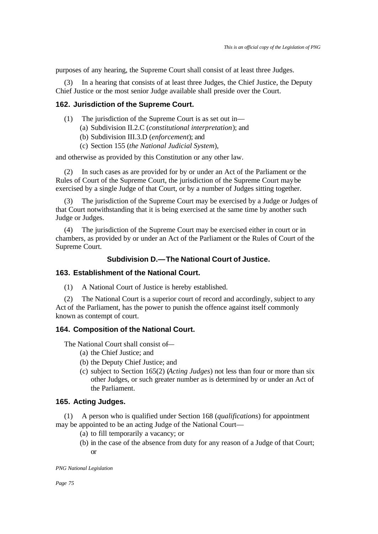purposes of any hearing, the Supreme Court shall consist of at least three Judges.

In a hearing that consists of at least three Judges, the Chief Justice, the Deputy Chief Justice or the most senior Judge available shall preside over the Court.

# **162. Jurisdiction of the Supreme Court.**

- (1) The jurisdiction of the Supreme Court is as set out in—
	- (a) Subdivision II.2.C (*constitutional interpretation*); and
	- (b) Subdivision III.3.D (*enforcement*); and
	- (c) Section 155 (*the National Judicial System*),

and otherwise as provided by this Constitution or any other law.

(2) In such cases as are provided for by or under an Act of the Parliament or the Rules of Court of the Supreme Court, the jurisdiction of the Supreme Court may be exercised by a single Judge of that Court, or by a number of Judges sitting together.

(3) The jurisdiction of the Supreme Court may be exercised by a Judge or Judges of that Court notwithstanding that it is being exercised at the same time by another such Judge or Judges.

(4) The jurisdiction of the Supreme Court may be exercised either in court or in chambers, as provided by or under an Act of the Parliament or the Rules of Court of the Supreme Court.

### **Subdivision D.—The National Court of Justice.**

### **163. Establishment of the National Court.**

(1) A National Court of Justice is hereby established.

(2) The National Court is a superior court of record and accordingly, subject to any Act of the Parliament, has the power to punish the offence against itself commonly known as contempt of court.

### **164. Composition of the National Court.**

The National Court shall consist of—

- (a) the Chief Justice; and
- (b) the Deputy Chief Justice; and
- (c) subject to Section 165(2) (*Acting Judges*) not less than four or more than six other Judges, or such greater number as is determined by or under an Act of the Parliament.

### **165. Acting Judges.**

(1) A person who is qualified under Section 168 (*qualifications*) for appointment may be appointed to be an acting Judge of the National Court—

- (a) to fill temporarily a vacancy; or
- (b) in the case of the absence from duty for any reason of a Judge of that Court; or

*PNG National Legislation*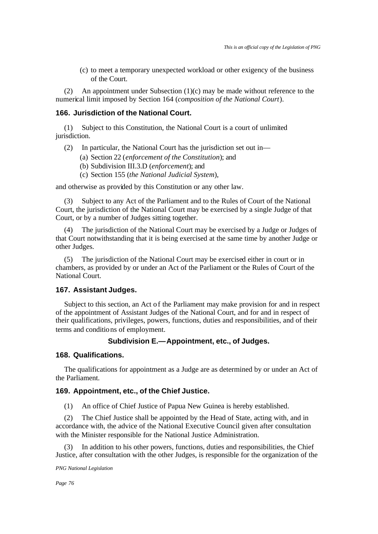(c) to meet a temporary unexpected workload or other exigency of the business of the Court.

(2) An appointment under Subsection (1)(c) may be made without reference to the numerical limit imposed by Section 164 (*composition of the National Court*).

#### **166. Jurisdiction of the National Court.**

(1) Subject to this Constitution, the National Court is a court of unlimited jurisdiction.

- (2) In particular, the National Court has the jurisdiction set out in—
	- (a) Section 22 (*enforcement of the Constitution*); and
	- (b) Subdivision III.3.D (*enforcement*); and
	- (c) Section 155 (*the National Judicial System*),

and otherwise as provided by this Constitution or any other law.

(3) Subject to any Act of the Parliament and to the Rules of Court of the National Court, the jurisdiction of the National Court may be exercised by a single Judge of that Court, or by a number of Judges sitting together.

(4) The jurisdiction of the National Court may be exercised by a Judge or Judges of that Court notwithstanding that it is being exercised at the same time by another Judge or other Judges.

(5) The jurisdiction of the National Court may be exercised either in court or in chambers, as provided by or under an Act of the Parliament or the Rules of Court of the National Court.

### **167. Assistant Judges.**

Subject to this section, an Act of the Parliament may make provision for and in respect of the appointment of Assistant Judges of the National Court, and for and in respect of their qualifications, privileges, powers, functions, duties and responsibilities, and of their terms and conditions of employment.

#### **Subdivision E.—Appointment, etc., of Judges.**

### **168. Qualifications.**

The qualifications for appointment as a Judge are as determined by or under an Act of the Parliament.

#### **169. Appointment, etc., of the Chief Justice.**

(1) An office of Chief Justice of Papua New Guinea is hereby established.

(2) The Chief Justice shall be appointed by the Head of State, acting with, and in accordance with, the advice of the National Executive Council given after consultation with the Minister responsible for the National Justice Administration.

In addition to his other powers, functions, duties and responsibilities, the Chief Justice, after consultation with the other Judges, is responsible for the organization of the

*PNG National Legislation*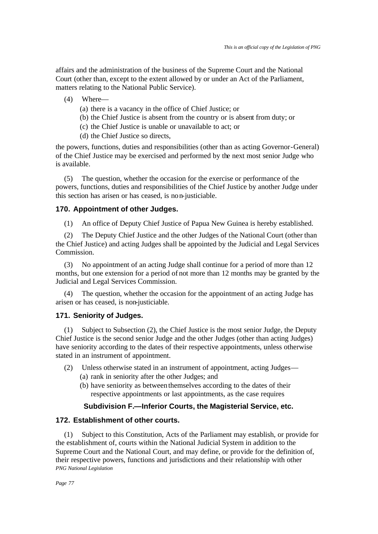affairs and the administration of the business of the Supreme Court and the National Court (other than, except to the extent allowed by or under an Act of the Parliament, matters relating to the National Public Service).

- (4) Where—
	- (a) there is a vacancy in the office of Chief Justice; or
	- (b) the Chief Justice is absent from the country or is absent from duty; or
	- (c) the Chief Justice is unable or unavailable to act; or
	- (d) the Chief Justice so directs,

the powers, functions, duties and responsibilities (other than as acting Governor-General) of the Chief Justice may be exercised and performed by the next most senior Judge who is available.

(5) The question, whether the occasion for the exercise or performance of the powers, functions, duties and responsibilities of the Chief Justice by another Judge under this section has arisen or has ceased, is non-justiciable.

#### **170. Appointment of other Judges.**

(1) An office of Deputy Chief Justice of Papua New Guinea is hereby established.

(2) The Deputy Chief Justice and the other Judges of the National Court (other than the Chief Justice) and acting Judges shall be appointed by the Judicial and Legal Services Commission.

(3) No appointment of an acting Judge shall continue for a period of more than 12 months, but one extension for a period of not more than 12 months may be granted by the Judicial and Legal Services Commission.

The question, whether the occasion for the appointment of an acting Judge has arisen or has ceased, is non-justiciable.

#### **171. Seniority of Judges.**

(1) Subject to Subsection (2), the Chief Justice is the most senior Judge, the Deputy Chief Justice is the second senior Judge and the other Judges (other than acting Judges) have seniority according to the dates of their respective appointments, unless otherwise stated in an instrument of appointment.

- (2) Unless otherwise stated in an instrument of appointment, acting Judges— (a) rank in seniority after the other Judges; and
	- (b) have seniority as between themselves according to the dates of their respective appointments or last appointments, as the case requires

## **Subdivision F.—Inferior Courts, the Magisterial Service, etc.**

#### **172. Establishment of other courts.**

*PNG National Legislation* (1) Subject to this Constitution, Acts of the Parliament may establish, or provide for the establishment of, courts within the National Judicial System in addition to the Supreme Court and the National Court, and may define, or provide for the definition of, their respective powers, functions and jurisdictions and their relationship with other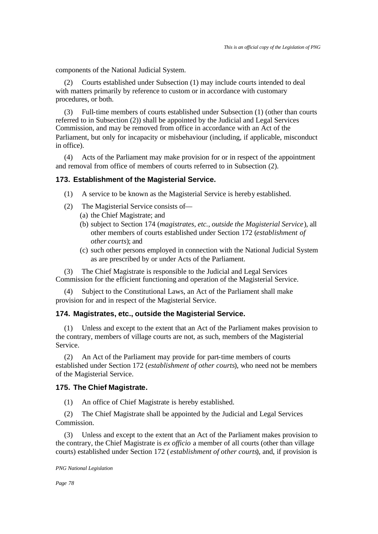components of the National Judicial System.

(2) Courts established under Subsection (1) may include courts intended to deal with matters primarily by reference to custom or in accordance with customary procedures, or both.

(3) Full-time members of courts established under Subsection (1) (other than courts referred to in Subsection (2)) shall be appointed by the Judicial and Legal Services Commission, and may be removed from office in accordance with an Act of the Parliament, but only for incapacity or misbehaviour (including, if applicable, misconduct in office).

(4) Acts of the Parliament may make provision for or in respect of the appointment and removal from office of members of courts referred to in Subsection (2).

### **173. Establishment of the Magisterial Service.**

- (1) A service to be known as the Magisterial Service is hereby established.
- (2) The Magisterial Service consists of—
	- (a) the Chief Magistrate; and
	- (b) subject to Section 174 (*magistrates, etc., outside the Magisterial Service*), all other members of courts established under Section 172 (*establishment of other courts*); and
	- (c) such other persons employed in connection with the National Judicial System as are prescribed by or under Acts of the Parliament.

(3) The Chief Magistrate is responsible to the Judicial and Legal Services Commission for the efficient functioning and operation of the Magisterial Service.

Subject to the Constitutional Laws, an Act of the Parliament shall make provision for and in respect of the Magisterial Service.

### **174. Magistrates, etc., outside the Magisterial Service.**

(1) Unless and except to the extent that an Act of the Parliament makes provision to the contrary, members of village courts are not, as such, members of the Magisterial Service.

(2) An Act of the Parliament may provide for part-time members of courts established under Section 172 (*establishment of other courts*), who need not be members of the Magisterial Service.

#### **175. The Chief Magistrate.**

(1) An office of Chief Magistrate is hereby established.

(2) The Chief Magistrate shall be appointed by the Judicial and Legal Services Commission.

(3) Unless and except to the extent that an Act of the Parliament makes provision to the contrary, the Chief Magistrate is *ex officio* a member of all courts (other than village courts) established under Section 172 ( *establishment of other courts*), and, if provision is

*PNG National Legislation*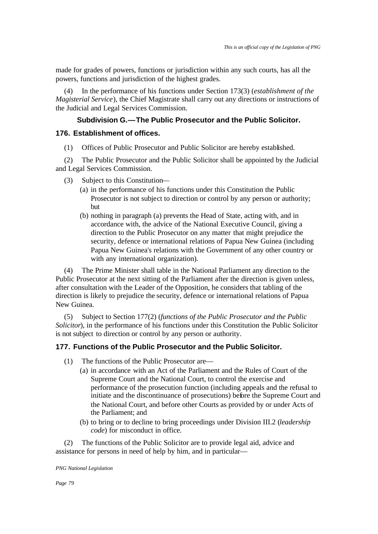made for grades of powers, functions or jurisdiction within any such courts, has all the powers, functions and jurisdiction of the highest grades.

(4) In the performance of his functions under Section 173(3) (*establishment of the Magisterial Service*), the Chief Magistrate shall carry out any directions or instructions of the Judicial and Legal Services Commission.

### **Subdivision G.—The Public Prosecutor and the Public Solicitor.**

### **176. Establishment of offices.**

(1) Offices of Public Prosecutor and Public Solicitor are hereby established.

(2) The Public Prosecutor and the Public Solicitor shall be appointed by the Judicial and Legal Services Commission.

- (3) Subject to this Constitution—
	- (a) in the performance of his functions under this Constitution the Public Prosecutor is not subject to direction or control by any person or authority; but
	- (b) nothing in paragraph (a) prevents the Head of State, acting with, and in accordance with, the advice of the National Executive Council, giving a direction to the Public Prosecutor on any matter that might prejudice the security, defence or international relations of Papua New Guinea (including Papua New Guinea's relations with the Government of any other country or with any international organization).

(4) The Prime Minister shall table in the National Parliament any direction to the Public Prosecutor at the next sitting of the Parliament after the direction is given unless, after consultation with the Leader of the Opposition, he considers that tabling of the direction is likely to prejudice the security, defence or international relations of Papua New Guinea.

(5) Subject to Section 177(2) (*functions of the Public Prosecutor and the Public Solicitor*), in the performance of his functions under this Constitution the Public Solicitor is not subject to direction or control by any person or authority.

# **177. Functions of the Public Prosecutor and the Public Solicitor.**

- (1) The functions of the Public Prosecutor are—
	- (a) in accordance with an Act of the Parliament and the Rules of Court of the Supreme Court and the National Court, to control the exercise and performance of the prosecution function (including appeals and the refusal to initiate and the discontinuance of prosecutions) before the Supreme Court and the National Court, and before other Courts as provided by or under Acts of the Parliament; and
	- (b) to bring or to decline to bring proceedings under Division III.2 (*leadership code*) for misconduct in office.

The functions of the Public Solicitor are to provide legal aid, advice and assistance for persons in need of help by him, and in particular—

*PNG National Legislation*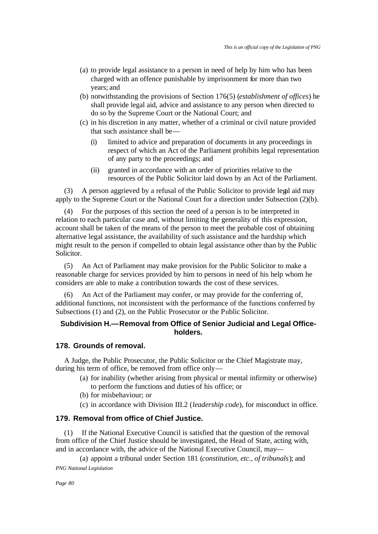- (a) to provide legal assistance to a person in need of help by him who has been charged with an offence punishable by imprisonment for more than two years; and
- (b) notwithstanding the provisions of Section 176(5) (*establishment of offices*) he shall provide legal aid, advice and assistance to any person when directed to do so by the Supreme Court or the National Court; and
- (c) in his discretion in any matter, whether of a criminal or civil nature provided that such assistance shall be—
	- (i) limited to advice and preparation of documents in any proceedings in respect of which an Act of the Parliament prohibits legal representation of any party to the proceedings; and
	- (ii) granted in accordance with an order of priorities relative to the resources of the Public Solicitor laid down by an Act of the Parliament.

(3) A person aggrieved by a refusal of the Public Solicitor to provide legal aid may apply to the Supreme Court or the National Court for a direction under Subsection (2)(b).

For the purposes of this section the need of a person is to be interpreted in relation to each particular case and, without limiting the generality of this expression, account shall be taken of the means of the person to meet the probable cost of obtaining alternative legal assistance, the availability of such assistance and the hardship which might result to the person if compelled to obtain legal assistance other than by the Public Solicitor.

(5) An Act of Parliament may make provision for the Public Solicitor to make a reasonable charge for services provided by him to persons in need of his help whom he considers are able to make a contribution towards the cost of these services.

An Act of the Parliament may confer, or may provide for the conferring of, additional functions, not inconsistent with the performance of the functions conferred by Subsections (1) and (2), on the Public Prosecutor or the Public Solicitor.

# **Subdivision H.—Removal from Office of Senior Judicial and Legal Officeholders.**

# **178. Grounds of removal.**

A Judge, the Public Prosecutor, the Public Solicitor or the Chief Magistrate may, during his term of office, be removed from office only—

- (a) for inability (whether arising from physical or mental infirmity or otherwise) to perform the functions and duties of his office; or
- (b) for misbehaviour; or
- (c) in accordance with Division III.2 (*leadership code*), for misconduct in office.

#### **179. Removal from office of Chief Justice.**

(1) If the National Executive Council is satisfied that the question of the removal from office of the Chief Justice should be investigated, the Head of State, acting with, and in accordance with, the advice of the National Executive Council, may—

*PNG National Legislation* (a) appoint a tribunal under Section 181 (*constitution, etc., of tribunals*); and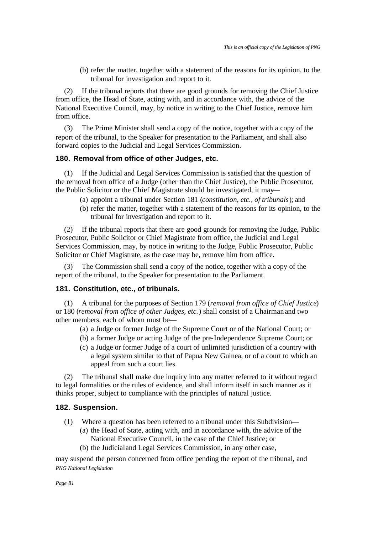(b) refer the matter, together with a statement of the reasons for its opinion, to the tribunal for investigation and report to it.

(2) If the tribunal reports that there are good grounds for removing the Chief Justice from office, the Head of State, acting with, and in accordance with, the advice of the National Executive Council, may, by notice in writing to the Chief Justice, remove him from office.

(3) The Prime Minister shall send a copy of the notice, together with a copy of the report of the tribunal, to the Speaker for presentation to the Parliament, and shall also forward copies to the Judicial and Legal Services Commission.

#### **180. Removal from office of other Judges, etc.**

(1) If the Judicial and Legal Services Commission is satisfied that the question of the removal from office of a Judge (other than the Chief Justice), the Public Prosecutor, the Public Solicitor or the Chief Magistrate should be investigated, it may—

- (a) appoint a tribunal under Section 181 (*constitution, etc., of tribunals*); and
- (b) refer the matter, together with a statement of the reasons for its opinion, to the tribunal for investigation and report to it.

(2) If the tribunal reports that there are good grounds for removing the Judge, Public Prosecutor, Public Solicitor or Chief Magistrate from office, the Judicial and Legal Services Commission, may, by notice in writing to the Judge, Public Prosecutor, Public Solicitor or Chief Magistrate, as the case may be, remove him from office.

The Commission shall send a copy of the notice, together with a copy of the report of the tribunal, to the Speaker for presentation to the Parliament.

# **181. Constitution, etc., of tribunals.**

(1) A tribunal for the purposes of Section 179 (*removal from office of Chief Justice*) or 180 (*removal from office of other Judges, etc.*) shall consist of a Chairman and two other members, each of whom must be—

- (a) a Judge or former Judge of the Supreme Court or of the National Court; or
- (b) a former Judge or acting Judge of the pre-Independence Supreme Court; or
- (c) a Judge or former Judge of a court of unlimited jurisdiction of a country with a legal system similar to that of Papua New Guinea, or of a court to which an appeal from such a court lies.

(2) The tribunal shall make due inquiry into any matter referred to it without regard to legal formalities or the rules of evidence, and shall inform itself in such manner as it thinks proper, subject to compliance with the principles of natural justice.

#### **182. Suspension.**

- (1) Where a question has been referred to a tribunal under this Subdivision—
	- (a) the Head of State, acting with, and in accordance with, the advice of the National Executive Council, in the case of the Chief Justice; or
	- (b) the Judicial and Legal Services Commission, in any other case,

*PNG National Legislation* may suspend the person concerned from office pending the report of the tribunal, and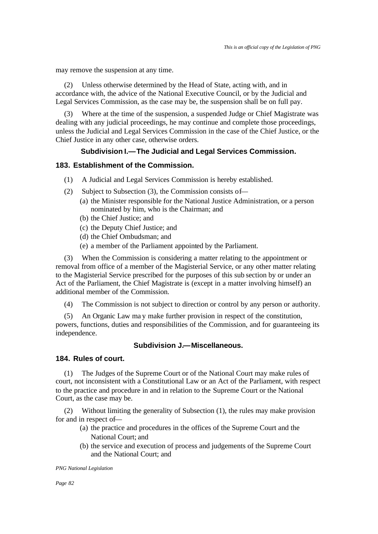may remove the suspension at any time.

(2) Unless otherwise determined by the Head of State, acting with, and in accordance with, the advice of the National Executive Council, or by the Judicial and Legal Services Commission, as the case may be, the suspension shall be on full pay.

(3) Where at the time of the suspension, a suspended Judge or Chief Magistrate was dealing with any judicial proceedings, he may continue and complete those proceedings, unless the Judicial and Legal Services Commission in the case of the Chief Justice, or the Chief Justice in any other case, otherwise orders.

# **Subdivision I.—The Judicial and Legal Services Commission.**

### **183. Establishment of the Commission.**

- (1) A Judicial and Legal Services Commission is hereby established.
- (2) Subject to Subsection (3), the Commission consists of—
	- (a) the Minister responsible for the National Justice Administration, or a person nominated by him, who is the Chairman; and
	- (b) the Chief Justice; and
	- (c) the Deputy Chief Justice; and
	- (d) the Chief Ombudsman; and
	- (e) a member of the Parliament appointed by the Parliament.

(3) When the Commission is considering a matter relating to the appointment or removal from office of a member of the Magisterial Service, or any other matter relating to the Magisterial Service prescribed for the purposes of this sub section by or under an Act of the Parliament, the Chief Magistrate is (except in a matter involving himself) an additional member of the Commission.

(4) The Commission is not subject to direction or control by any person or authority.

(5) An Organic Law ma y make further provision in respect of the constitution, powers, functions, duties and responsibilities of the Commission, and for guaranteeing its independence.

# **Subdivision J.—Miscellaneous.**

### **184. Rules of court.**

(1) The Judges of the Supreme Court or of the National Court may make rules of court, not inconsistent with a Constitutional Law or an Act of the Parliament, with respect to the practice and procedure in and in relation to the Supreme Court or the National Court, as the case may be.

(2) Without limiting the generality of Subsection (1), the rules may make provision for and in respect of—

- (a) the practice and procedures in the offices of the Supreme Court and the National Court; and
- (b) the service and execution of process and judgements of the Supreme Court and the National Court; and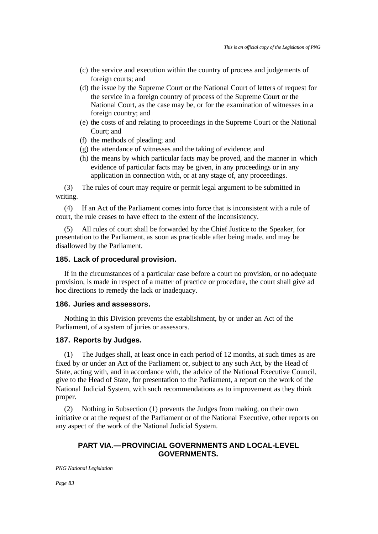- (c) the service and execution within the country of process and judgements of foreign courts; and
- (d) the issue by the Supreme Court or the National Court of letters of request for the service in a foreign country of process of the Supreme Court or the National Court, as the case may be, or for the examination of witnesses in a foreign country; and
- (e) the costs of and relating to proceedings in the Supreme Court or the National Court; and
- (f) the methods of pleading; and
- (g) the attendance of witnesses and the taking of evidence; and
- (h) the means by which particular facts may be proved, and the manner in which evidence of particular facts may be given, in any proceedings or in any application in connection with, or at any stage of, any proceedings.

(3) The rules of court may require or permit legal argument to be submitted in writing.

(4) If an Act of the Parliament comes into force that is inconsistent with a rule of court, the rule ceases to have effect to the extent of the inconsistency.

(5) All rules of court shall be forwarded by the Chief Justice to the Speaker, for presentation to the Parliament, as soon as practicable after being made, and may be disallowed by the Parliament.

### **185. Lack of procedural provision.**

If in the circumstances of a particular case before a court no provision, or no adequate provision, is made in respect of a matter of practice or procedure, the court shall give ad hoc directions to remedy the lack or inadequacy.

#### **186. Juries and assessors.**

Nothing in this Division prevents the establishment, by or under an Act of the Parliament, of a system of juries or assessors.

#### **187. Reports by Judges.**

(1) The Judges shall, at least once in each period of 12 months, at such times as are fixed by or under an Act of the Parliament or, subject to any such Act, by the Head of State, acting with, and in accordance with, the advice of the National Executive Council, give to the Head of State, for presentation to the Parliament, a report on the work of the National Judicial System, with such recommendations as to improvement as they think proper.

(2) Nothing in Subsection (1) prevents the Judges from making, on their own initiative or at the request of the Parliament or of the National Executive, other reports on any aspect of the work of the National Judicial System.

### **PART VIA.—PROVINCIAL GOVERNMENTS AND LOCAL-LEVEL GOVERNMENTS.**

*PNG National Legislation*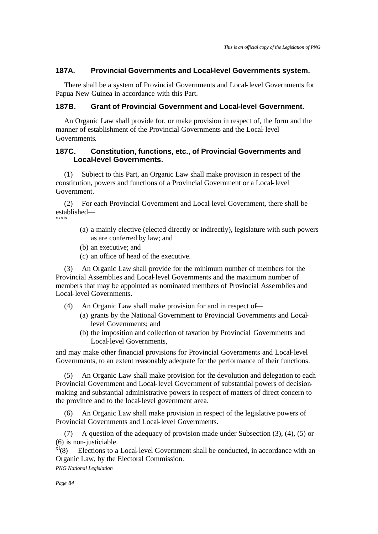### **187A. Provincial Governments and Local-level Governments system.**

There shall be a system of Provincial Governments and Local-level Governments for Papua New Guinea in accordance with this Part.

#### **187B. Grant of Provincial Government and Local-level Government.**

An Organic Law shall provide for, or make provision in respect of, the form and the manner of establishment of the Provincial Governments and the Local-level Governments.

### **187C. Constitution, functions, etc., of Provincial Governments and Local-level Governments.**

(1) Subject to this Part, an Organic Law shall make provision in respect of the constitution, powers and functions of a Provincial Government or a Local-level Government.

(2) For each Provincial Government and Local-level Government, there shall be established— xxxix

- (a) a mainly elective (elected directly or indirectly), legislature with such powers as are conferred by law; and
- (b) an executive; and
- (c) an office of head of the executive.

(3) An Organic Law shall provide for the minimum number of members for the Provincial Assemblies and Local-level Governments and the maximum number of members that may be appointed as nominated members of Provincial Assemblies and Local-level Governments.

- (4) An Organic Law shall make provision for and in respect of—
	- (a) grants by the National Government to Provincial Governments and Locallevel Governments; and
	- (b) the imposition and collection of taxation by Provincial Governments and Local-level Governments,

and may make other financial provisions for Provincial Governments and Local-level Governments, to an extent reasonably adequate for the performance of their functions.

(5) An Organic Law shall make provision for the devolution and delegation to each Provincial Government and Local-level Government of substantial powers of decisionmaking and substantial administrative powers in respect of matters of direct concern to the province and to the local-level government area.

(6) An Organic Law shall make provision in respect of the legislative powers of Provincial Governments and Local-level Governments.

(7) A question of the adequacy of provision made under Subsection (3), (4), (5) or (6) is non-justiciable.

 $x<sup>1</sup>(8)$  Elections to a Local-level Government shall be conducted, in accordance with an Organic Law, by the Electoral Commission.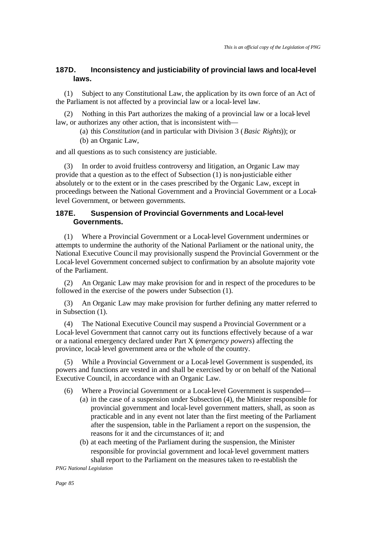# **187D. Inconsistency and justiciability of provincial laws and local-level laws.**

(1) Subject to any Constitutional Law, the application by its own force of an Act of the Parliament is not affected by a provincial law or a local-level law.

(2) Nothing in this Part authorizes the making of a provincial law or a local-level law, or authorizes any other action, that is inconsistent with—

(a) this *Constitution* (and in particular with Division 3 (*Basic Rights*)); or

(b) an Organic Law,

and all questions as to such consistency are justiciable.

In order to avoid fruitless controversy and litigation, an Organic Law may provide that a question as to the effect of Subsection (1) is non-justiciable either absolutely or to the extent or in the cases prescribed by the Organic Law, except in proceedings between the National Government and a Provincial Government or a Locallevel Government, or between governments.

# **187E. Suspension of Provincial Governments and Local-level Governments.**

(1) Where a Provincial Government or a Local-level Government undermines or attempts to undermine the authority of the National Parliament or the national unity, the National Executive Counc il may provisionally suspend the Provincial Government or the Local-level Government concerned subject to confirmation by an absolute majority vote of the Parliament.

(2) An Organic Law may make provision for and in respect of the procedures to be followed in the exercise of the powers under Subsection (1).

(3) An Organic Law may make provision for further defining any matter referred to in Subsection (1).

(4) The National Executive Council may suspend a Provincial Government or a Local-level Government that cannot carry out its functions effectively because of a war or a national emergency declared under Part X (*emergency powers*) affecting the province, local-level government area or the whole of the country.

(5) While a Provincial Government or a Local-level Government is suspended, its powers and functions are vested in and shall be exercised by or on behalf of the National Executive Council, in accordance with an Organic Law.

- (6) Where a Provincial Government or a Local-level Government is suspended—
	- (a) in the case of a suspension under Subsection (4), the Minister responsible for provincial government and local-level government matters, shall, as soon as practicable and in any event not later than the first meeting of the Parliament after the suspension, table in the Parliament a report on the suspension, the reasons for it and the circumstances of it; and
	- (b) at each meeting of the Parliament during the suspension, the Minister responsible for provincial government and local-level government matters shall report to the Parliament on the measures taken to re-establish the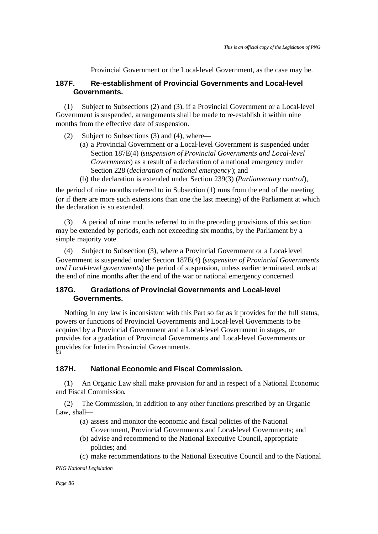Provincial Government or the Local-level Government, as the case may be.

# **187F. Re-establishment of Provincial Governments and Local-level Governments.**

(1) Subject to Subsections (2) and (3), if a Provincial Government or a Local-level Government is suspended, arrangements shall be made to re-establish it within nine months from the effective date of suspension.

- (2) Subject to Subsections (3) and (4), where—
	- (a) a Provincial Government or a Local-level Government is suspended under Section 187E(4) (*suspension of Provincial Governments and Local-level Governments*) as a result of a declaration of a national emergency under Section 228 (*declaration of national emergency* ); and
	- (b) the declaration is extended under Section 239(3) (*Parliamentary control*),

the period of nine months referred to in Subsection (1) runs from the end of the meeting (or if there are more such extensions than one the last meeting) of the Parliament at which the declaration is so extended.

(3) A period of nine months referred to in the preceding provisions of this section may be extended by periods, each not exceeding six months, by the Parliament by a simple majority vote.

(4) Subject to Subsection (3), where a Provincial Government or a Local-level Government is suspended under Section 187E(4) (*suspension of Provincial Governments and Local-level governments*) the period of suspension, unless earlier terminated, ends at the end of nine months after the end of the war or national emergency concerned.

# **187G. Gradations of Provincial Governments and Local-level Governments.**

Nothing in any law is inconsistent with this Part so far as it provides for the full status, powers or functions of Provincial Governments and Local-level Governments to be acquired by a Provincial Government and a Local-level Government in stages, or provides for a gradation of Provincial Governments and Local-level Governments or provides for Interim Provincial Governments. xli

### **187H. National Economic and Fiscal Commission.**

(1) An Organic Law shall make provision for and in respect of a National Economic and Fiscal Commission.

(2) The Commission, in addition to any other functions prescribed by an Organic Law, shall—

- (a) assess and monitor the economic and fiscal policies of the National Government, Provincial Governments and Local-level Governments; and
- (b) advise and recommend to the National Executive Council, appropriate policies; and
- (c) make recommendations to the National Executive Council and to the National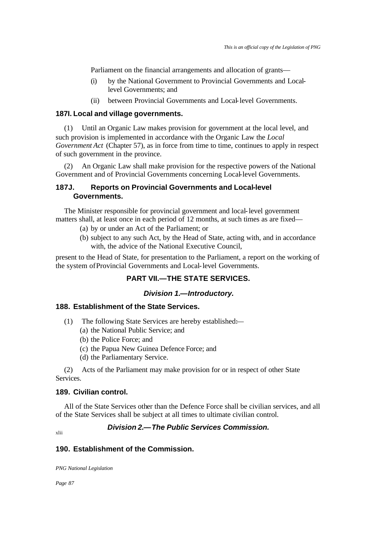Parliament on the financial arrangements and allocation of grants—

- (i) by the National Government to Provincial Governments and Locallevel Governments; and
- (ii) between Provincial Governments and Local-level Governments.

### **187I. Local and village governments.**

(1) Until an Organic Law makes provision for government at the local level, and such provision is implemented in accordance with the Organic Law the *Local Government Act* (Chapter 57), as in force from time to time, continues to apply in respect of such government in the province.

(2) An Organic Law shall make provision for the respective powers of the National Government and of Provincial Governments concerning Local-level Governments.

### **187J. Reports on Provincial Governments and Local-level Governments.**

The Minister responsible for provincial government and local-level government matters shall, at least once in each period of 12 months, at such times as are fixed—

- (a) by or under an Act of the Parliament; or
- (b) subject to any such Act, by the Head of State, acting with, and in accordance with, the advice of the National Executive Council,

present to the Head of State, for presentation to the Parliament, a report on the working of the system of Provincial Governments and Local-level Governments.

# **PART VII.—THE STATE SERVICES.**

### *Division 1.—Introductory.*

### **188. Establishment of the State Services.**

- (1) The following State Services are hereby established:—
	- (a) the National Public Service; and
	- (b) the Police Force; and
	- (c) the Papua New Guinea Defence Force; and
	- (d) the Parliamentary Service.

(2) Acts of the Parliament may make provision for or in respect of other State Services.

# **189. Civilian control.**

All of the State Services other than the Defence Force shall be civilian services, and all of the State Services shall be subject at all times to ultimate civilian control.

# *Division 2.—The Public Services Commission.*

xlii

# **190. Establishment of the Commission.**

*PNG National Legislation*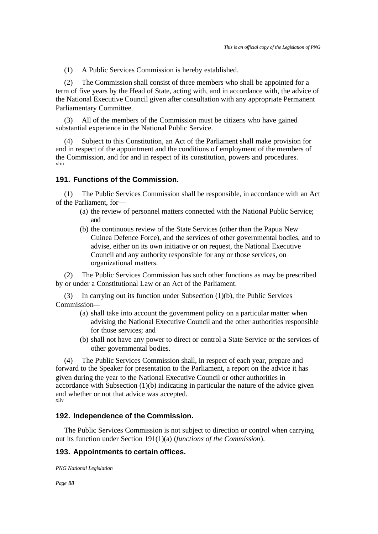(1) A Public Services Commission is hereby established.

(2) The Commission shall consist of three members who shall be appointed for a term of five years by the Head of State, acting with, and in accordance with, the advice of the National Executive Council given after consultation with any appropriate Permanent Parliamentary Committee.

(3) All of the members of the Commission must be citizens who have gained substantial experience in the National Public Service.

Subject to this Constitution, an Act of the Parliament shall make provision for and in respect of the appointment and the conditions of employment of the members of the Commission, and for and in respect of its constitution, powers and procedures. xliii

### **191. Functions of the Commission.**

(1) The Public Services Commission shall be responsible, in accordance with an Act of the Parliament, for—

- (a) the review of personnel matters connected with the National Public Service; and
- (b) the continuous review of the State Services (other than the Papua New Guinea Defence Force), and the services of other governmental bodies, and to advise, either on its own initiative or on request, the National Executive Council and any authority responsible for any or those services, on organizational matters.

(2) The Public Services Commission has such other functions as may be prescribed by or under a Constitutional Law or an Act of the Parliament.

(3) In carrying out its function under Subsection (1)(b), the Public Services Commission—

- (a) shall take into account the government policy on a particular matter when advising the National Executive Council and the other authorities responsible for those services; and
- (b) shall not have any power to direct or control a State Service or the services of other governmental bodies.

(4) The Public Services Commission shall, in respect of each year, prepare and forward to the Speaker for presentation to the Parliament, a report on the advice it has given during the year to the National Executive Council or other authorities in accordance with Subsection (1)(b) indicating in particular the nature of the advice given and whether or not that advice was accepted. xliv

### **192. Independence of the Commission.**

The Public Services Commission is not subject to direction or control when carrying out its function under Section 191(1)(a) (*functions of the Commission*).

#### **193. Appointments to certain offices.**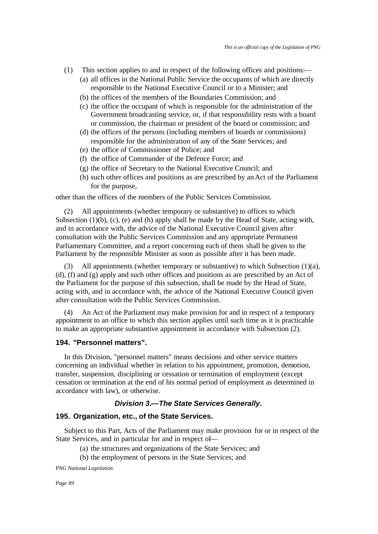- (1) This section applies to and in respect of the following offices and positions:—
	- (a) all offices in the National Public Service the occupants of which are directly responsible to the National Executive Council or to a Minister; and
	- (b) the offices of the members of the Boundaries Commission; and
	- (c) the office the occupant of which is responsible for the administration of the Government broadcasting service, or, if that responsibility rests with a board or commission, the chairman or president of the board or commission; and
	- (d) the offices of the persons (including members of boards or commissions) responsible for the administration of any of the State Services; and
	- (e) the office of Commissioner of Police; and
	- (f) the office of Commander of the Defence Force; and
	- (g) the office of Secretary to the National Executive Council; and
	- (h) such other offices and positions as are prescribed by an Act of the Parliament for the purpose,

other than the offices of the members of the Public Services Commission.

All appointments (whether temporary or substantive) to offices to which Subsection (1)(b), (c), (e) and (h) apply shall be made by the Head of State, acting with, and in accordance with, the advice of the National Executive Council given after consultation with the Public Services Commission and any appropriate Permanent Parliamentary Committee, and a report concerning each of them shall be given to the Parliament by the responsible Minister as soon as possible after it has been made.

All appointments (whether temporary or substantive) to which Subsection  $(1)(a)$ , (d), (f) and (g) apply and such other offices and positions as are prescribed by an Act of the Parliament for the purpose of this subsection, shall be made by the Head of State, acting with, and in accordance with, the advice of the National Executive Council given after consultation with the Public Services Commission.

(4) An Act of the Parliament may make provision for and in respect of a temporary appointment to an office to which this section applies until such time as it is practicable to make an appropriate substantive appointment in accordance with Subsection (2).

#### **194. "Personnel matters".**

In this Division, "personnel matters" means decisions and other service matters concerning an individual whether in relation to his appointment, promotion, demotion, transfer, suspension, disciplining or cessation or termination of employment (except cessation or termination at the end of his normal period of employment as determined in accordance with law), or otherwise.

### *Division 3.—The State Services Generally.*

### **195. Organization, etc., of the State Services.**

Subject to this Part, Acts of the Parliament may make provision for or in respect of the State Services, and in particular for and in respect of—

- (a) the structures and organizations of the State Services; and
- (b) the employment of persons in the State Services; and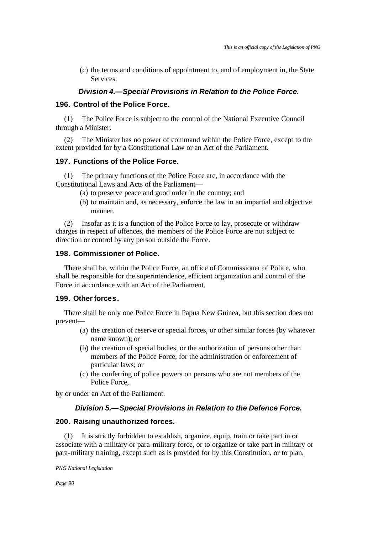(c) the terms and conditions of appointment to, and of employment in, the State Services.

### *Division 4.—Special Provisions in Relation to the Police Force.*

### **196. Control of the Police Force.**

(1) The Police Force is subject to the control of the National Executive Council through a Minister.

(2) The Minister has no power of command within the Police Force, except to the extent provided for by a Constitutional Law or an Act of the Parliament.

### **197. Functions of the Police Force.**

(1) The primary functions of the Police Force are, in accordance with the Constitutional Laws and Acts of the Parliament—

- (a) to preserve peace and good order in the country; and
- (b) to maintain and, as necessary, enforce the law in an impartial and objective manner.

(2) Insofar as it is a function of the Police Force to lay, prosecute or withdraw charges in respect of offences, the members of the Police Force are not subject to direction or control by any person outside the Force.

### **198. Commissioner of Police.**

There shall be, within the Police Force, an office of Commissioner of Police, who shall be responsible for the superintendence, efficient organization and control of the Force in accordance with an Act of the Parliament.

### **199. Other forces.**

There shall be only one Police Force in Papua New Guinea, but this section does not prevent—

- (a) the creation of reserve or special forces, or other similar forces (by whatever name known); or
- (b) the creation of special bodies, or the authorization of persons other than members of the Police Force, for the administration or enforcement of particular laws; or
- (c) the conferring of police powers on persons who are not members of the Police Force,

by or under an Act of the Parliament.

# *Division 5.—Special Provisions in Relation to the Defence Force.*

### **200. Raising unauthorized forces.**

(1) It is strictly forbidden to establish, organize, equip, train or take part in or associate with a military or para-military force, or to organize or take part in military or para-military training, except such as is provided for by this Constitution, or to plan,

*PNG National Legislation*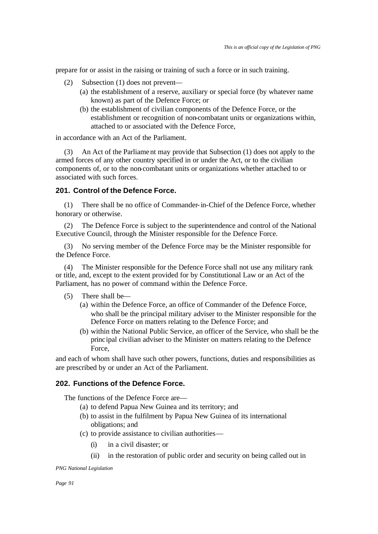prepare for or assist in the raising or training of such a force or in such training.

- (2) Subsection (1) does not prevent—
	- (a) the establishment of a reserve, auxiliary or special force (by whatever name known) as part of the Defence Force; or
	- (b) the establishment of civilian components of the Defence Force, or the establishment or recognition of non-combatant units or organizations within, attached to or associated with the Defence Force,

in accordance with an Act of the Parliament.

(3) An Act of the Parliament may provide that Subsection (1) does not apply to the armed forces of any other country specified in or under the Act, or to the civilian components of, or to the non-combatant units or organizations whether attached to or associated with such forces.

### **201. Control of the Defence Force.**

(1) There shall be no office of Commander-in-Chief of the Defence Force, whether honorary or otherwise.

(2) The Defence Force is subject to the superintendence and control of the National Executive Council, through the Minister responsible for the Defence Force.

(3) No serving member of the Defence Force may be the Minister responsible for the Defence Force.

(4) The Minister responsible for the Defence Force shall not use any military rank or title, and, except to the extent provided for by Constitutional Law or an Act of the Parliament, has no power of command within the Defence Force.

- (5) There shall be—
	- (a) within the Defence Force, an office of Commander of the Defence Force, who shall be the principal military adviser to the Minister responsible for the Defence Force on matters relating to the Defence Force; and
	- (b) within the National Public Service, an officer of the Service, who shall be the principal civilian adviser to the Minister on matters relating to the Defence Force,

and each of whom shall have such other powers, functions, duties and responsibilities as are prescribed by or under an Act of the Parliament.

#### **202. Functions of the Defence Force.**

The functions of the Defence Force are—

- (a) to defend Papua New Guinea and its territory; and
- (b) to assist in the fulfilment by Papua New Guinea of its international obligations; and
- (c) to provide assistance to civilian authorities—
	- (i) in a civil disaster; or
	- (ii) in the restoration of public order and security on being called out in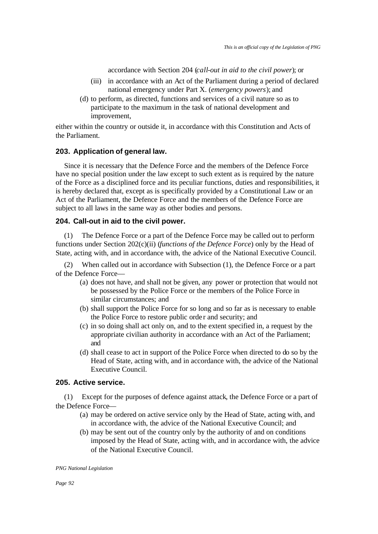accordance with Section 204 (*call-out in aid to the civil power*); or

- (iii) in accordance with an Act of the Parliament during a period of declared national emergency under Part X. (*emergency powers*); and
- (d) to perform, as directed, functions and services of a civil nature so as to participate to the maximum in the task of national development and improvement,

either within the country or outside it, in accordance with this Constitution and Acts of the Parliament.

### **203. Application of general law.**

Since it is necessary that the Defence Force and the members of the Defence Force have no special position under the law except to such extent as is required by the nature of the Force as a disciplined force and its peculiar functions, duties and responsibilities, it is hereby declared that, except as is specifically provided by a Constitutional Law or an Act of the Parliament, the Defence Force and the members of the Defence Force are subject to all laws in the same way as other bodies and persons.

### **204. Call-out in aid to the civil power.**

(1) The Defence Force or a part of the Defence Force may be called out to perform functions under Section 202(c)(ii) (*functions of the Defence Force*) only by the Head of State, acting with, and in accordance with, the advice of the National Executive Council.

(2) When called out in accordance with Subsection (1), the Defence Force or a part of the Defence Force—

- (a) does not have, and shall not be given, any power or protection that would not be possessed by the Police Force or the members of the Police Force in similar circumstances; and
- (b) shall support the Police Force for so long and so far as is necessary to enable the Police Force to restore public orde r and security; and
- (c) in so doing shall act only on, and to the extent specified in, a request by the appropriate civilian authority in accordance with an Act of the Parliament; and
- (d) shall cease to act in support of the Police Force when directed to do so by the Head of State, acting with, and in accordance with, the advice of the National Executive Council.

# **205. Active service.**

(1) Except for the purposes of defence against attack, the Defence Force or a part of the Defence Force—

- (a) may be ordered on active service only by the Head of State, acting with, and in accordance with, the advice of the National Executive Council; and
- (b) may be sent out of the country only by the authority of and on conditions imposed by the Head of State, acting with, and in accordance with, the advice of the National Executive Council.

*PNG National Legislation*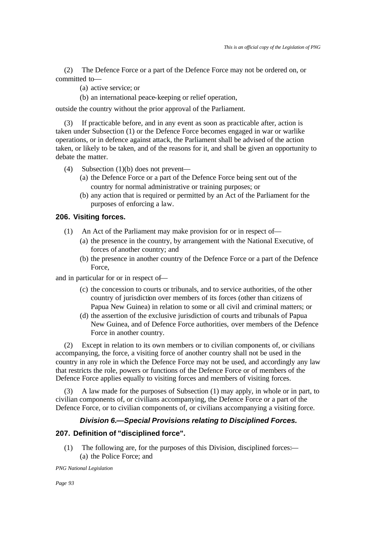(2) The Defence Force or a part of the Defence Force may not be ordered on, or committed to—

- (a) active service; or
- (b) an international peace-keeping or relief operation,

outside the country without the prior approval of the Parliament.

(3) If practicable before, and in any event as soon as practicable after, action is taken under Subsection (1) or the Defence Force becomes engaged in war or warlike operations, or in defence against attack, the Parliament shall be advised of the action taken, or likely to be taken, and of the reasons for it, and shall be given an opportunity to debate the matter.

- (4) Subsection (1)(b) does not prevent—
	- (a) the Defence Force or a part of the Defence Force being sent out of the country for normal administrative or training purposes; or
	- (b) any action that is required or permitted by an Act of the Parliament for the purposes of enforcing a law.

### **206. Visiting forces.**

- (1) An Act of the Parliament may make provision for or in respect of—
	- (a) the presence in the country, by arrangement with the National Executive, of forces of another country; and
	- (b) the presence in another country of the Defence Force or a part of the Defence Force,

and in particular for or in respect of—

- (c) the concession to courts or tribunals, and to service authorities, of the other country of jurisdiction over members of its forces (other than citizens of Papua New Guinea) in relation to some or all civil and criminal matters; or
- (d) the assertion of the exclusive jurisdiction of courts and tribunals of Papua New Guinea, and of Defence Force authorities, over members of the Defence Force in another country.

(2) Except in relation to its own members or to civilian components of, or civilians accompanying, the force, a visiting force of another country shall not be used in the country in any role in which the Defence Force may not be used, and accordingly any law that restricts the role, powers or functions of the Defence Force or of members of the Defence Force applies equally to visiting forces and members of visiting forces.

A law made for the purposes of Subsection (1) may apply, in whole or in part, to civilian components of, or civilians accompanying, the Defence Force or a part of the Defence Force, or to civilian components of, or civilians accompanying a visiting force.

# *Division 6.—Special Provisions relating to Disciplined Forces.*

### **207. Definition of "disciplined force".**

(1) The following are, for the purposes of this Division, disciplined forces:— (a) the Police Force; and

*PNG National Legislation*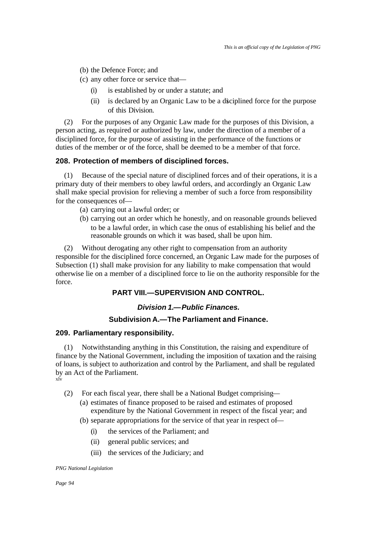(b) the Defence Force; and

(c) any other force or service that—

- (i) is established by or under a statute; and
- (ii) is declared by an Organic Law to be a disciplined force for the purpose of this Division.

(2) For the purposes of any Organic Law made for the purposes of this Division, a person acting, as required or authorized by law, under the direction of a member of a disciplined force, for the purpose of assisting in the performance of the functions or duties of the member or of the force, shall be deemed to be a member of that force.

#### **208. Protection of members of disciplined forces.**

(1) Because of the special nature of disciplined forces and of their operations, it is a primary duty of their members to obey lawful orders, and accordingly an Organic Law shall make special provision for relieving a member of such a force from responsibility for the consequences of—

- (a) carrying out a lawful order; or
- (b) carrying out an order which he honestly, and on reasonable grounds believed to be a lawful order, in which case the onus of establishing his belief and the reasonable grounds on which it was based, shall be upon him.

(2) Without derogating any other right to compensation from an authority responsible for the disciplined force concerned, an Organic Law made for the purposes of Subsection (1) shall make provision for any liability to make compensation that would otherwise lie on a member of a disciplined force to lie on the authority responsible for the force.

# **PART VIII.—SUPERVISION AND CONTROL.**

### *Division 1.—Public Finances.*

### **Subdivision A.—The Parliament and Finance.**

### **209. Parliamentary responsibility.**

(1) Notwithstanding anything in this Constitution, the raising and expenditure of finance by the National Government, including the imposition of taxation and the raising of loans, is subject to authorization and control by the Parliament, and shall be regulated by an Act of the Parliament.

xlv

- (2) For each fiscal year, there shall be a National Budget comprising—
	- (a) estimates of finance proposed to be raised and estimates of proposed expenditure by the National Government in respect of the fiscal year; and
	- (b) separate appropriations for the service of that year in respect of—
		- (i) the services of the Parliament; and
		- (ii) general public services; and
		- (iii) the services of the Judiciary; and

*PNG National Legislation*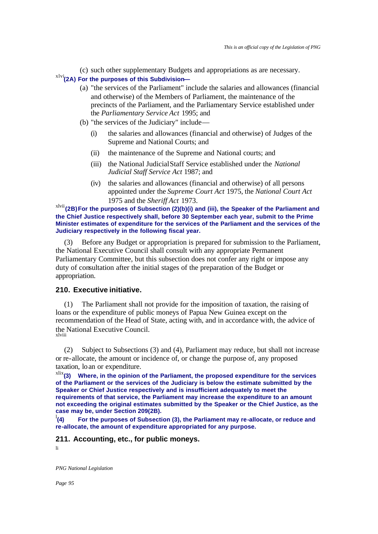(c) such other supplementary Budgets and appropriations as are necessary.

xlvi**(2A) For the purposes of this Subdivision—**

- (a) "the services of the Parliament" include the salaries and allowances (financial and otherwise) of the Members of Parliament, the maintenance of the precincts of the Parliament, and the Parliamentary Service established under the *Parliamentary Service Act* 1995; and
- (b) "the services of the Judiciary" include—
	- (i) the salaries and allowances (financial and otherwise) of Judges of the Supreme and National Courts; and
	- (ii) the maintenance of the Supreme and National courts; and
	- (iii) the National Judicial Staff Service established under the *National Judicial Staff Service Act* 1987; and
	- (iv) the salaries and allowances (financial and otherwise) of all persons appointed under the *Supreme Court Act* 1975, the *National Court Act* 1975 and the *Sheriff Act* 1973.

xlvii**(2B)For the purposes of Subsection (2)(b)(i) and (iii), the Speaker of the Parliament and the Chief Justice respectively shall, before 30 September each year, submit to the Prime Minister estimates of expenditure for the services of the Parliament and the services of the Judiciary respectively in the following fiscal year.**

(3) Before any Budget or appropriation is prepared for submission to the Parliament, the National Executive Council shall consult with any appropriate Permanent Parliamentary Committee, but this subsection does not confer any right or impose any duty of consultation after the initial stages of the preparation of the Budget or appropriation.

### **210. Executive initiative.**

(1) The Parliament shall not provide for the imposition of taxation, the raising of loans or the expenditure of public moneys of Papua New Guinea except on the recommendation of the Head of State, acting with, and in accordance with, the advice of the National Executive Council. xlviii

(2) Subject to Subsections (3) and (4), Parliament may reduce, but shall not increase or re-allocate, the amount or incidence of, or change the purpose of, any proposed taxation, loan or expenditure.

xlix**(3) Where, in the opinion of the Parliament, the proposed expenditure for the services of the Parliament or the services of the Judiciary is below the estimate submitted by the Speaker or Chief Justice respectively and is insufficient adequately to meet the requirements of that service, the Parliament may increase the expenditure to an amount not exceeding the original estimates submitted by the Speaker or the Chief Justice, as the case may be, under Section 209(2B).**

 $\frac{1}{4}$ (4) **(4) For the purposes of Subsection (3), the Parliament may re-allocate, or reduce and re-allocate, the amount of expenditure appropriated for any purpose.**

**211. Accounting, etc., for public moneys.**

li

*PNG National Legislation*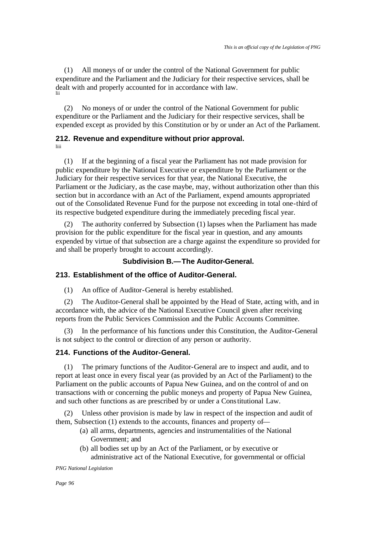(1) All moneys of or under the control of the National Government for public expenditure and the Parliament and the Judiciary for their respective services, shall be dealt with and properly accounted for in accordance with law. lii

(2) No moneys of or under the control of the National Government for public expenditure or the Parliament and the Judiciary for their respective services, shall be expended except as provided by this Constitution or by or under an Act of the Parliament.

#### **212. Revenue and expenditure without prior approval.** liii

(1) If at the beginning of a fiscal year the Parliament has not made provision for public expenditure by the National Executive or expenditure by the Parliament or the Judiciary for their respective services for that year, the National Executive, the Parliament or the Judiciary, as the case maybe, may, without authorization other than this section but in accordance with an Act of the Parliament, expend amounts appropriated out of the Consolidated Revenue Fund for the purpose not exceeding in total one-third of its respective budgeted expenditure during the immediately preceding fiscal year.

(2) The authority conferred by Subsection (1) lapses when the Parliament has made provision for the public expenditure for the fiscal year in question, and any amounts expended by virtue of that subsection are a charge against the expenditure so provided for and shall be properly brought to account accordingly.

# **Subdivision B.—The Auditor-General.**

# **213. Establishment of the office of Auditor-General.**

(1) An office of Auditor-General is hereby established.

(2) The Auditor-General shall be appointed by the Head of State, acting with, and in accordance with, the advice of the National Executive Council given after receiving reports from the Public Services Commission and the Public Accounts Committee.

(3) In the performance of his functions under this Constitution, the Auditor-General is not subject to the control or direction of any person or authority.

# **214. Functions of the Auditor-General.**

(1) The primary functions of the Auditor-General are to inspect and audit, and to report at least once in every fiscal year (as provided by an Act of the Parliament) to the Parliament on the public accounts of Papua New Guinea, and on the control of and on transactions with or concerning the public moneys and property of Papua New Guinea, and such other functions as are prescribed by or under a Constitutional Law.

(2) Unless other provision is made by law in respect of the inspection and audit of them, Subsection (1) extends to the accounts, finances and property of—

- (a) all arms, departments, agencies and instrumentalities of the National Government; and
- (b) all bodies set up by an Act of the Parliament, or by executive or administrative act of the National Executive, for governmental or official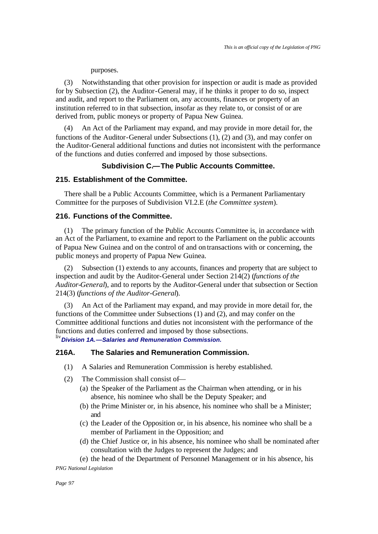#### purposes.

(3) Notwithstanding that other provision for inspection or audit is made as provided for by Subsection (2), the Auditor-General may, if he thinks it proper to do so, inspect and audit, and report to the Parliament on, any accounts, finances or property of an institution referred to in that subsection, insofar as they relate to, or consist of or are derived from, public moneys or property of Papua New Guinea.

(4) An Act of the Parliament may expand, and may provide in more detail for, the functions of the Auditor-General under Subsections (1), (2) and (3), and may confer on the Auditor-General additional functions and duties not inconsistent with the performance of the functions and duties conferred and imposed by those subsections.

# **Subdivision C.—The Public Accounts Committee.**

#### **215. Establishment of the Committee.**

There shall be a Public Accounts Committee, which is a Permanent Parliamentary Committee for the purposes of Subdivision VI.2.E (*the Committee system*).

# **216. Functions of the Committee.**

(1) The primary function of the Public Accounts Committee is, in accordance with an Act of the Parliament, to examine and report to the Parliament on the public accounts of Papua New Guinea and on the control of and on transactions with or concerning, the public moneys and property of Papua New Guinea.

Subsection (1) extends to any accounts, finances and property that are subject to inspection and audit by the Auditor-General under Section 214(2) (*functions of the Auditor-General*), and to reports by the Auditor-General under that subsection or Section 214(3) (*functions of the Auditor-General*).

(3) An Act of the Parliament may expand, and may provide in more detail for, the functions of the Committee under Subsections (1) and (2), and may confer on the Committee additional functions and duties not inconsistent with the performance of the functions and duties conferred and imposed by those subsections. liv*Division 1A.—Salaries and Remuneration Commission.*

#### **216A. The Salaries and Remuneration Commission.**

- (1) A Salaries and Remuneration Commission is hereby established.
- (2) The Commission shall consist of—
	- (a) the Speaker of the Parliament as the Chairman when attending, or in his absence, his nominee who shall be the Deputy Speaker; and
	- (b) the Prime Minister or, in his absence, his nominee who shall be a Minister; and
	- (c) the Leader of the Opposition or, in his absence, his nominee who shall be a member of Parliament in the Opposition; and
	- (d) the Chief Justice or, in his absence, his nominee who shall be nominated after consultation with the Judges to represent the Judges; and
	- (e) the head of the Department of Personnel Management or in his absence, his

*PNG National Legislation*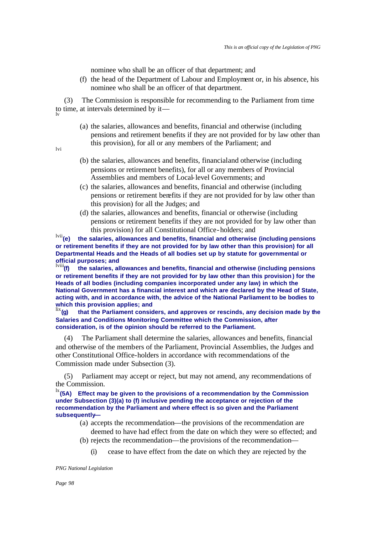nominee who shall be an officer of that department; and

(f) the head of the Department of Labour and Employment or, in his absence, his nominee who shall be an officer of that department.

(3) The Commission is responsible for recommending to the Parliament from time to time, at intervals determined by it—

- (a) the salaries, allowances and benefits, financial and otherwise (including pensions and retirement benefits if they are not provided for by law other than this provision), for all or any members of the Parliament; and
- lvi
- (b) the salaries, allowances and benefits, financial and otherwise (including pensions or retirement benefits), for all or any members of Provincial Assemblies and members of Local-level Governments; and
- (c) the salaries, allowances and benefits, financial and otherwise (including pensions or retirement benefits if they are not provided for by law other than this provision) for all the Judges; and
- (d) the salaries, allowances and benefits, financial or otherwise (including pensions or retirement benefits if they are not provided for by law other than this provision) for all Constitutional Office-holders; and

lvii**(e) the salaries, allowances and benefits, financial and otherwise (including pensions or retirement benefits if they are not provided for by law other than this provision) for all Departmental Heads and the Heads of all bodies set up by statute for governmental or official purposes; and<br>
<sup>Iviii</sup>(f) the salaries, all** 

the salaries, allowances and benefits, financial and otherwise (including pensions **or retirement benefits if they are not provided for by law other than this provision ) for the Heads of all bodies (including companies incorporated under any law) in which the National Government has a financial interest and which are declared by the Head of State, acting with, and in accordance with, the advice of the National Parliament to be bodies to**  which this provision applies; and<br><sup>lix</sup>(g) that the Parliament consid

lix**(g) that the Parliament considers, and approves or rescinds, any decision made by the Salaries and Conditions Monitoring Committee which the Commission, after consideration, is of the opinion should be referred to the Parliament.**

(4) The Parliament shall determine the salaries, allowances and benefits, financial and otherwise of the members of the Parliament, Provincial Assemblies, the Judges and other Constitutional Office-holders in accordance with recommendations of the Commission made under Subsection (3).

(5) Parliament may accept or reject, but may not amend, any recommendations of the Commission.

lx**(5A) Effect may be given to the provisions of a recommendation by the Commission under Subsection (3)(a) to (f) inclusive pending the acceptance or rejection of the recommendation by the Parliament and where effect is so given and the Parliament subsequently—**

- (a) accepts the recommendation—the provisions of the recommendation are deemed to have had effect from the date on which they were so effected; and
- (b) rejects the recommendation—the provisions of the recommendation—
	- (i) cease to have effect from the date on which they are rejected by the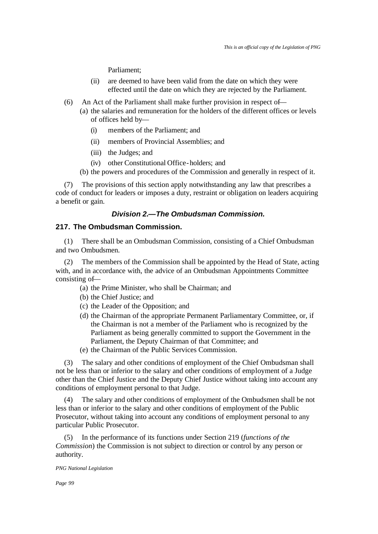Parliament;

- (ii) are deemed to have been valid from the date on which they were effected until the date on which they are rejected by the Parliament.
- (6) An Act of the Parliament shall make further provision in respect of—
	- (a) the salaries and remuneration for the holders of the different offices or levels of offices held by—
		- (i) members of the Parliament; and
		- (ii) members of Provincial Assemblies; and
		- (iii) the Judges; and
		- (iv) other Constitutional Office-holders; and
	- (b) the powers and procedures of the Commission and generally in respect of it.

(7) The provisions of this section apply notwithstanding any law that prescribes a code of conduct for leaders or imposes a duty, restraint or obligation on leaders acquiring a benefit or gain.

## *Division 2.—The Ombudsman Commission.*

#### **217. The Ombudsman Commission.**

(1) There shall be an Ombudsman Commission, consisting of a Chief Ombudsman and two Ombudsmen.

(2) The members of the Commission shall be appointed by the Head of State, acting with, and in accordance with, the advice of an Ombudsman Appointments Committee consisting of—

- (a) the Prime Minister, who shall be Chairman; and
- (b) the Chief Justice; and
- (c) the Leader of the Opposition; and
- (d) the Chairman of the appropriate Permanent Parliamentary Committee, or, if the Chairman is not a member of the Parliament who is recognized by the Parliament as being generally committed to support the Government in the Parliament, the Deputy Chairman of that Committee; and
- (e) the Chairman of the Public Services Commission.

(3) The salary and other conditions of employment of the Chief Ombudsman shall not be less than or inferior to the salary and other conditions of employment of a Judge other than the Chief Justice and the Deputy Chief Justice without taking into account any conditions of employment personal to that Judge.

(4) The salary and other conditions of employment of the Ombudsmen shall be not less than or inferior to the salary and other conditions of employment of the Public Prosecutor, without taking into account any conditions of employment personal to any particular Public Prosecutor.

(5) In the performance of its functions under Section 219 (*functions of the Commission*) the Commission is not subject to direction or control by any person or authority.

*PNG National Legislation*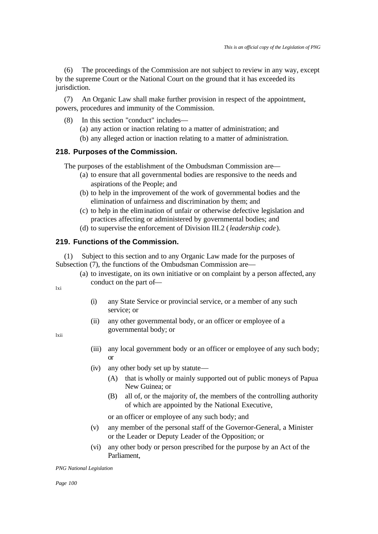(6) The proceedings of the Commission are not subject to review in any way, except by the supreme Court or the National Court on the ground that it has exceeded its jurisdiction.

(7) An Organic Law shall make further provision in respect of the appointment, powers, procedures and immunity of the Commission.

- (8) In this section "conduct" includes—
	- (a) any action or inaction relating to a matter of administration; and
	- (b) any alleged action or inaction relating to a matter of administration.

### **218. Purposes of the Commission.**

The purposes of the establishment of the Ombudsman Commission are—

- (a) to ensure that all governmental bodies are responsive to the needs and aspirations of the People; and
- (b) to help in the improvement of the work of governmental bodies and the elimination of unfairness and discrimination by them; and
- (c) to help in the elimination of unfair or otherwise defective legislation and practices affecting or administered by governmental bodies; and
- (d) to supervise the enforcement of Division III.2 (*leadership code*).

### **219. Functions of the Commission.**

(1) Subject to this section and to any Organic Law made for the purposes of Subsection (7), the functions of the Ombudsman Commission are—

(a) to investigate, on its own initiative or on complaint by a person affected, any conduct on the part of— lxi

- (i) any State Service or provincial service, or a member of any such service; or
- (ii) any other governmental body, or an officer or employee of a governmental body; or

lxii

- (iii) any local government body or an officer or employee of any such body; or
- (iv) any other body set up by statute—
	- (A) that is wholly or mainly supported out of public moneys of Papua New Guinea; or
	- (B) all of, or the majority of, the members of the controlling authority of which are appointed by the National Executive,

or an officer or employee of any such body; and

- (v) any member of the personal staff of the Governor-General, a Minister or the Leader or Deputy Leader of the Opposition; or
- (vi) any other body or person prescribed for the purpose by an Act of the Parliament,

*PNG National Legislation*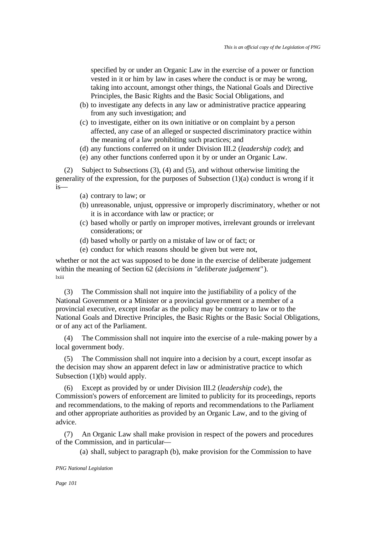specified by or under an Organic Law in the exercise of a power or function vested in it or him by law in cases where the conduct is or may be wrong, taking into account, amongst other things, the National Goals and Directive Principles, the Basic Rights and the Basic Social Obligations, and

- (b) to investigate any defects in any law or administrative practice appearing from any such investigation; and
- (c) to investigate, either on its own initiative or on complaint by a person affected, any case of an alleged or suspected discriminatory practice within the meaning of a law prohibiting such practices; and
- (d) any functions conferred on it under Division III.2 (*leadership code*); and
- (e) any other functions conferred upon it by or under an Organic Law.

(2) Subject to Subsections (3), (4) and (5), and without otherwise limiting the generality of the expression, for the purposes of Subsection (1)(a) conduct is wrong if it is—

- (a) contrary to law; or
- (b) unreasonable, unjust, oppressive or improperly discriminatory, whether or not it is in accordance with law or practice; or
- (c) based wholly or partly on improper motives, irrelevant grounds or irrelevant considerations; or
- (d) based wholly or partly on a mistake of law or of fact; or
- (e) conduct for which reasons should be given but were not,

whether or not the act was supposed to be done in the exercise of deliberate judgement within the meaning of Section 62 (*decisions in "deliberate judgement"* ). lxiii

(3) The Commission shall not inquire into the justifiability of a policy of the National Government or a Minister or a provincial gove rnment or a member of a provincial executive, except insofar as the policy may be contrary to law or to the National Goals and Directive Principles, the Basic Rights or the Basic Social Obligations, or of any act of the Parliament.

(4) The Commission shall not inquire into the exercise of a rule-making power by a local government body.

(5) The Commission shall not inquire into a decision by a court, except insofar as the decision may show an apparent defect in law or administrative practice to which Subsection (1)(b) would apply.

(6) Except as provided by or under Division III.2 (*leadership code*), the Commission's powers of enforcement are limited to publicity for its proceedings, reports and recommendations, to the making of reports and recommendations to the Parliament and other appropriate authorities as provided by an Organic Law, and to the giving of advice.

(7) An Organic Law shall make provision in respect of the powers and procedures of the Commission, and in particular—

(a) shall, subject to paragraph (b), make provision for the Commission to have

*PNG National Legislation*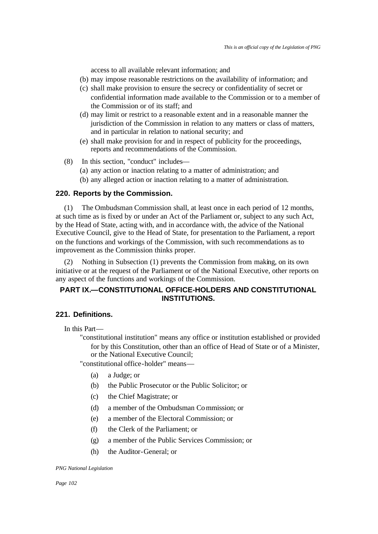access to all available relevant information; and

- (b) may impose reasonable restrictions on the availability of information; and
- (c) shall make provision to ensure the secrecy or confidentiality of secret or confidential information made available to the Commission or to a member of the Commission or of its staff; and
- (d) may limit or restrict to a reasonable extent and in a reasonable manner the jurisdiction of the Commission in relation to any matters or class of matters, and in particular in relation to national security; and
- (e) shall make provision for and in respect of publicity for the proceedings, reports and recommendations of the Commission.
- (8) In this section, "conduct" includes—
	- (a) any action or inaction relating to a matter of administration; and
	- (b) any alleged action or inaction relating to a matter of administration.

### **220. Reports by the Commission.**

(1) The Ombudsman Commission shall, at least once in each period of 12 months, at such time as is fixed by or under an Act of the Parliament or, subject to any such Act, by the Head of State, acting with, and in accordance with, the advice of the National Executive Council, give to the Head of State, for presentation to the Parliament, a report on the functions and workings of the Commission, with such recommendations as to improvement as the Commission thinks proper.

(2) Nothing in Subsection (1) prevents the Commission from making, on its own initiative or at the request of the Parliament or of the National Executive, other reports on any aspect of the functions and workings of the Commission.

# **PART IX.—CONSTITUTIONAL OFFICE-HOLDERS AND CONSTITUTIONAL INSTITUTIONS.**

### **221. Definitions.**

In this Part—

"constitutional institution" means any office or institution established or provided for by this Constitution, other than an office of Head of State or of a Minister, or the National Executive Council;

"constitutional office-holder" means—

- (a) a Judge; or
- (b) the Public Prosecutor or the Public Solicitor; or
- (c) the Chief Magistrate; or
- (d) a member of the Ombudsman Commission; or
- (e) a member of the Electoral Commission; or
- (f) the Clerk of the Parliament; or
- (g) a member of the Public Services Commission; or
- (h) the Auditor-General; or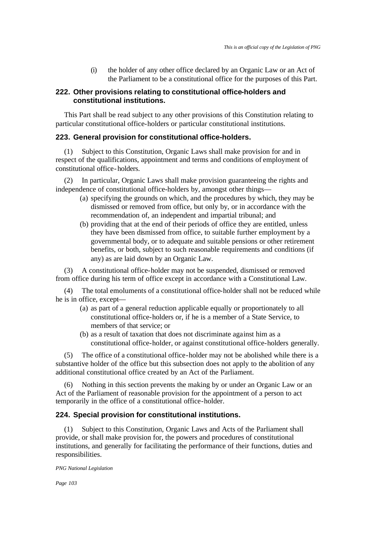(i) the holder of any other office declared by an Organic Law or an Act of the Parliament to be a constitutional office for the purposes of this Part.

# **222. Other provisions relating to constitutional office-holders and constitutional institutions.**

This Part shall be read subject to any other provisions of this Constitution relating to particular constitutional office-holders or particular constitutional institutions.

### **223. General provision for constitutional office-holders.**

(1) Subject to this Constitution, Organic Laws shall make provision for and in respect of the qualifications, appointment and terms and conditions of employment of constitutional office-holders.

(2) In particular, Organic Laws shall make provision guaranteeing the rights and independence of constitutional office-holders by, amongst other things—

- (a) specifying the grounds on which, and the procedures by which, they may be dismissed or removed from office, but only by, or in accordance with the recommendation of, an independent and impartial tribunal; and
- (b) providing that at the end of their periods of office they are entitled, unless they have been dismissed from office, to suitable further employment by a governmental body, or to adequate and suitable pensions or other retirement benefits, or both, subject to such reasonable requirements and conditions (if any) as are laid down by an Organic Law.

(3) A constitutional office-holder may not be suspended, dismissed or removed from office during his term of office except in accordance with a Constitutional Law.

(4) The total emoluments of a constitutional office-holder shall not be reduced while he is in office, except—

- (a) as part of a general reduction applicable equally or proportionately to all constitutional office-holders or, if he is a member of a State Service, to members of that service; or
- (b) as a result of taxation that does not discriminate against him as a constitutional office-holder, or against constitutional office-holders generally.

(5) The office of a constitutional office-holder may not be abolished while there is a substantive holder of the office but this subsection does not apply to the abolition of any additional constitutional office created by an Act of the Parliament.

(6) Nothing in this section prevents the making by or under an Organic Law or an Act of the Parliament of reasonable provision for the appointment of a person to act temporarily in the office of a constitutional office-holder.

# **224. Special provision for constitutional institutions.**

(1) Subject to this Constitution, Organic Laws and Acts of the Parliament shall provide, or shall make provision for, the powers and procedures of constitutional institutions, and generally for facilitating the performance of their functions, duties and responsibilities.

#### *PNG National Legislation*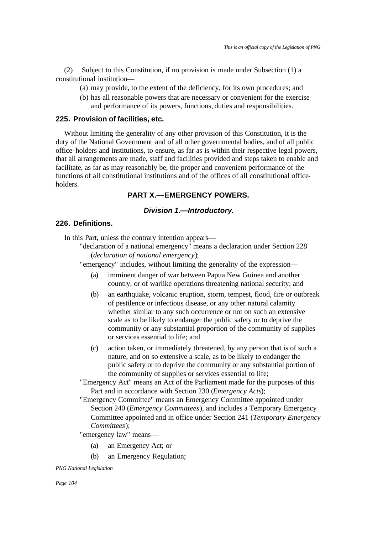(2) Subject to this Constitution, if no provision is made under Subsection (1) a constitutional institution—

- (a) may provide, to the extent of the deficiency, for its own procedures; and
- (b) has all reasonable powers that are necessary or convenient for the exercise and performance of its powers, functions, duties and responsibilities.

#### **225. Provision of facilities, etc.**

Without limiting the generality of any other provision of this Constitution, it is the duty of the National Government and of all other governmental bodies, and of all public office-holders and institutions, to ensure, as far as is within their respective legal powers, that all arrangements are made, staff and facilities provided and steps taken to enable and facilitate, as far as may reasonably be, the proper and convenient performance of the functions of all constitutional institutions and of the offices of all constitutional officeholders.

# **PART X.—EMERGENCY POWERS.**

#### *Division 1.—Introductory.*

#### **226. Definitions.**

In this Part, unless the contrary intention appears—

"declaration of a national emergency" means a declaration under Section 228 (*declaration of national emergency*);

"emergency" includes, without limiting the generality of the expression—

- (a) imminent danger of war between Papua New Guinea and another country, or of warlike operations threatening national security; and
- (b) an earthquake, volcanic eruption, storm, tempest, flood, fire or outbreak of pestilence or infectious disease, or any other natural calamity whether similar to any such occurrence or not on such an extensive scale as to be likely to endanger the public safety or to deprive the community or any substantial proportion of the community of supplies or services essential to life; and
- (c) action taken, or immediately threatened, by any person that is of such a nature, and on so extensive a scale, as to be likely to endanger the public safety or to deprive the community or any substantial portion of the community of supplies or services essential to life;
- "Emergency Act" means an Act of the Parliament made for the purposes of this Part and in accordance with Section 230 (*Emergency Acts*);
- "Emergency Committee" means an Emergency Committee appointed under Section 240 (*Emergency Committees*), and includes a Temporary Emergency Committee appointed and in office under Section 241 (*Temporary Emergency Committees*);

"emergency law" means—

- (a) an Emergency Act; or
- (b) an Emergency Regulation;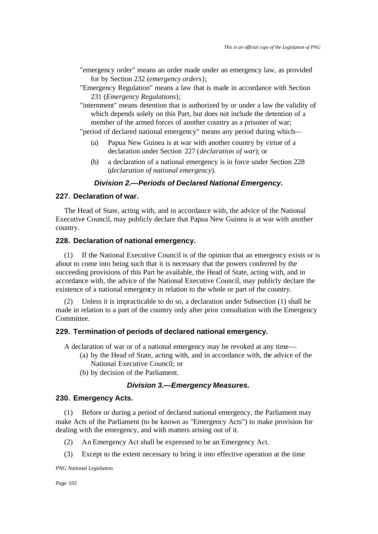- "emergency order" means an order made under an emergency law, as provided for by Section 232 (*emergency orders*);
- "Emergency Regulation" means a law that is made in accordance with Section 231 (*Emergency Regulations*);
- "internment" means detention that is authorized by or under a law the validity of which depends solely on this Part, but does not include the detention of a member of the armed forces of another country as a prisoner of war;

"period of declared national emergency" means any period during which—

- (a) Papua New Guinea is at war with another country by virtue of a declaration under Section 227 (*declaration of war*); or
- (b) a declaration of a national emergency is in force under Section 228 (*declaration of national emergency*).

### *Division 2.—Periods of Declared National Emergency.*

### **227. Declaration of war.**

The Head of State, acting with, and in accordance with, the advice of the National Executive Council, may publicly declare that Papua New Guinea is at war with another country.

### **228. Declaration of national emergency.**

(1) If the National Executive Council is of the opinion that an emergency exists or is about to come into being such that it is necessary that the powers conferred by the succeeding provisions of this Part be available, the Head of State, acting with, and in accordance with, the advice of the National Executive Council, may publicly declare the existence of a national emergency in relation to the whole or part of the country.

(2) Unless it is impracticable to do so, a declaration under Subsection (1) shall be made in relation to a part of the country only after prior consultation with the Emergency Committee.

### **229. Termination of periods of declared national emergency.**

A declaration of war or of a national emergency may be revoked at any time—

- (a) by the Head of State, acting with, and in accordance with, the advice of the National Executive Council; or
- (b) by decision of the Parliament.

#### *Division 3.—Emergency Measures.*

#### **230. Emergency Acts.**

(1) Before or during a period of declared national emergency, the Parliament may make Acts of the Parliament (to be known as "Emergency Acts") to make provision for dealing with the emergency, and with matters arising out of it.

- (2) An Emergency Act shall be expressed to be an Emergency Act.
- (3) Except to the extent necessary to bring it into effective operation at the time

*PNG National Legislation*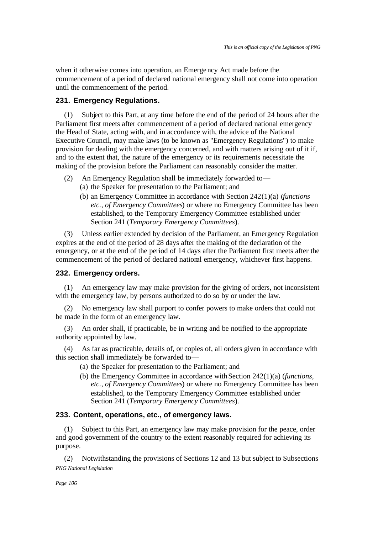when it otherwise comes into operation, an Emergency Act made before the commencement of a period of declared national emergency shall not come into operation until the commencement of the period.

# **231. Emergency Regulations.**

(1) Subject to this Part, at any time before the end of the period of 24 hours after the Parliament first meets after commencement of a period of declared national emergency the Head of State, acting with, and in accordance with, the advice of the National Executive Council, may make laws (to be known as "Emergency Regulations") to make provision for dealing with the emergency concerned, and with matters arising out of it if, and to the extent that, the nature of the emergency or its requirements necessitate the making of the provision before the Parliament can reasonably consider the matter.

- (2) An Emergency Regulation shall be immediately forwarded to— (a) the Speaker for presentation to the Parliament; and
	- (b) an Emergency Committee in accordance with Section 242(1)(a) (*functions etc., of Emergency Committees*) or where no Emergency Committee has been established, to the Temporary Emergency Committee established under Section 241 (*Temporary Emergency Committees*).

(3) Unless earlier extended by decision of the Parliament, an Emergency Regulation expires at the end of the period of 28 days after the making of the declaration of the emergency, or at the end of the period of 14 days after the Parliament first meets after the commencement of the period of declared national emergency, whichever first happens.

### **232. Emergency orders.**

(1) An emergency law may make provision for the giving of orders, not inconsistent with the emergency law, by persons authorized to do so by or under the law.

(2) No emergency law shall purport to confer powers to make orders that could not be made in the form of an emergency law.

(3) An order shall, if practicable, be in writing and be notified to the appropriate authority appointed by law.

(4) As far as practicable, details of, or copies of, all orders given in accordance with this section shall immediately be forwarded to—

- (a) the Speaker for presentation to the Parliament; and
- (b) the Emergency Committee in accordance with Section 242(1)(a) (*functions, etc., of Emergency Committees*) or where no Emergency Committee has been established, to the Temporary Emergency Committee established under Section 241 (*Temporary Emergency Committees*).

### **233. Content, operations, etc., of emergency laws.**

(1) Subject to this Part, an emergency law may make provision for the peace, order and good government of the country to the extent reasonably required for achieving its purpose.

*PNG National Legislation* (2) Notwithstanding the provisions of Sections 12 and 13 but subject to Subsections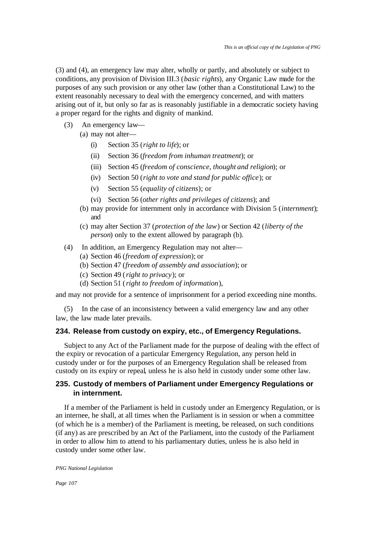(3) and (4), an emergency law may alter, wholly or partly, and absolutely or subject to conditions, any provision of Division III.3 (*basic rights*), any Organic Law made for the purposes of any such provision or any other law (other than a Constitutional Law) to the extent reasonably necessary to deal with the emergency concerned, and with matters arising out of it, but only so far as is reasonably justifiable in a democratic society having a proper regard for the rights and dignity of mankind.

- (3) An emergency law—
	- (a) may not alter—
		- (i) Section 35 (*right to life*); or
		- (ii) Section 36 (*freedom from inhuman treatment*); or
		- (iii) Section 45 (*freedom of conscience, thought and religion*); or
		- (iv) Section 50 (*right to vote and stand for public office*); or
		- (v) Section 55 (*equality of citizens*); or
		- (vi) Section 56 (*other rights and privileges of citizens*); and
	- (b) may provide for internment only in accordance with Division 5 (*internment*); and
	- (c) may alter Section 37 (*protection of the law*) or Section 42 (*liberty of the person*) only to the extent allowed by paragraph (b).
- (4) In addition, an Emergency Regulation may not alter—
	- (a) Section 46 (*freedom of expression*); or
	- (b) Section 47 (*freedom of assembly and association*); or
	- (c) Section 49 (*right to privacy*); or
	- (d) Section 51 (*right to freedom of information*),

and may not provide for a sentence of imprisonment for a period exceeding nine months.

(5) In the case of an inconsistency between a valid emergency law and any other law, the law made later prevails.

### **234. Release from custody on expiry, etc., of Emergency Regulations.**

Subject to any Act of the Parliament made for the purpose of dealing with the effect of the expiry or revocation of a particular Emergency Regulation, any person held in custody under or for the purposes of an Emergency Regulation shall be released from custody on its expiry or repeal, unless he is also held in custody under some other law.

### **235. Custody of members of Parliament under Emergency Regulations or in internment.**

If a member of the Parliament is held in custody under an Emergency Regulation, or is an internee, he shall, at all times when the Parliament is in session or when a committee (of which he is a member) of the Parliament is meeting, be released, on such conditions (if any) as are prescribed by an Act of the Parliament, into the custody of the Parliament in order to allow him to attend to his parliamentary duties, unless he is also held in custody under some other law.

*PNG National Legislation*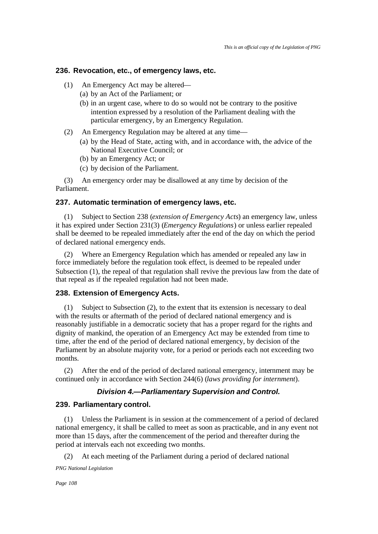# **236. Revocation, etc., of emergency laws, etc.**

- (1) An Emergency Act may be altered—
	- (a) by an Act of the Parliament; or
	- (b) in an urgent case, where to do so would not be contrary to the positive intention expressed by a resolution of the Parliament dealing with the particular emergency, by an Emergency Regulation.
- (2) An Emergency Regulation may be altered at any time—
	- (a) by the Head of State, acting with, and in accordance with, the advice of the National Executive Council; or
	- (b) by an Emergency Act; or
	- (c) by decision of the Parliament.

(3) An emergency order may be disallowed at any time by decision of the Parliament.

### **237. Automatic termination of emergency laws, etc.**

(1) Subject to Section 238 (*extension of Emergency Acts*) an emergency law, unless it has expired under Section 231(3) (*Emergency Regulations*) or unless earlier repealed shall be deemed to be repealed immediately after the end of the day on which the period of declared national emergency ends.

Where an Emergency Regulation which has amended or repealed any law in force immediately before the regulation took effect, is deemed to be repealed under Subsection (1), the repeal of that regulation shall revive the previous law from the date of that repeal as if the repealed regulation had not been made.

#### **238. Extension of Emergency Acts.**

(1) Subject to Subsection (2), to the extent that its extension is necessary to deal with the results or aftermath of the period of declared national emergency and is reasonably justifiable in a democratic society that has a proper regard for the rights and dignity of mankind, the operation of an Emergency Act may be extended from time to time, after the end of the period of declared national emergency, by decision of the Parliament by an absolute majority vote, for a period or periods each not exceeding two months.

(2) After the end of the period of declared national emergency, internment may be continued only in accordance with Section 244(6) (*laws providing for internment*).

# *Division 4.—Parliamentary Supervision and Control.*

#### **239. Parliamentary control.**

(1) Unless the Parliament is in session at the commencement of a period of declared national emergency, it shall be called to meet as soon as practicable, and in any event not more than 15 days, after the commencement of the period and thereafter during the period at intervals each not exceeding two months.

(2) At each meeting of the Parliament during a period of declared national

*PNG National Legislation*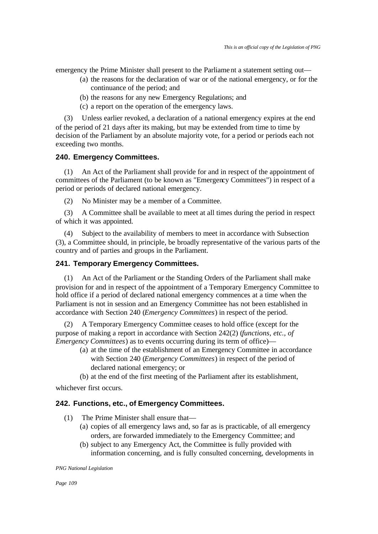emergency the Prime Minister shall present to the Parliament a statement setting out—

- (a) the reasons for the declaration of war or of the national emergency, or for the continuance of the period; and
- (b) the reasons for any new Emergency Regulations; and
- (c) a report on the operation of the emergency laws.

(3) Unless earlier revoked, a declaration of a national emergency expires at the end of the period of 21 days after its making, but may be extended from time to time by decision of the Parliament by an absolute majority vote, for a period or periods each not exceeding two months.

# **240. Emergency Committees.**

(1) An Act of the Parliament shall provide for and in respect of the appointment of committees of the Parliament (to be known as "Emergency Committees") in respect of a period or periods of declared national emergency.

(2) No Minister may be a member of a Committee.

(3) A Committee shall be available to meet at all times during the period in respect of which it was appointed.

(4) Subject to the availability of members to meet in accordance with Subsection (3), a Committee should, in principle, be broadly representative of the various parts of the country and of parties and groups in the Parliament.

# **241. Temporary Emergency Committees.**

(1) An Act of the Parliament or the Standing Orders of the Parliament shall make provision for and in respect of the appointment of a Temporary Emergency Committee to hold office if a period of declared national emergency commences at a time when the Parliament is not in session and an Emergency Committee has not been established in accordance with Section 240 (*Emergency Committees*) in respect of the period.

(2) A Temporary Emergency Committee ceases to hold office (except for the purpose of making a report in accordance with Section 242(2) (*functions, etc., of Emergency Committees*) as to events occurring during its term of office)—

- (a) at the time of the establishment of an Emergency Committee in accordance with Section 240 (*Emergency Committees*) in respect of the period of declared national emergency; or
- (b) at the end of the first meeting of the Parliament after its establishment,

whichever first occurs.

# **242. Functions, etc., of Emergency Committees.**

- (1) The Prime Minister shall ensure that—
	- (a) copies of all emergency laws and, so far as is practicable, of all emergency orders, are forwarded immediately to the Emergency Committee; and
	- (b) subject to any Emergency Act, the Committee is fully provided with information concerning, and is fully consulted concerning, developments in

*PNG National Legislation*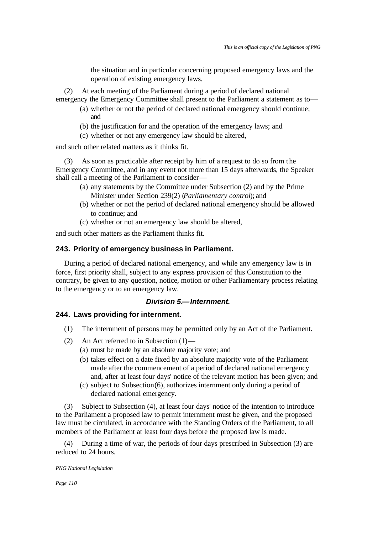the situation and in particular concerning proposed emergency laws and the operation of existing emergency laws.

(2) At each meeting of the Parliament during a period of declared national emergency the Emergency Committee shall present to the Parliament a statement as to—

- (a) whether or not the period of declared national emergency should continue; and
- (b) the justification for and the operation of the emergency laws; and
- (c) whether or not any emergency law should be altered,

and such other related matters as it thinks fit.

(3) As soon as practicable after receipt by him of a request to do so from the Emergency Committee, and in any event not more than 15 days afterwards, the Speaker shall call a meeting of the Parliament to consider—

- (a) any statements by the Committee under Subsection (2) and by the Prime Minister under Section 239(2) (*Parliamentary control*); and
- (b) whether or not the period of declared national emergency should be allowed to continue; and
- (c) whether or not an emergency law should be altered,

and such other matters as the Parliament thinks fit.

# **243. Priority of emergency business in Parliament.**

During a period of declared national emergency, and while any emergency law is in force, first priority shall, subject to any express provision of this Constitution to the contrary, be given to any question, notice, motion or other Parliamentary process relating to the emergency or to an emergency law.

# *Division 5.—Internment.*

# **244. Laws providing for internment.**

- (1) The internment of persons may be permitted only by an Act of the Parliament.
- (2) An Act referred to in Subsection (1)—
	- (a) must be made by an absolute majority vote; and
	- (b) takes effect on a date fixed by an absolute majority vote of the Parliament made after the commencement of a period of declared national emergency and, after at least four days' notice of the relevant motion has been given; and
	- (c) subject to Subsection (6), authorizes internment only during a period of declared national emergency.

(3) Subject to Subsection (4), at least four days' notice of the intention to introduce to the Parliament a proposed law to permit internment must be given, and the proposed law must be circulated, in accordance with the Standing Orders of the Parliament, to all members of the Parliament at least four days before the proposed law is made.

(4) During a time of war, the periods of four days prescribed in Subsection (3) are reduced to 24 hours.

*PNG National Legislation*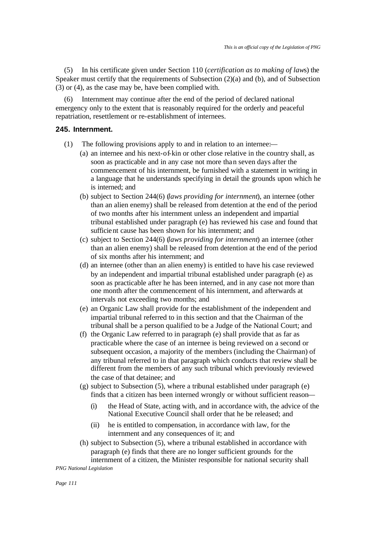(5) In his certificate given under Section 110 (*certification as to making of law*s) the Speaker must certify that the requirements of Subsection (2)(a) and (b), and of Subsection (3) or (4), as the case may be, have been complied with.

Internment may continue after the end of the period of declared national emergency only to the extent that is reasonably required for the orderly and peaceful repatriation, resettlement or re-establishment of internees.

### **245. Internment.**

- (1) The following provisions apply to and in relation to an internee:—
	- (a) an internee and his next-of-kin or other close relative in the country shall, as soon as practicable and in any case not more than seven days after the commencement of his internment, be furnished with a statement in writing in a language that he understands specifying in detail the grounds upon which he is interned; and
	- (b) subject to Section 244(6) (*laws providing for internment*), an internee (other than an alien enemy) shall be released from detention at the end of the period of two months after his internment unless an independent and impartial tribunal established under paragraph (e) has reviewed his case and found that sufficient cause has been shown for his internment; and
	- (c) subject to Section 244(6) (*laws providing for internment*) an internee (other than an alien enemy) shall be released from detention at the end of the period of six months after his internment; and
	- (d) an internee (other than an alien enemy) is entitled to have his case reviewed by an independent and impartial tribunal established under paragraph (e) as soon as practicable after he has been interned, and in any case not more than one month after the commencement of his internment, and afterwards at intervals not exceeding two months; and
	- (e) an Organic Law shall provide for the establishment of the independent and impartial tribunal referred to in this section and that the Chairman of the tribunal shall be a person qualified to be a Judge of the National Court; and
	- (f) the Organic Law referred to in paragraph (e) shall provide that as far as practicable where the case of an internee is being reviewed on a second or subsequent occasion, a majority of the members (including the Chairman) of any tribunal referred to in that paragraph which conducts that review shall be different from the members of any such tribunal which previously reviewed the case of that detainee; and
	- (g) subject to Subsection (5), where a tribunal established under paragraph (e) finds that a citizen has been interned wrongly or without sufficient reason—
		- (i) the Head of State, acting with, and in accordance with, the advice of the National Executive Council shall order that he be released; and
		- (ii) he is entitled to compensation, in accordance with law, for the internment and any consequences of it; and
	- (h) subject to Subsection (5), where a tribunal established in accordance with paragraph (e) finds that there are no longer sufficient grounds for the internment of a citizen, the Minister responsible for national security shall

*PNG National Legislation*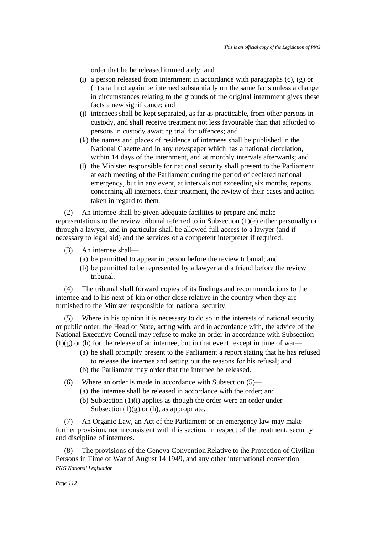order that he be released immediately; and

- (i) a person released from internment in accordance with paragraphs (c), (g) or (h) shall not again be interned substantially on the same facts unless a change in circumstances relating to the grounds of the original internment gives these facts a new significance; and
- (j) internees shall be kept separated, as far as practicable, from other persons in custody, and shall receive treatment not less favourable than that afforded to persons in custody awaiting trial for offences; and
- (k) the names and places of residence of internees shall be published in the National Gazette and in any newspaper which has a national circulation, within 14 days of the internment, and at monthly intervals afterwards; and
- (l) the Minister responsible for national security shall present to the Parliament at each meeting of the Parliament during the period of declared national emergency, but in any event, at intervals not exceeding six months, reports concerning all internees, their treatment, the review of their cases and action taken in regard to them.

(2) An internee shall be given adequate facilities to prepare and make representations to the review tribunal referred to in Subsection (1)(e) either personally or through a lawyer, and in particular shall be allowed full access to a lawyer (and if necessary to legal aid) and the services of a competent interpreter if required.

- (3) An internee shall—
	- (a) be permitted to appear in person before the review tribunal; and
	- (b) be permitted to be represented by a lawyer and a friend before the review tribunal.

(4) The tribunal shall forward copies of its findings and recommendations to the internee and to his next-of-kin or other close relative in the country when they are furnished to the Minister responsible for national security.

(5) Where in his opinion it is necessary to do so in the interests of national security or public order, the Head of State, acting with, and in accordance with, the advice of the National Executive Council may refuse to make an order in accordance with Subsection  $(1)(g)$  or (h) for the release of an internee, but in that event, except in time of war—

- (a) he shall promptly present to the Parliament a report stating that he has refused to release the internee and setting out the reasons for his refusal; and
- (b) the Parliament may order that the internee be released.
- (6) Where an order is made in accordance with Subsection (5)—
	- (a) the internee shall be released in accordance with the order; and
	- (b) Subsection (1)(i) applies as though the order were an order under Subsection(1)(g) or (h), as appropriate.

(7) An Organic Law, an Act of the Parliament or an emergency law may make further provision, not inconsistent with this section, in respect of the treatment, security and discipline of internees.

*PNG National Legislation* The provisions of the Geneva Convention Relative to the Protection of Civilian Persons in Time of War of August 14 1949, and any other international convention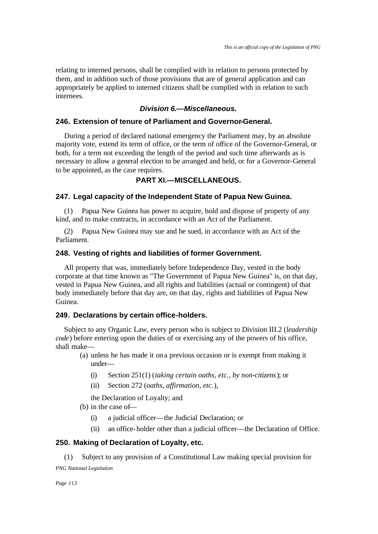relating to interned persons, shall be complied with in relation to persons protected by them, and in addition such of those provisions that are of general application and can appropriately be applied to interned citizens shall be complied with in relation to such internees.

# *Division 6.—Miscellaneous.*

# **246. Extension of tenure of Parliament and Governor-General.**

During a period of declared national emergency the Parliament may, by an absolute majority vote, extend its term of office, or the term of office of the Governor-General, or both, for a term not exceeding the length of the period and such time afterwards as is necessary to allow a general election to be arranged and held, or for a Governor-General to be appointed, as the case requires.

# **PART XI.—MISCELLANEOUS.**

# **247. Legal capacity of the Independent State of Papua New Guinea.**

(1) Papua New Guinea has power to acquire, hold and dispose of property of any kind, and to make contracts, in accordance with an Act of the Parliament.

(2) Papua New Guinea may sue and be sued, in accordance with an Act of the Parliament.

# **248. Vesting of rights and liabilities of former Government.**

All property that was, immediately before Independence Day, vested in the body corporate at that time known as "The Government of Papua New Guinea" is, on that day, vested in Papua New Guinea, and all rights and liabilities (actual or contingent) of that body immediately before that day are, on that day, rights and liabilities of Papua New Guinea.

# **249. Declarations by certain office-holders.**

Subject to any Organic Law, every person who is subject to Division III.2 (*leadership code*) before entering upon the duties of or exercising any of the powers of his office, shall make—

- (a) unless he has made it on a previous occasion or is exempt from making it under—
	- (i) Section 251(1) (*taking certain oaths, etc., by non-citizens*); or
	- (ii) Section 272 (*oaths, affirmation, etc.*),

the Declaration of Loyalty; and

- (b) in the case of—
	- (i) a judicial officer—the Judicial Declaration; or
	- (ii) an office-holder other than a judicial officer—the Declaration of Office.

# **250. Making of Declaration of Loyalty, etc.**

*PNG National Legislation* (1) Subject to any provision of a Constitutional Law making special provision for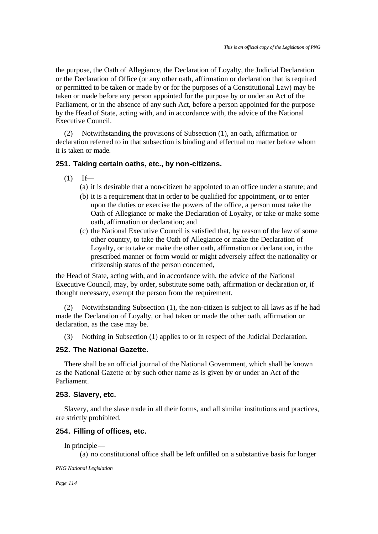the purpose, the Oath of Allegiance, the Declaration of Loyalty, the Judicial Declaration or the Declaration of Office (or any other oath, affirmation or declaration that is required or permitted to be taken or made by or for the purposes of a Constitutional Law) may be taken or made before any person appointed for the purpose by or under an Act of the Parliament, or in the absence of any such Act, before a person appointed for the purpose by the Head of State, acting with, and in accordance with, the advice of the National Executive Council.

(2) Notwithstanding the provisions of Subsection (1), an oath, affirmation or declaration referred to in that subsection is binding and effectual no matter before whom it is taken or made.

# **251. Taking certain oaths, etc., by non-citizens.**

- $(1)$  If—
	- (a) it is desirable that a non-citizen be appointed to an office under a statute; and
	- (b) it is a requirement that in order to be qualified for appointment, or to enter upon the duties or exercise the powers of the office, a person must take the Oath of Allegiance or make the Declaration of Loyalty, or take or make some oath, affirmation or declaration; and
	- (c) the National Executive Council is satisfied that, by reason of the law of some other country, to take the Oath of Allegiance or make the Declaration of Loyalty, or to take or make the other oath, affirmation or declaration, in the prescribed manner or form would or might adversely affect the nationality or citizenship status of the person concerned,

the Head of State, acting with, and in accordance with, the advice of the National Executive Council, may, by order, substitute some oath, affirmation or declaration or, if thought necessary, exempt the person from the requirement.

(2) Notwithstanding Subsection (1), the non-citizen is subject to all laws as if he had made the Declaration of Loyalty, or had taken or made the other oath, affirmation or declaration, as the case may be.

(3) Nothing in Subsection (1) applies to or in respect of the Judicial Declaration.

# **252. The National Gazette.**

There shall be an official journal of the Nationa l Government, which shall be known as the National Gazette or by such other name as is given by or under an Act of the Parliament.

# **253. Slavery, etc.**

Slavery, and the slave trade in all their forms, and all similar institutions and practices, are strictly prohibited.

# **254. Filling of offices, etc.**

In principle—

(a) no constitutional office shall be left unfilled on a substantive basis for longer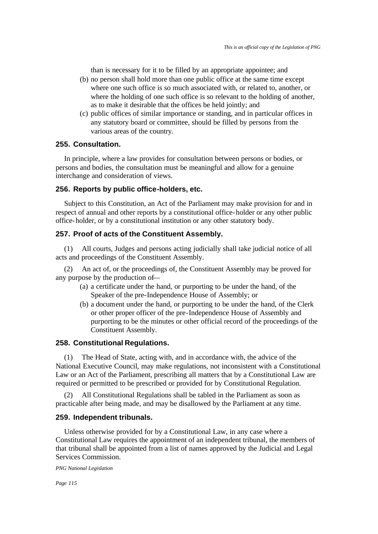than is necessary for it to be filled by an appropriate appointee; and

- (b) no person shall hold more than one public office at the same time except where one such office is so much associated with, or related to, another, or where the holding of one such office is so relevant to the holding of another, as to make it desirable that the offices be held jointly; and
- (c) public offices of similar importance or standing, and in particular offices in any statutory board or committee, should be filled by persons from the various areas of the country.

# **255. Consultation.**

In principle, where a law provides for consultation between persons or bodies, or persons and bodies, the consultation must be meaningful and allow for a genuine interchange and consideration of views.

# **256. Reports by public office-holders, etc.**

Subject to this Constitution, an Act of the Parliament may make provision for and in respect of annual and other reports by a constitutional office-holder or any other public office-holder, or by a constitutional institution or any other statutory body.

### **257. Proof of acts of the Constituent Assembly.**

(1) All courts, Judges and persons acting judicially shall take judicial notice of all acts and proceedings of the Constituent Assembly.

(2) An act of, or the proceedings of, the Constituent Assembly may be proved for any purpose by the production of—

- (a) a certificate under the hand, or purporting to be under the hand, of the Speaker of the pre-Independence House of Assembly; or
- (b) a document under the hand, or purporting to be under the hand, of the Clerk or other proper officer of the pre-Independence House of Assembly and purporting to be the minutes or other official record of the proceedings of the Constituent Assembly.

### **258. Constitutional Regulations.**

(1) The Head of State, acting with, and in accordance with, the advice of the National Executive Council, may make regulations, not inconsistent with a Constitutional Law or an Act of the Parliament, prescribing all matters that by a Constitutional Law are required or permitted to be prescribed or provided for by Constitutional Regulation.

All Constitutional Regulations shall be tabled in the Parliament as soon as practicable after being made, and may be disallowed by the Parliament at any time.

### **259. Independent tribunals.**

Unless otherwise provided for by a Constitutional Law, in any case where a Constitutional Law requires the appointment of an independent tribunal, the members of that tribunal shall be appointed from a list of names approved by the Judicial and Legal Services Commission.

*PNG National Legislation*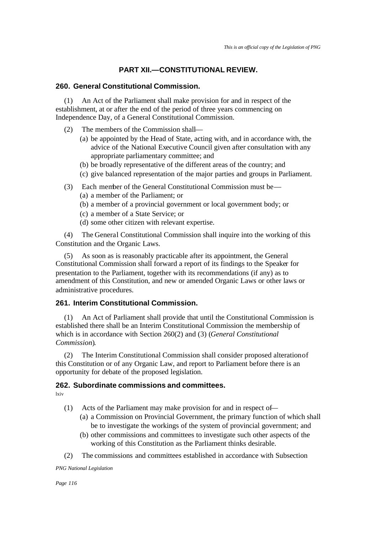# **PART XII.—CONSTITUTIONAL REVIEW.**

### **260. General Constitutional Commission.**

(1) An Act of the Parliament shall make provision for and in respect of the establishment, at or after the end of the period of three years commencing on Independence Day, of a General Constitutional Commission.

- (2) The members of the Commission shall—
	- (a) be appointed by the Head of State, acting with, and in accordance with, the advice of the National Executive Council given after consultation with any appropriate parliamentary committee; and
	- (b) be broadly representative of the different areas of the country; and
	- (c) give balanced representation of the major parties and groups in Parliament.
- (3) Each member of the General Constitutional Commission must be—
	- (a) a member of the Parliament; or
	- (b) a member of a provincial government or local government body; or
	- (c) a member of a State Service; or
	- (d) some other citizen with relevant expertise.

(4) The General Constitutional Commission shall inquire into the working of this Constitution and the Organic Laws.

(5) As soon as is reasonably practicable after its appointment, the General Constitutional Commission shall forward a report of its findings to the Speaker for presentation to the Parliament, together with its recommendations (if any) as to amendment of this Constitution, and new or amended Organic Laws or other laws or administrative procedures.

# **261. Interim Constitutional Commission.**

(1) An Act of Parliament shall provide that until the Constitutional Commission is established there shall be an Interim Constitutional Commission the membership of which is in accordance with Section 260(2) and (3) (*General Constitutional Commission*).

(2) The Interim Constitutional Commission shall consider proposed alteration of this Constitution or of any Organic Law, and report to Parliament before there is an opportunity for debate of the proposed legislation.

# **262. Subordinate commissions and committees.**

lxiv

- (1) Acts of the Parliament may make provision for and in respect of—
	- (a) a Commission on Provincial Government, the primary function of which shall be to investigate the workings of the system of provincial government; and
	- (b) other commissions and committees to investigate such other aspects of the working of this Constitution as the Parliament thinks desirable.
- (2) The commissions and committees established in accordance with Subsection

*PNG National Legislation*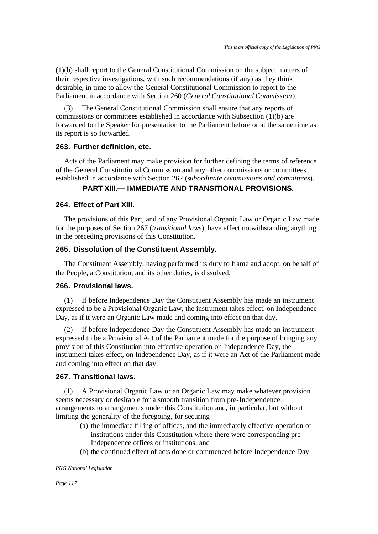(1)(b) shall report to the General Constitutional Commission on the subject matters of their respective investigations, with such recommendations (if any) as they think desirable, in time to allow the General Constitutional Commission to report to the Parliament in accordance with Section 260 (*General Constitutional Commission*).

(3) The General Constitutional Commission shall ensure that any reports of commissions or committees established in accordance with Subsection (1)(b) are forwarded to the Speaker for presentation to the Parliament before or at the same time as its report is so forwarded.

# **263. Further definition, etc.**

Acts of the Parliament may make provision for further defining the terms of reference of the General Constitutional Commission and any other commissions or committees established in accordance with Section 262 (s*ubordinate commissions and committees*).

# **PART XIII.— IMMEDIATE AND TRANSITIONAL PROVISIONS.**

# **264. Effect of Part XIII.**

The provisions of this Part, and of any Provisional Organic Law or Organic Law made for the purposes of Section 267 (*transitional laws*), have effect notwithstanding anything in the preceding provisions of this Constitution.

# **265. Dissolution of the Constituent Assembly.**

The Constituent Assembly, having performed its duty to frame and adopt, on behalf of the People, a Constitution, and its other duties, is dissolved.

### **266. Provisional laws.**

(1) If before Independence Day the Constituent Assembly has made an instrument expressed to be a Provisional Organic Law, the instrument takes effect, on Independence Day, as if it were an Organic Law made and coming into effect on that day.

(2) If before Independence Day the Constituent Assembly has made an instrument expressed to be a Provisional Act of the Parliament made for the purpose of bringing any provision of this Constitution into effective operation on Independence Day, the instrument takes effect, on Independence Day, as if it were an Act of the Parliament made and coming into effect on that day.

### **267. Transitional laws.**

(1) A Provisional Organic Law or an Organic Law may make whatever provision seems necessary or desirable for a smooth transition from pre-Independence arrangements to arrangements under this Constitution and, in particular, but without limiting the generality of the foregoing, for securing—

- (a) the immediate filling of offices, and the immediately effective operation of institutions under this Constitution where there were corresponding pre-Independence offices or institutions; and
- (b) the continued effect of acts done or commenced before Independence Day

*PNG National Legislation*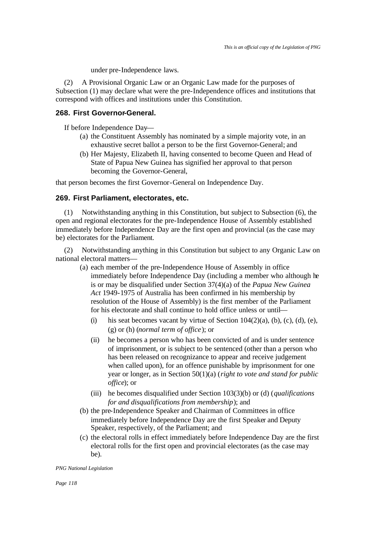under pre-Independence laws.

(2) A Provisional Organic Law or an Organic Law made for the purposes of Subsection (1) may declare what were the pre-Independence offices and institutions that correspond with offices and institutions under this Constitution.

# **268. First Governor-General.**

If before Independence Day—

- (a) the Constituent Assembly has nominated by a simple majority vote, in an exhaustive secret ballot a person to be the first Governor-General; and
- (b) Her Majesty, Elizabeth II, having consented to become Queen and Head of State of Papua New Guinea has signified her approval to that person becoming the Governor-General,

that person becomes the first Governor-General on Independence Day.

# **269. First Parliament, electorates, etc.**

(1) Notwithstanding anything in this Constitution, but subject to Subsection (6), the open and regional electorates for the pre-Independence House of Assembly established immediately before Independence Day are the first open and provincial (as the case may be) electorates for the Parliament.

(2) Notwithstanding anything in this Constitution but subject to any Organic Law on national electoral matters—

- (a) each member of the pre-Independence House of Assembly in office immediately before Independence Day (including a member who although he is or may be disqualified under Section 37(4)(a) of the *Papua New Guinea Act* 1949-1975 of Australia has been confirmed in his membership by resolution of the House of Assembly) is the first member of the Parliament for his electorate and shall continue to hold office unless or until—
	- (i) his seat becomes vacant by virtue of Section  $104(2)(a)$ , (b), (c), (d), (e), (g) or (h) (*normal term of office*); or
	- (ii) he becomes a person who has been convicted of and is under sentence of imprisonment, or is subject to be sentenced (other than a person who has been released on recognizance to appear and receive judgement when called upon), for an offence punishable by imprisonment for one year or longer, as in Section 50(1)(a) (*right to vote and stand for public office*); or
	- (iii) he becomes disqualified under Section 103(3)(b) or (d) (*qualifications for and disqualifications from membership*); and
- (b) the pre-Independence Speaker and Chairman of Committees in office immediately before Independence Day are the first Speaker and Deputy Speaker, respectively, of the Parliament; and
- (c) the electoral rolls in effect immediately before Independence Day are the first electoral rolls for the first open and provincial electorates (as the case may be).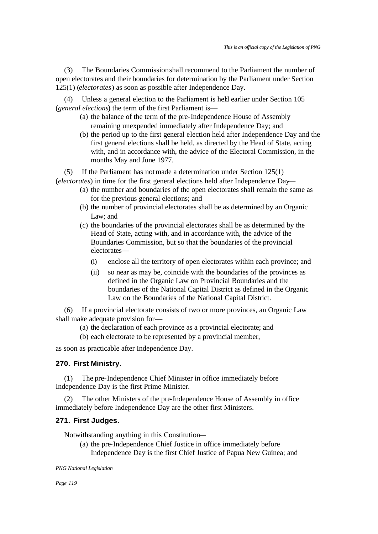(3) The Boundaries Commission shall recommend to the Parliament the number of open electorates and their boundaries for determination by the Parliament under Section 125(1) (*electorates*) as soon as possible after Independence Day.

Unless a general election to the Parliament is held earlier under Section 105 (*general elections*) the term of the first Parliament is—

- (a) the balance of the term of the pre-Independence House of Assembly remaining unexpended immediately after Independence Day; and
- (b) the period up to the first general election held after Independence Day and the first general elections shall be held, as directed by the Head of State, acting with, and in accordance with, the advice of the Electoral Commission, in the months May and June 1977.

(5) If the Parliament has not made a determination under Section 125(1)

(*electorates*) in time for the first general elections held after Independence Day—

- (a) the number and boundaries of the open electorates shall remain the same as for the previous general elections; and
- (b) the number of provincial electorates shall be as determined by an Organic Law; and
- (c) the boundaries of the provincial electorates shall be as determined by the Head of State, acting with, and in accordance with, the advice of the Boundaries Commission, but so that the boundaries of the provincial electorates—
	- (i) enclose all the territory of open electorates within each province; and
	- (ii) so near as may be, coincide with the boundaries of the provinces as defined in the Organic Law on Provincial Boundaries and the boundaries of the National Capital District as defined in the Organic Law on the Boundaries of the National Capital District.

(6) If a provincial electorate consists of two or more provinces, an Organic Law shall make adequate provision for—

- (a) the declaration of each province as a provincial electorate; and
- (b) each electorate to be represented by a provincial member,

as soon as practicable after Independence Day.

# **270. First Ministry.**

(1) The pre-Independence Chief Minister in office immediately before Independence Day is the first Prime Minister.

(2) The other Ministers of the pre-Independence House of Assembly in office immediately before Independence Day are the other first Ministers.

# **271. First Judges.**

Notwithstanding anything in this Constitution—

(a) the pre-Independence Chief Justice in office immediately before Independence Day is the first Chief Justice of Papua New Guinea; and

*PNG National Legislation*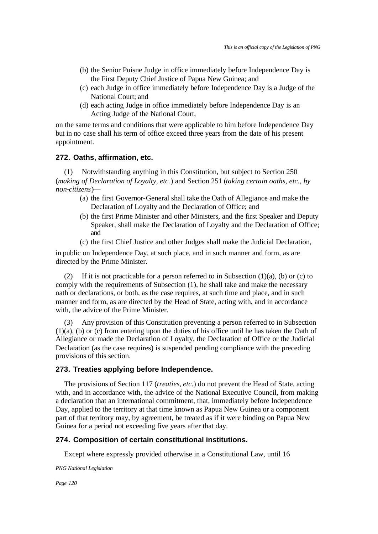- (b) the Senior Puisne Judge in office immediately before Independence Day is the First Deputy Chief Justice of Papua New Guinea; and
- (c) each Judge in office immediately before Independence Day is a Judge of the National Court; and
- (d) each acting Judge in office immediately before Independence Day is an Acting Judge of the National Court,

on the same terms and conditions that were applicable to him before Independence Day but in no case shall his term of office exceed three years from the date of his present appointment.

# **272. Oaths, affirmation, etc.**

(1) Notwithstanding anything in this Constitution, but subject to Section 250 (*making of Declaration of Loyalty, etc.*) and Section 251 (*taking certain oaths, etc., by non-citizens*)—

- (a) the first Governor-General shall take the Oath of Allegiance and make the Declaration of Loyalty and the Declaration of Office; and
- (b) the first Prime Minister and other Ministers, and the first Speaker and Deputy Speaker, shall make the Declaration of Loyalty and the Declaration of Office; and
- (c) the first Chief Justice and other Judges shall make the Judicial Declaration,

in public on Independence Day, at such place, and in such manner and form, as are directed by the Prime Minister.

(2) If it is not practicable for a person referred to in Subsection  $(1)(a)$ ,  $(b)$  or  $(c)$  to comply with the requirements of Subsection (1), he shall take and make the necessary oath or declarations, or both, as the case requires, at such time and place, and in such manner and form, as are directed by the Head of State, acting with, and in accordance with, the advice of the Prime Minister.

(3) Any provision of this Constitution preventing a person referred to in Subsection (1)(a), (b) or (c) from entering upon the duties of his office until he has taken the Oath of Allegiance or made the Declaration of Loyalty, the Declaration of Office or the Judicial Declaration (as the case requires) is suspended pending compliance with the preceding provisions of this section.

# **273. Treaties applying before Independence.**

The provisions of Section 117 (*treaties, etc.*) do not prevent the Head of State, acting with, and in accordance with, the advice of the National Executive Council, from making a declaration that an international commitment, that, immediately before Independence Day, applied to the territory at that time known as Papua New Guinea or a component part of that territory may, by agreement, be treated as if it were binding on Papua New Guinea for a period not exceeding five years after that day.

# **274. Composition of certain constitutional institutions.**

Except where expressly provided otherwise in a Constitutional Law, until 16

*PNG National Legislation*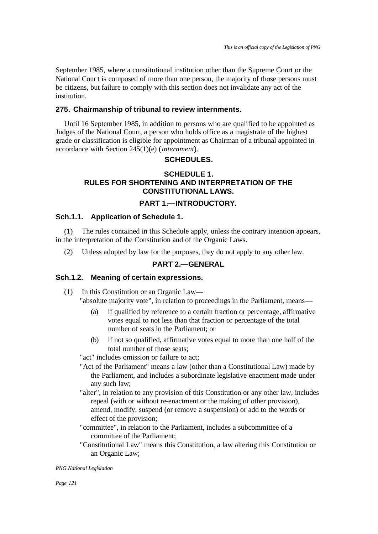September 1985, where a constitutional institution other than the Supreme Court or the National Cour t is composed of more than one person, the majority of those persons must be citizens, but failure to comply with this section does not invalidate any act of the institution.

# **275. Chairmanship of tribunal to review internments.**

Until 16 September 1985, in addition to persons who are qualified to be appointed as Judges of the National Court, a person who holds office as a magistrate of the highest grade or classification is eligible for appointment as Chairman of a tribunal appointed in accordance with Section 245(1)(e) (*internment*).

# **SCHEDULES.**

# **SCHEDULE 1. RULES FOR SHORTENING AND INTERPRETATION OF THE CONSTITUTIONAL LAWS.**

# **PART 1.—INTRODUCTORY.**

# **Sch.1.1. Application of Schedule 1.**

(1) The rules contained in this Schedule apply, unless the contrary intention appears, in the interpretation of the Constitution and of the Organic Laws.

(2) Unless adopted by law for the purposes, they do not apply to any other law.

# **PART 2.—GENERAL**

# **Sch.1.2. Meaning of certain expressions.**

(1) In this Constitution or an Organic Law— "absolute majority vote", in relation to proceedings in the Parliament, means—

- (a) if qualified by reference to a certain fraction or percentage, affirmative votes equal to not less than that fraction or percentage of the total number of seats in the Parliament; or
- (b) if not so qualified, affirmative votes equal to more than one half of the total number of those seats;

"act" includes omission or failure to act;

- "Act of the Parliament" means a law (other than a Constitutional Law) made by the Parliament, and includes a subordinate legislative enactment made under any such law;
- "alter", in relation to any provision of this Constitution or any other law, includes repeal (with or without re-enactment or the making of other provision), amend, modify, suspend (or remove a suspension) or add to the words or effect of the provision;
- "committee", in relation to the Parliament, includes a subcommittee of a committee of the Parliament;
- "Constitutional Law" means this Constitution, a law altering this Constitution or an Organic Law;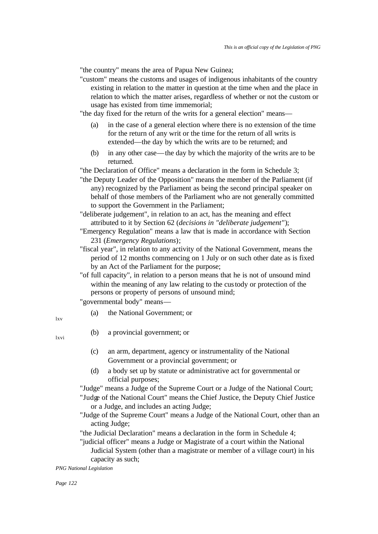"the country" means the area of Papua New Guinea;

"custom" means the customs and usages of indigenous inhabitants of the country existing in relation to the matter in question at the time when and the place in relation to which the matter arises, regardless of whether or not the custom or usage has existed from time immemorial;

"the day fixed for the return of the writs for a general election" means—

- (a) in the case of a general election where there is no extension of the time for the return of any writ or the time for the return of all writs is extended—the day by which the writs are to be returned; and
- (b) in any other case—the day by which the majority of the writs are to be returned.

"the Declaration of Office" means a declaration in the form in Schedule 3;

"the Deputy Leader of the Opposition" means the member of the Parliament (if any) recognized by the Parliament as being the second principal speaker on behalf of those members of the Parliament who are not generally committed to support the Government in the Parliament;

"deliberate judgement", in relation to an act, has the meaning and effect attributed to it by Section 62 (*decisions in "deliberate judgement"*);

- "Emergency Regulation" means a law that is made in accordance with Section 231 (*Emergency Regulations*);
- "fiscal year", in relation to any activity of the National Government, means the period of 12 months commencing on 1 July or on such other date as is fixed by an Act of the Parliament for the purpose;
- "of full capacity", in relation to a person means that he is not of unsound mind within the meaning of any law relating to the custody or protection of the persons or property of persons of unsound mind;

"governmental body" means—

(a) the National Government; or

# lxv

lxvi

- (b) a provincial government; or
- (c) an arm, department, agency or instrumentality of the National Government or a provincial government; or
- (d) a body set up by statute or administrative act for governmental or official purposes;

"Judge" means a Judge of the Supreme Court or a Judge of the National Court;

- "Judge of the National Court" means the Chief Justice, the Deputy Chief Justice or a Judge, and includes an acting Judge;
- "Judge of the Supreme Court" means a Judge of the National Court, other than an acting Judge;
- "the Judicial Declaration" means a declaration in the form in Schedule 4;
- "judicial officer" means a Judge or Magistrate of a court within the National Judicial System (other than a magistrate or member of a village court) in his capacity as such;

*PNG National Legislation*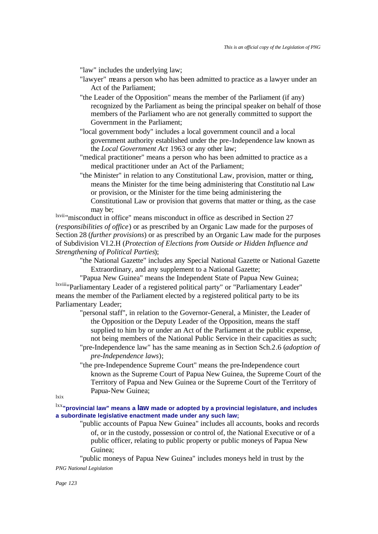"law" includes the underlying law;

- "lawyer" means a person who has been admitted to practice as a lawyer under an Act of the Parliament;
- "the Leader of the Opposition" means the member of the Parliament (if any) recognized by the Parliament as being the principal speaker on behalf of those members of the Parliament who are not generally committed to support the Government in the Parliament;
- "local government body" includes a local government council and a local government authority established under the pre-Independence law known as the *Local Government Act* 1963 or any other law;
- "medical practitioner" means a person who has been admitted to practice as a medical practitioner under an Act of the Parliament;
- "the Minister" in relation to any Constitutional Law, provision, matter or thing, means the Minister for the time being administering that Constitutio nal Law or provision, or the Minister for the time being administering the Constitutional Law or provision that governs that matter or thing, as the case may be;

lxvii"misconduct in office" means misconduct in office as described in Section 27 (*responsibilities of office*) or as prescribed by an Organic Law made for the purposes of Section 28 (*further provisions*) or as prescribed by an Organic Law made for the purposes of Subdivision VI.2.H (*Protection of Elections from Outside or Hidden Influence and Strengthening of Political Parties*);

"the National Gazette" includes any Special National Gazette or National Gazette Extraordinary, and any supplement to a National Gazette;

"Papua New Guinea" means the Independent State of Papua New Guinea; lxviii"Parliamentary Leader of a registered political party" or "Parliamentary Leader" means the member of the Parliament elected by a registered political party to be its Parliamentary Leader;

"personal staff", in relation to the Governor-General, a Minister, the Leader of the Opposition or the Deputy Leader of the Opposition, means the staff supplied to him by or under an Act of the Parliament at the public expense, not being members of the National Public Service in their capacities as such;

- "pre-Independence law" has the same meaning as in Section Sch.2.6 (*adoption of pre-Independence laws*);
- "the pre-Independence Supreme Court" means the pre-Independence court known as the Supreme Court of Papua New Guinea, the Supreme Court of the Territory of Papua and New Guinea or the Supreme Court of the Territory of Papua-New Guinea;

lxix

# lxx**"provincial law" means a law made or adopted by a provincial legislature, and includes a subordinate legislative enactment made under any such law;**

"public accounts of Papua New Guinea" includes all accounts, books and records of, or in the custody, possession or control of, the National Executive or of a public officer, relating to public property or public moneys of Papua New Guinea;

"public moneys of Papua New Guinea" includes moneys held in trust by the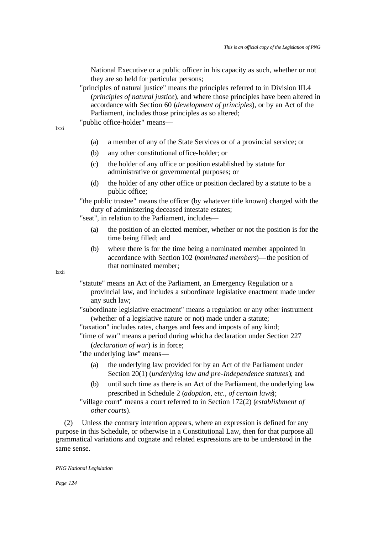National Executive or a public officer in his capacity as such, whether or not they are so held for particular persons;

"principles of natural justice" means the principles referred to in Division III.4 (*principles of natural justice*), and where those principles have been altered in accordance with Section 60 (*development of principles*), or by an Act of the Parliament, includes those principles as so altered;

"public office-holder" means— lxxi

- (a) a member of any of the State Services or of a provincial service; or
- (b) any other constitutional office-holder; or
- (c) the holder of any office or position established by statute for administrative or governmental purposes; or
- (d) the holder of any other office or position declared by a statute to be a public office;

"the public trustee" means the officer (by whatever title known) charged with the duty of administering deceased intestate estates;

"seat", in relation to the Parliament, includes—

- (a) the position of an elected member, whether or not the position is for the time being filled; and
- (b) where there is for the time being a nominated member appointed in accordance with Section 102 (*nominated members*)—the position of that nominated member;

lxxii

- "statute" means an Act of the Parliament, an Emergency Regulation or a provincial law, and includes a subordinate legislative enactment made under any such law;
- "subordinate legislative enactment" means a regulation or any other instrument (whether of a legislative nature or not) made under a statute;

"taxation" includes rates, charges and fees and imposts of any kind;

"time of war" means a period during which a declaration under Section 227

(*declaration of war*) is in force;

"the underlying law" means—

- (a) the underlying law provided for by an Act of the Parliament under Section 20(1) (*underlying law and pre-Independence statutes*); and
- (b) until such time as there is an Act of the Parliament, the underlying law prescribed in Schedule 2 (*adoption, etc., of certain laws*);
- "village court" means a court referred to in Section 172(2) (*establishment of other courts*).

(2) Unless the contrary intention appears, where an expression is defined for any purpose in this Schedule, or otherwise in a Constitutional Law, then for that purpose all grammatical variations and cognate and related expressions are to be understood in the same sense.

*PNG National Legislation*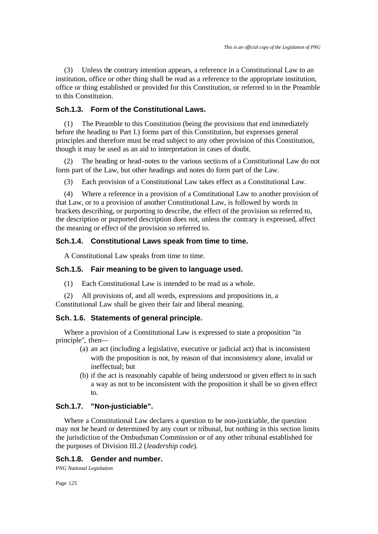(3) Unless the contrary intention appears, a reference in a Constitutional Law to an institution, office or other thing shall be read as a reference to the appropriate institution, office or thing established or provided for this Constitution, or referred to in the Preamble to this Constitution.

# **Sch.1.3. Form of the Constitutional Laws.**

(1) The Preamble to this Constitution (being the provisions that end immediately before the heading to Part I.) forms part of this Constitution, but expresses general principles and therefore must be read subject to any other provision of this Constitution, though it may be used as an aid to interpretation in cases of doubt.

(2) The heading or head-notes to the various sections of a Constitutional Law do not form part of the Law, but other headings and notes do form part of the Law.

(3) Each provision of a Constitutional Law takes effect as a Constitutional Law.

(4) Where a reference in a provision of a Constitutional Law to another provision of that Law, or to a provision of another Constitutional Law, is followed by words in brackets describing, or purporting to describe, the effect of the provision so referred to, the description or purported description does not, unless the contrary is expressed, affect the meaning or effect of the provision so referred to.

# **Sch.1.4. Constitutional Laws speak from time to time.**

A Constitutional Law speaks from time to time.

# **Sch.1.5. Fair meaning to be given to language used.**

(1) Each Constitutional Law is intended to be read as a whole.

(2) All provisions of, and all words, expressions and propositions in, a Constitutional Law shall be given their fair and liberal meaning.

# **Sch. 1.6. Statements of general principle.**

Where a provision of a Constitutional Law is expressed to state a proposition "in principle", then—

- (a) an act (including a legislative, executive or judicial act) that is inconsistent with the proposition is not, by reason of that inconsistency alone, invalid or ineffectual; but
- (b) if the act is reasonably capable of being understood or given effect to in such a way as not to be inconsistent with the proposition it shall be so given effect to.

# **Sch.1.7. "Non-justiciable".**

Where a Constitutional Law declares a question to be non-justiciable, the question may not be heard or determined by any court or tribunal, but nothing in this section limits the jurisdiction of the Ombudsman Commission or of any other tribunal established for the purposes of Division III.2 (*leadership code*).

# **Sch.1.8. Gender and number.**

*PNG National Legislation*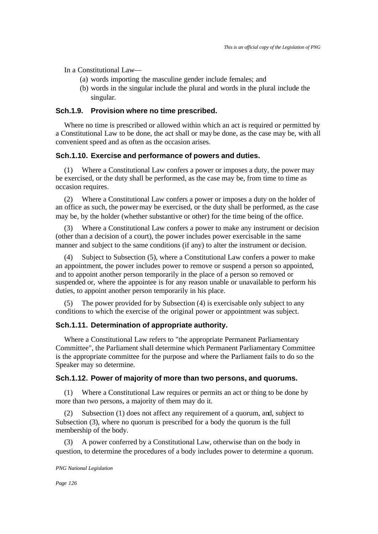In a Constitutional Law—

- (a) words importing the masculine gender include females; and
- (b) words in the singular include the plural and words in the plural include the singular.

# **Sch.1.9. Provision where no time prescribed.**

Where no time is prescribed or allowed within which an act is required or permitted by a Constitutional Law to be done, the act shall or may be done, as the case may be, with all convenient speed and as often as the occasion arises.

# **Sch.1.10. Exercise and performance of powers and duties.**

(1) Where a Constitutional Law confers a power or imposes a duty, the power may be exercised, or the duty shall be performed, as the case may be, from time to time as occasion requires.

(2) Where a Constitutional Law confers a power or imposes a duty on the holder of an office as such, the power may be exercised, or the duty shall be performed, as the case may be, by the holder (whether substantive or other) for the time being of the office.

(3) Where a Constitutional Law confers a power to make any instrument or decision (other than a decision of a court), the power includes power exercisable in the same manner and subject to the same conditions (if any) to alter the instrument or decision.

(4) Subject to Subsection (5), where a Constitutional Law confers a power to make an appointment, the power includes power to remove or suspend a person so appointed, and to appoint another person temporarily in the place of a person so removed or suspended or, where the appointee is for any reason unable or unavailable to perform his duties, to appoint another person temporarily in his place.

(5) The power provided for by Subsection (4) is exercisable only subject to any conditions to which the exercise of the original power or appointment was subject.

# **Sch.1.11. Determination of appropriate authority.**

Where a Constitutional Law refers to "the appropriate Permanent Parliamentary Committee", the Parliament shall determine which Permanent Parliamentary Committee is the appropriate committee for the purpose and where the Parliament fails to do so the Speaker may so determine.

# **Sch.1.12. Power of majority of more than two persons, and quorums.**

(1) Where a Constitutional Law requires or permits an act or thing to be done by more than two persons, a majority of them may do it.

(2) Subsection (1) does not affect any requirement of a quorum, and, subject to Subsection (3), where no quorum is prescribed for a body the quorum is the full membership of the body.

(3) A power conferred by a Constitutional Law, otherwise than on the body in question, to determine the procedures of a body includes power to determine a quorum.

#### *PNG National Legislation*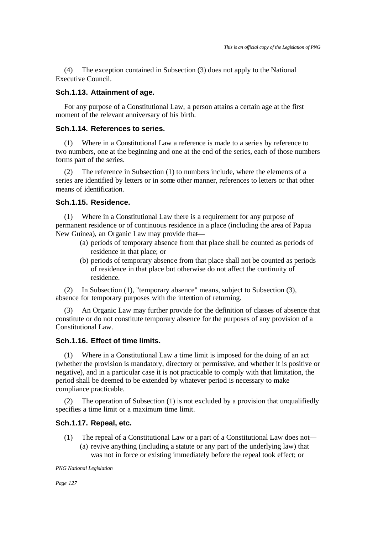(4) The exception contained in Subsection (3) does not apply to the National Executive Council.

# **Sch.1.13. Attainment of age.**

For any purpose of a Constitutional Law, a person attains a certain age at the first moment of the relevant anniversary of his birth.

# **Sch.1.14. References to series.**

(1) Where in a Constitutional Law a reference is made to a serie s by reference to two numbers, one at the beginning and one at the end of the series, each of those numbers forms part of the series.

(2) The reference in Subsection (1) to numbers include, where the elements of a series are identified by letters or in some other manner, references to letters or that other means of identification.

# **Sch.1.15. Residence.**

(1) Where in a Constitutional Law there is a requirement for any purpose of permanent residence or of continuous residence in a place (including the area of Papua New Guinea), an Organic Law may provide that—

- (a) periods of temporary absence from that place shall be counted as periods of residence in that place; or
- (b) periods of temporary absence from that place shall not be counted as periods of residence in that place but otherwise do not affect the continuity of residence.

(2) In Subsection (1), "temporary absence" means, subject to Subsection (3), absence for temporary purposes with the intention of returning.

(3) An Organic Law may further provide for the definition of classes of absence that constitute or do not constitute temporary absence for the purposes of any provision of a Constitutional Law.

# **Sch.1.16. Effect of time limits.**

(1) Where in a Constitutional Law a time limit is imposed for the doing of an act (whether the provision is mandatory, directory or permissive, and whether it is positive or negative), and in a particular case it is not practicable to comply with that limitation, the period shall be deemed to be extended by whatever period is necessary to make compliance practicable.

(2) The operation of Subsection (1) is not excluded by a provision that unqualifiedly specifies a time limit or a maximum time limit.

# **Sch.1.17. Repeal, etc.**

- (1) The repeal of a Constitutional Law or a part of a Constitutional Law does not— (a) revive anything (including a statute or any part of the underlying law) that
	- was not in force or existing immediately before the repeal took effect; or

*PNG National Legislation*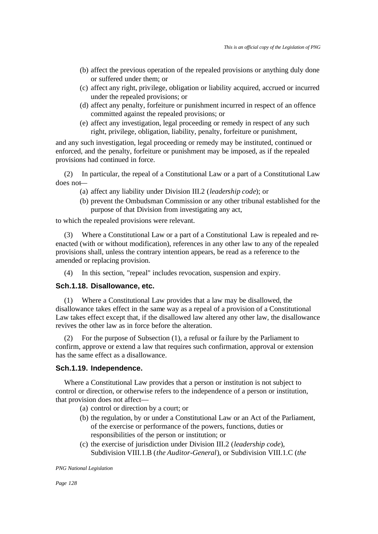- (b) affect the previous operation of the repealed provisions or anything duly done or suffered under them; or
- (c) affect any right, privilege, obligation or liability acquired, accrued or incurred under the repealed provisions; or
- (d) affect any penalty, forfeiture or punishment incurred in respect of an offence committed against the repealed provisions; or
- (e) affect any investigation, legal proceeding or remedy in respect of any such right, privilege, obligation, liability, penalty, forfeiture or punishment,

and any such investigation, legal proceeding or remedy may be instituted, continued or enforced, and the penalty, forfeiture or punishment may be imposed, as if the repealed provisions had continued in force.

(2) In particular, the repeal of a Constitutional Law or a part of a Constitutional Law does not—

- (a) affect any liability under Division III.2 (*leadership code*); or
- (b) prevent the Ombudsman Commission or any other tribunal established for the purpose of that Division from investigating any act,

to which the repealed provisions were relevant.

(3) Where a Constitutional Law or a part of a Constitutional Law is repealed and reenacted (with or without modification), references in any other law to any of the repealed provisions shall, unless the contrary intention appears, be read as a reference to the amended or replacing provision.

(4) In this section, "repeal" includes revocation, suspension and expiry.

### **Sch.1.18. Disallowance, etc.**

(1) Where a Constitutional Law provides that a law may be disallowed, the disallowance takes effect in the same way as a repeal of a provision of a Constitutional Law takes effect except that, if the disallowed law altered any other law, the disallowance revives the other law as in force before the alteration.

For the purpose of Subsection (1), a refusal or failure by the Parliament to confirm, approve or extend a law that requires such confirmation, approval or extension has the same effect as a disallowance.

### **Sch.1.19. Independence.**

Where a Constitutional Law provides that a person or institution is not subject to control or direction, or otherwise refers to the independence of a person or institution, that provision does not affect—

- (a) control or direction by a court; or
- (b) the regulation, by or under a Constitutional Law or an Act of the Parliament, of the exercise or performance of the powers, functions, duties or responsibilities of the person or institution; or
- (c) the exercise of jurisdiction under Division III.2 (*leadership code*), Subdivision VIII.1.B (*the Auditor-General*), or Subdivision VIII.1.C (*the*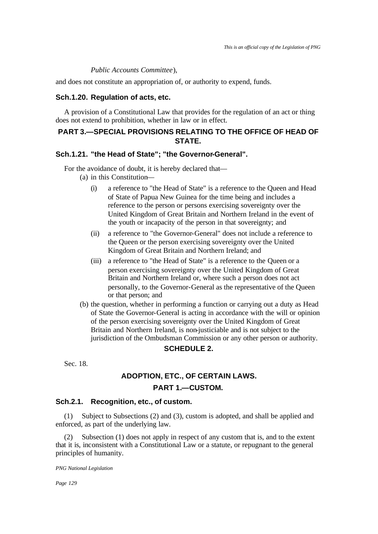### *Public Accounts Committee*),

and does not constitute an appropriation of, or authority to expend, funds.

### **Sch.1.20. Regulation of acts, etc.**

A provision of a Constitutional Law that provides for the regulation of an act or thing does not extend to prohibition, whether in law or in effect.

# **PART 3.—SPECIAL PROVISIONS RELATING TO THE OFFICE OF HEAD OF STATE.**

# **Sch.1.21. "the Head of State"; "the Governor-General".**

For the avoidance of doubt, it is hereby declared that—

- (a) in this Constitution—
	- (i) a reference to "the Head of State" is a reference to the Queen and Head of State of Papua New Guinea for the time being and includes a reference to the person or persons exercising sovereignty over the United Kingdom of Great Britain and Northern Ireland in the event of the youth or incapacity of the person in that sovereignty; and
	- (ii) a reference to "the Governor-General" does not include a reference to the Queen or the person exercising sovereignty over the United Kingdom of Great Britain and Northern Ireland; and
	- (iii) a reference to "the Head of State" is a reference to the Queen or a person exercising sovereignty over the United Kingdom of Great Britain and Northern Ireland or, where such a person does not act personally, to the Governor-General as the representative of the Queen or that person; and
- (b) the question, whether in performing a function or carrying out a duty as Head of State the Governor-General is acting in accordance with the will or opinion of the person exercising sovereignty over the United Kingdom of Great Britain and Northern Ireland, is non-justiciable and is not subject to the jurisdiction of the Ombudsman Commission or any other person or authority.

# **SCHEDULE 2.**

Sec. 18.

# **ADOPTION, ETC., OF CERTAIN LAWS. PART 1.—CUSTOM.**

### **Sch.2.1. Recognition, etc., of custom.**

(1) Subject to Subsections (2) and (3), custom is adopted, and shall be applied and enforced, as part of the underlying law.

(2) Subsection (1) does not apply in respect of any custom that is, and to the extent that it is, inconsistent with a Constitutional Law or a statute, or repugnant to the general principles of humanity.

*PNG National Legislation*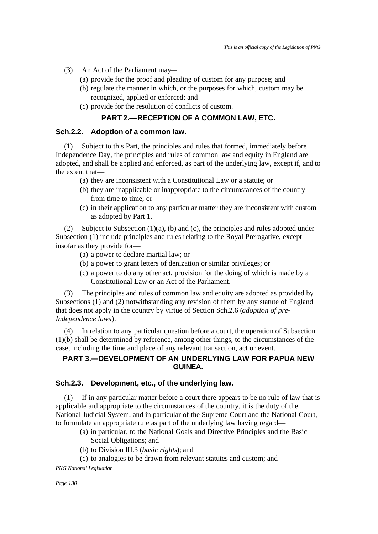- (3) An Act of the Parliament may—
	- (a) provide for the proof and pleading of custom for any purpose; and
	- (b) regulate the manner in which, or the purposes for which, custom may be recognized, applied or enforced; and
	- (c) provide for the resolution of conflicts of custom.

# **PART 2.—RECEPTION OF A COMMON LAW, ETC.**

# **Sch.2.2. Adoption of a common law.**

(1) Subject to this Part, the principles and rules that formed, immediately before Independence Day, the principles and rules of common law and equity in England are adopted, and shall be applied and enforced, as part of the underlying law, except if, and to the extent that—

- (a) they are inconsistent with a Constitutional Law or a statute; or
- (b) they are inapplicable or inappropriate to the circumstances of the country from time to time; or
- (c) in their application to any particular matter they are inconsistent with custom as adopted by Part 1.

(2) Subject to Subsection (1)(a), (b) and (c), the principles and rules adopted under Subsection (1) include principles and rules relating to the Royal Prerogative, except insofar as they provide for—

- (a) a power to declare martial law; or
- (b) a power to grant letters of denization or similar privileges; or
- (c) a power to do any other act, provision for the doing of which is made by a Constitutional Law or an Act of the Parliament.

(3) The principles and rules of common law and equity are adopted as provided by Subsections (1) and (2) notwithstanding any revision of them by any statute of England that does not apply in the country by virtue of Section Sch.2.6 (*adoption of pre-Independence laws*).

(4) In relation to any particular question before a court, the operation of Subsection (1)(b) shall be determined by reference, among other things, to the circumstances of the case, including the time and place of any relevant transaction, act or event.

# **PART 3.—DEVELOPMENT OF AN UNDERLYING LAW FOR PAPUA NEW GUINEA.**

### **Sch.2.3. Development, etc., of the underlying law.**

(1) If in any particular matter before a court there appears to be no rule of law that is applicable and appropriate to the circumstances of the country, it is the duty of the National Judicial System, and in particular of the Supreme Court and the National Court, to formulate an appropriate rule as part of the underlying law having regard—

- (a) in particular, to the National Goals and Directive Principles and the Basic Social Obligations; and
- (b) to Division III.3 (*basic rights*); and
- (c) to analogies to be drawn from relevant statutes and custom; and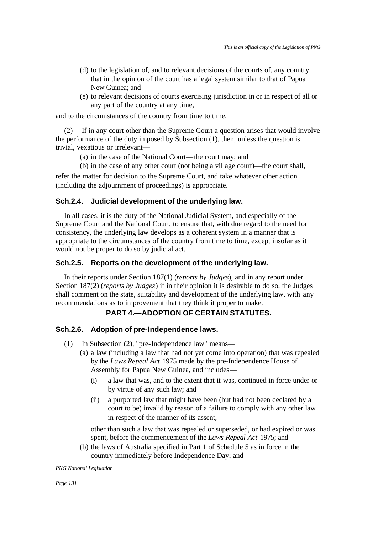- (d) to the legislation of, and to relevant decisions of the courts of, any country that in the opinion of the court has a legal system similar to that of Papua New Guinea; and
- (e) to relevant decisions of courts exercising jurisdiction in or in respect of all or any part of the country at any time,

and to the circumstances of the country from time to time.

(2) If in any court other than the Supreme Court a question arises that would involve the performance of the duty imposed by Subsection (1), then, unless the question is trivial, vexatious or irrelevant—

(a) in the case of the National Court—the court may; and

(b) in the case of any other court (not being a village court)—the court shall,

refer the matter for decision to the Supreme Court, and take whatever other action (including the adjournment of proceedings) is appropriate.

### **Sch.2.4. Judicial development of the underlying law.**

In all cases, it is the duty of the National Judicial System, and especially of the Supreme Court and the National Court, to ensure that, with due regard to the need for consistency, the underlying law develops as a coherent system in a manner that is appropriate to the circumstances of the country from time to time, except insofar as it would not be proper to do so by judicial act.

### **Sch.2.5. Reports on the development of the underlying law.**

In their reports under Section 187(1) (*reports by Judges*), and in any report under Section 187(2) (*reports by Judges*) if in their opinion it is desirable to do so, the Judges shall comment on the state, suitability and development of the underlying law, with any recommendations as to improvement that they think it proper to make.

# **PART 4.—ADOPTION OF CERTAIN STATUTES.**

### **Sch.2.6. Adoption of pre-Independence laws.**

- (1) In Subsection (2), "pre-Independence law" means—
	- (a) a law (including a law that had not yet come into operation) that was repealed by the *Laws Repeal Act* 1975 made by the pre-Independence House of Assembly for Papua New Guinea, and includes—
		- (i) a law that was, and to the extent that it was, continued in force under or by virtue of any such law; and
		- (ii) a purported law that might have been (but had not been declared by a court to be) invalid by reason of a failure to comply with any other law in respect of the manner of its assent,

other than such a law that was repealed or superseded, or had expired or was spent, before the commencement of the *Laws Repeal Act* 1975; and

(b) the laws of Australia specified in Part 1 of Schedule 5 as in force in the country immediately before Independence Day; and

*PNG National Legislation*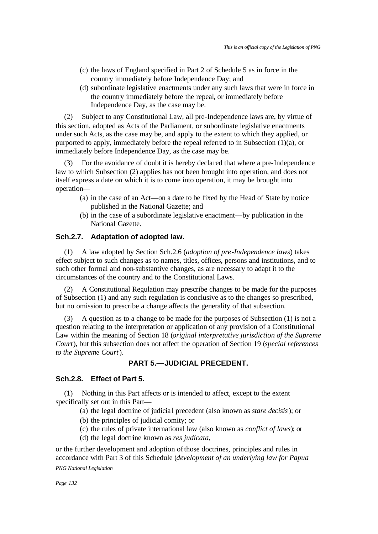- (c) the laws of England specified in Part 2 of Schedule 5 as in force in the country immediately before Independence Day; and
- (d) subordinate legislative enactments under any such laws that were in force in the country immediately before the repeal, or immediately before Independence Day, as the case may be.

(2) Subject to any Constitutional Law, all pre-Independence laws are, by virtue of this section, adopted as Acts of the Parliament, or subordinate legislative enactments under such Acts, as the case may be, and apply to the extent to which they applied, or purported to apply, immediately before the repeal referred to in Subsection (1)(a), or immediately before Independence Day, as the case may be.

(3) For the avoidance of doubt it is hereby declared that where a pre-Independence law to which Subsection (2) applies has not been brought into operation, and does not itself express a date on which it is to come into operation, it may be brought into operation—

- (a) in the case of an Act—on a date to be fixed by the Head of State by notice published in the National Gazette; and
- (b) in the case of a subordinate legislative enactment—by publication in the National Gazette.

# **Sch.2.7. Adaptation of adopted law.**

(1) A law adopted by Section Sch.2.6 (*adoption of pre-Independence laws*) takes effect subject to such changes as to names, titles, offices, persons and institutions, and to such other formal and non-substantive changes, as are necessary to adapt it to the circumstances of the country and to the Constitutional Laws.

(2) A Constitutional Regulation may prescribe changes to be made for the purposes of Subsection (1) and any such regulation is conclusive as to the changes so prescribed, but no omission to prescribe a change affects the generality of that subsection.

(3) A question as to a change to be made for the purposes of Subsection (1) is not a question relating to the interpretation or application of any provision of a Constitutional Law within the meaning of Section 18 (*original interpretative jurisdiction of the Supreme Court*), but this subsection does not affect the operation of Section 19 (*special references to the Supreme Court*).

# **PART 5.—JUDICIAL PRECEDENT.**

# **Sch.2.8. Effect of Part 5.**

(1) Nothing in this Part affects or is intended to affect, except to the extent specifically set out in this Part—

- (a) the legal doctrine of judicia l precedent (also known as *stare decisis*); or
- (b) the principles of judicial comity; or
- (c) the rules of private international law (also known as *conflict of laws*); or
- (d) the legal doctrine known as *res judicata*,

or the further development and adoption of those doctrines, principles and rules in accordance with Part 3 of this Schedule (*development of an underlying law for Papua* 

*PNG National Legislation*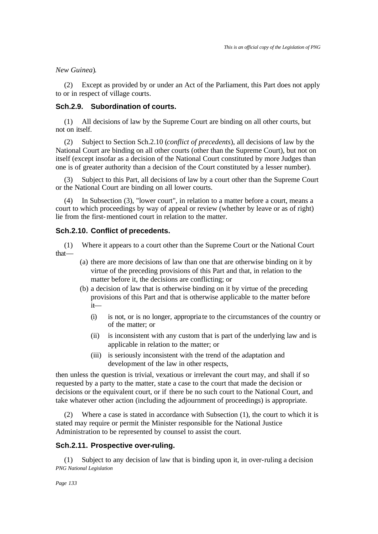# *New Guinea*).

(2) Except as provided by or under an Act of the Parliament, this Part does not apply to or in respect of village courts.

# **Sch.2.9. Subordination of courts.**

(1) All decisions of law by the Supreme Court are binding on all other courts, but not on itself.

(2) Subject to Section Sch.2.10 (*conflict of precedents*), all decisions of law by the National Court are binding on all other courts (other than the Supreme Court), but not on itself (except insofar as a decision of the National Court constituted by more Judges than one is of greater authority than a decision of the Court constituted by a lesser number).

Subject to this Part, all decisions of law by a court other than the Supreme Court or the National Court are binding on all lower courts.

(4) In Subsection (3), "lower court", in relation to a matter before a court, means a court to which proceedings by way of appeal or review (whether by leave or as of right) lie from the first-mentioned court in relation to the matter.

# **Sch.2.10. Conflict of precedents.**

(1) Where it appears to a court other than the Supreme Court or the National Court that—

- (a) there are more decisions of law than one that are otherwise binding on it by virtue of the preceding provisions of this Part and that, in relation to the matter before it, the decisions are conflicting; or
- (b) a decision of law that is otherwise binding on it by virtue of the preceding provisions of this Part and that is otherwise applicable to the matter before it—
	- (i) is not, or is no longer, appropria te to the circumstances of the country or of the matter; or
	- (ii) is inconsistent with any custom that is part of the underlying law and is applicable in relation to the matter; or
	- (iii) is seriously inconsistent with the trend of the adaptation and development of the law in other respects,

then unless the question is trivial, vexatious or irrelevant the court may, and shall if so requested by a party to the matter, state a case to the court that made the decision or decisions or the equivalent court, or if there be no such court to the National Court, and take whatever other action (including the adjournment of proceedings) is appropriate.

(2) Where a case is stated in accordance with Subsection (1), the court to which it is stated may require or permit the Minister responsible for the National Justice Administration to be represented by counsel to assist the court.

# **Sch.2.11. Prospective over-ruling.**

*PNG National Legislation* (1) Subject to any decision of law that is binding upon it, in over-ruling a decision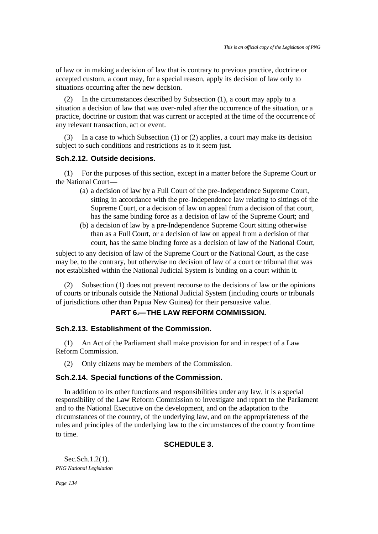of law or in making a decision of law that is contrary to previous practice, doctrine or accepted custom, a court may, for a special reason, apply its decision of law only to situations occurring after the new decision.

In the circumstances described by Subsection  $(1)$ , a court may apply to a situation a decision of law that was over-ruled after the occurrence of the situation, or a practice, doctrine or custom that was current or accepted at the time of the occurrence of any relevant transaction, act or event.

(3) In a case to which Subsection (1) or (2) applies, a court may make its decision subject to such conditions and restrictions as to it seem just.

# **Sch.2.12. Outside decisions.**

(1) For the purposes of this section, except in a matter before the Supreme Court or the National Court—

- (a) a decision of law by a Full Court of the pre-Independence Supreme Court, sitting in accordance with the pre-Independence law relating to sittings of the Supreme Court, or a decision of law on appeal from a decision of that court, has the same binding force as a decision of law of the Supreme Court; and
- (b) a decision of law by a pre-Independence Supreme Court sitting otherwise than as a Full Court, or a decision of law on appeal from a decision of that court, has the same binding force as a decision of law of the National Court,

subject to any decision of law of the Supreme Court or the National Court, as the case may be, to the contrary, but otherwise no decision of law of a court or tribunal that was not established within the National Judicial System is binding on a court within it.

(2) Subsection (1) does not prevent recourse to the decisions of law or the opinions of courts or tribunals outside the National Judicial System (including courts or tribunals of jurisdictions other than Papua New Guinea) for their persuasive value.

# **PART 6.—THE LAW REFORM COMMISSION.**

# **Sch.2.13. Establishment of the Commission.**

(1) An Act of the Parliament shall make provision for and in respect of a Law Reform Commission.

(2) Only citizens may be members of the Commission.

# **Sch.2.14. Special functions of the Commission.**

In addition to its other functions and responsibilities under any law, it is a special responsibility of the Law Reform Commission to investigate and report to the Parliament and to the National Executive on the development, and on the adaptation to the circumstances of the country, of the underlying law, and on the appropriateness of the rules and principles of the underlying law to the circumstances of the country from time to time.

# **SCHEDULE 3.**

*PNG National Legislation* Sec.Sch.1.2(1).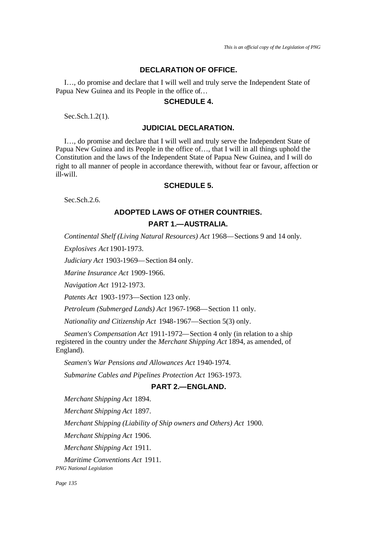*This is an official copy of the Legislation of PNG*

# **DECLARATION OF OFFICE.**

I…, do promise and declare that I will well and truly serve the Independent State of Papua New Guinea and its People in the office of…

# **SCHEDULE 4.**

Sec.Sch.1.2(1).

# **JUDICIAL DECLARATION.**

I…, do promise and declare that I will well and truly serve the Independent State of Papua New Guinea and its People in the office of…, that I will in all things uphold the Constitution and the laws of the Independent State of Papua New Guinea, and I will do right to all manner of people in accordance therewith, without fear or favour, affection or ill-will.

# **SCHEDULE 5.**

Sec.Sch.2.6.

# **ADOPTED LAWS OF OTHER COUNTRIES.**

# **PART 1.—AUSTRALIA.**

*Continental Shelf (Living Natural Resources) Act* 1968—Sections 9 and 14 only.

*Explosives Act* 1901-1973.

*Judiciary Act* 1903-1969—Section 84 only.

*Marine Insurance Act* 1909-1966.

*Navigation Act* 1912-1973.

*Patents Act* 1903-1973—Section 123 only.

*Petroleum (Submerged Lands) Act* 1967-1968—Section 11 only.

*Nationality and Citizenship Act* 1948-1967—Section 5(3) only.

*Seamen's Compensation Act* 1911-1972—Section 4 only (in relation to a ship registered in the country under the *Merchant Shipping Act* 1894, as amended, of England).

*Seamen's War Pensions and Allowances Act* 1940-1974.

*Submarine Cables and Pipelines Protection Act* 1963-1973.

### **PART 2.—ENGLAND.**

*Merchant Shipping Act* 1894.

*Merchant Shipping Act* 1897.

*Merchant Shipping (Liability of Ship owners and Others) Act* 1900.

*Merchant Shipping Act* 1906.

*Merchant Shipping Act* 1911.

*Maritime Conventions Act* 1911.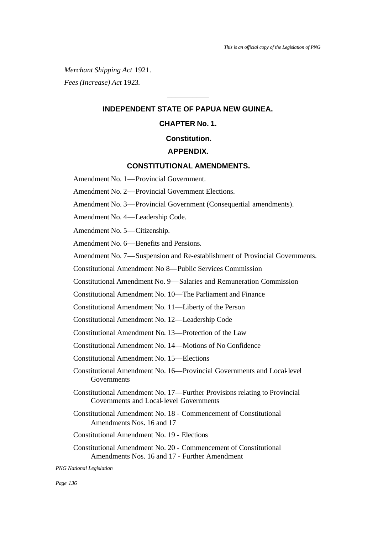*This is an official copy of the Legislation of PNG*

*Merchant Shipping Act* 1921. *Fees (Increase) Act* 1923.

# **INDEPENDENT STATE OF PAPUA NEW GUINEA.**

**\_\_\_\_\_\_\_\_\_\_**

# **CHAPTER No. 1.**

### **Constitution.**

### **APPENDIX.**

# **CONSTITUTIONAL AMENDMENTS.**

Amendment No. 1—Provincial Government.

Amendment No. 2—Provincial Government Elections.

Amendment No. 3—Provincial Government (Consequential amendments).

Amendment No. 4—Leadership Code.

Amendment No. 5—Citizenship.

Amendment No. 6—Benefits and Pensions.

Amendment No. 7—Suspension and Re-establishment of Provincial Governments.

Constitutional Amendment No 8—Public Services Commission

Constitutional Amendment No. 9—Salaries and Remuneration Commission

Constitutional Amendment No. 10—The Parliament and Finance

Constitutional Amendment No. 11—Liberty of the Person

Constitutional Amendment No. 12—Leadership Code

Constitutional Amendment No. 13—Protection of the Law

Constitutional Amendment No. 14—Motions of No Confidence

Constitutional Amendment No. 15—Elections

- Constitutional Amendment No. 16—Provincial Governments and Local-level **Governments**
- Constitutional Amendment No. 17—Further Provisions relating to Provincial Governments and Local-level Governments
- Constitutional Amendment No. 18 Commencement of Constitutional Amendments Nos. 16 and 17
- Constitutional Amendment No. 19 Elections
- Constitutional Amendment No. 20 Commencement of Constitutional Amendments Nos. 16 and 17 - Further Amendment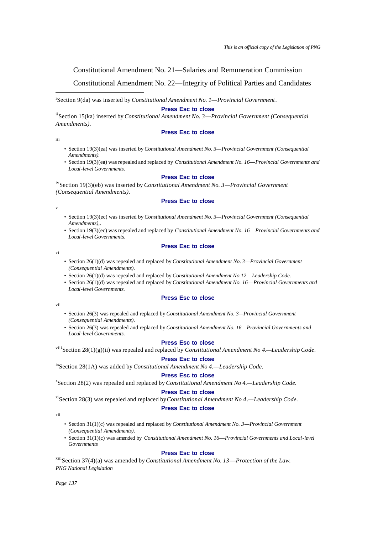#### Constitutional Amendment No. 21—Salaries and Remuneration Commission

### Constitutional Amendment No. 22—Integrity of Political Parties and Candidates

<sup>i</sup>Section 9(da) was inserted by *Constitutional Amendment No. 1—Provincial Government*.

#### **Press Esc to close**

<sup>ii</sup>Section 15(ka) inserted by *Constitutional Amendment No. 3—Provincial Government (Consequential Amendments).*

#### **Press Esc to close**

- Section 19(3)(ea) was inserted by *Constitutional Amendment No. 3—Provincial Government (Consequential Amendments).*
- Section 19(3)(ea) was repealed and replaced by *Constitutional Amendment No. 16*—*Provincial Governments and Local-level Governments.*

#### **Press Esc to close**

ivSection 19(3)(eb) was inserted by *Constitutional Amendment No. 3—Provincial Government (Consequential Amendments).*

#### **Press Esc to close**

#### v

- Section 19(3)(ec) was inserted by *Constitutional Amendment No. 3—Provincial Government (Consequential Amendments)*,.
- Section 19(3)(ec) was repealed and replaced by *Constitutional Amendment No. 16*—*Provincial Governments and Local-level Governments*.

### **Press Esc to close**

vi

- Section 26(1)(d) was repealed and replaced by *Constitutional Amendment No. 3—Provincial Government (Consequential Amendments)*.
- Section 26(1)(d) was repealed and replaced by *Constitutional Amendment No.12*—*Leadership Code.*
- Section 26(1)(d) was repealed and replaced by *Constitutional Amendment No. 16*—*Provincial Governments and Local-level Governments.*

#### **Press Esc to close**

#### vii

- Section 26(3) was repealed and replaced by *Constitutional Amendment No. 3—Provincial Government (Consequential Amendments)*.
- Section 26(3) was repealed and replaced by *Constitutional Amendment No. 16*—*Provincial Governments and Local-level Governments.*

#### **Press Esc to close**

viiiSection 28(1)(g)(ii) was repealed and replaced by *Constitutional Amendment No 4.—Leadership Code.*

#### **Press Esc to close**

ixSection 28(1A) was added by *Constitutional Amendment No 4.—Leadership Code.*

#### **Press Esc to close**

x Section 28(2) was repealed and replaced by *Constitutional Amendment No 4.—Leadership Code.*

#### **Press Esc to close**

xiSection 28(3) was repealed and replaced by *Constitutional Amendment No 4.—Leadership Code.*

#### **Press Esc to close**

xii

- Section 31(1)(c) was repealed and replaced by *Constitutional Amendment No. 3—Provincial Government (Consequential Amendments)*.
- Section 31(1)(c) was amended by *Constitutional Amendment No. 16*—*Provincial Governments and Local-level Governments*

#### **Press Esc to close**

*PNG National Legislation* xiiiSection 37(4)(a) was amended by *Constitutional Amendment No. 13*—*Protection of the Law*.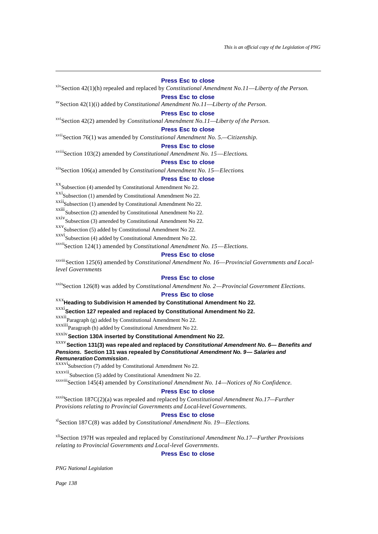#### **Press Esc to close**

xivSection 42(1)(h) repealed and replaced by *Constitutional Amendment No.11*—*Liberty of the Person.*

#### **Press Esc to close**

xvSection 42(1)(i) added by *Constitutional Amendment No.11*—*Liberty of the Person.*

#### **Press Esc to close**

xviSection 42(2) amended by *Constitutional Amendment No.11*—*Liberty of the Person.*

#### **Press Esc to close**

xviiSection 76(1) was amended by *Constitutional Amendment No. 5.—Citizenship.*

#### **Press Esc to close**

xviiiSection 103(2) amended by *Constitutional Amendment No. 15*—*Elections*.

#### **Press Esc to close**

xixSection 106(a) amended by *Constitutional Amendment No. 15*—*Elections*.

### **Press Esc to close**

xxSubsection (4) amended by Constitutional Amendment No 22.

xxi<sub>Subsection</sub> (1) amended by Constitutional Amendment No 22.

xxii<sub>Subsection</sub> (1) amended by Constitutional Amendment No 22.

xxiii Subsection (2) amended by Constitutional Amendment No 22.

xxiv Subsection (3) amended by Constitutional Amendment No 22.

xxv<sub>Subsection</sub> (5) added by Constitutional Amendment No 22.

xxvi Subsection (4) added by Constitutional Amendment No 22.

xxviiSection 124(1) amended by *Constitutional Amendment No. 15*—*Elections.*

#### **Press Esc to close**

xxviiiSection 125(6) amended by *Constitutional Amendment No. 16*—*Provincial Governments and Locallevel Governments*

#### **Press Esc to close**

xxixSection 126(8) was added by *Constitutional Amendment No. 2—Provincial Government Elections*.

### **Press Esc to close**

xxx**Heading to Subdivision H amended by Constitutional Amendment No 22.**

# xxxi**Section 127 repealed and replaced by Constitutional Amendment No 22.**

xxxiiParagraph (g) added by Constitutional Amendment No 22.

xxxiiiParagraph (h) added by Constitutional Amendment No 22.

xxxiv**Section 130A inserted by Constitutional Amendment No 22.**

#### xxxv**Section 131(3) was repealed and replaced by** *Constitutional Amendment No. 6— Benefits and Pensions***. Section 131 was repealed by** *Constitutional Amendment No. 9— Salaries and Remuneration Commission***.**

xxxviSubsection (7) added by Constitutional Amendment No 22.

xxxvii Subsection (5) added by Constitutional Amendment No 22.

xxxviiiSection 145(4) amended by *Constitutional Amendment No. 14*—*Notices of No Confidence.*

#### **Press Esc to close**

xxxixSection 187C(2)(a) was repealed and replaced by *Constitutional Amendment No.17—Further Provisions relating to Provincial Governments and Local-level Governments.*

#### **Press Esc to close**

xlSection 187C(8) was added by *Constitutional Amendment No. 19—Elections*.

xliSection 197H was repealed and replaced by *Constitutional Amendment No.17—Further Provisions relating to Provincial Governments and Local-level Governments.*

#### **Press Esc to close**

*PNG National Legislation*

*Page 138*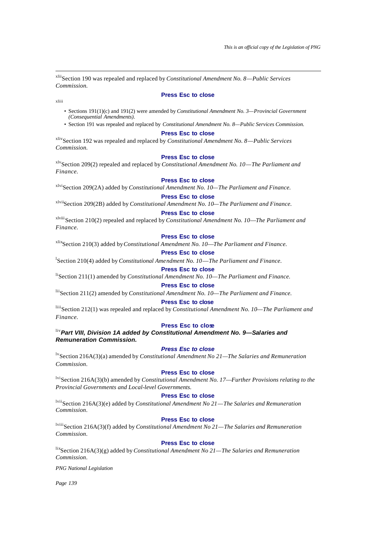xliiSection 190 was repealed and replaced by *Constitutional Amendment No. 8—Public Services Commission.*

#### **Press Esc to close**

xliii

- Sections 191(1)(c) and 191(2) were amended by *Constitutional Amendment No. 3—Provincial Government (Consequential Amendments)*.
- Section 191 was repealed and replaced by *Constitutional Amendment No. 8—Public Services Commission.*

#### **Press Esc to close**

xlivSection 192 was repealed and replaced by *Constitutional Amendment No. 8—Public Services Commission.*

#### **Press Esc to close**

xlvSection 209(2) repealed and replaced by *Constitutional Amendment No. 10—The Parliament and Finance.*

### **Press Esc to close**

xlviSection 209(2A) added by *Constitutional Amendment No. 10—The Parliament and Finance.*

#### **Press Esc to close**

xlviiSection 209(2B) added by *Constitutional Amendment No. 10—The Parliament and Finance.*

#### **Press Esc to close**

xlviiiSection 210(2) repealed and replaced by *Constitutional Amendment No. 10*—*The Parliament and Finance.*

#### **Press Esc to close**

xlixSection 210(3) added by *Constitutional Amendment No. 10*—*The Parliament and Finance.*

### **Press Esc to close**

l Section 210(4) added by *Constitutional Amendment No. 10*—*The Parliament and Finance.*

### **Press Esc to close**

liSection 211(1) amended by *Constitutional Amendment No. 10*—*The Parliament and Finance.*

#### **Press Esc to close**

liiSection 211(2) amended by *Constitutional Amendment No. 10*—*The Parliament and Finance.*

#### **Press Esc to close**

liiiSection 212(1) was repealed and replaced by *Constitutional Amendment No. 10*—*The Parliament and Finance.*

#### **Press Esc to close**

liv*Part VIII, Division 1A added by Constitutional Amendment No. 9—Salaries and Remuneration Commission.*

#### *Press Esc to close*

lvSection 216A(3)(a) amended by *Constitutional Amendment No 21—The Salaries and Remuneration Commission*.

### **Press Esc to close**

lviSection 216A(3)(b) amended by *Constitutional Amendment No. 17*—*Further Provisions relating to the Provincial Governments and Local-level Governments.*

### **Press Esc to close**

lviiSection 216A(3)(e) added by *Constitutional Amendment No 21—The Salaries and Remuneration Commission*.

### **Press Esc to close**

lviiiSection 216A(3)(f) added by *Constitutional Amendment No 21—The Salaries and Remuneration Commission*.

### **Press Esc to close**

lixSection 216A(3)(g) added by *Constitutional Amendment No 21—The Salaries and Remuneration Commission*.

*PNG National Legislation*